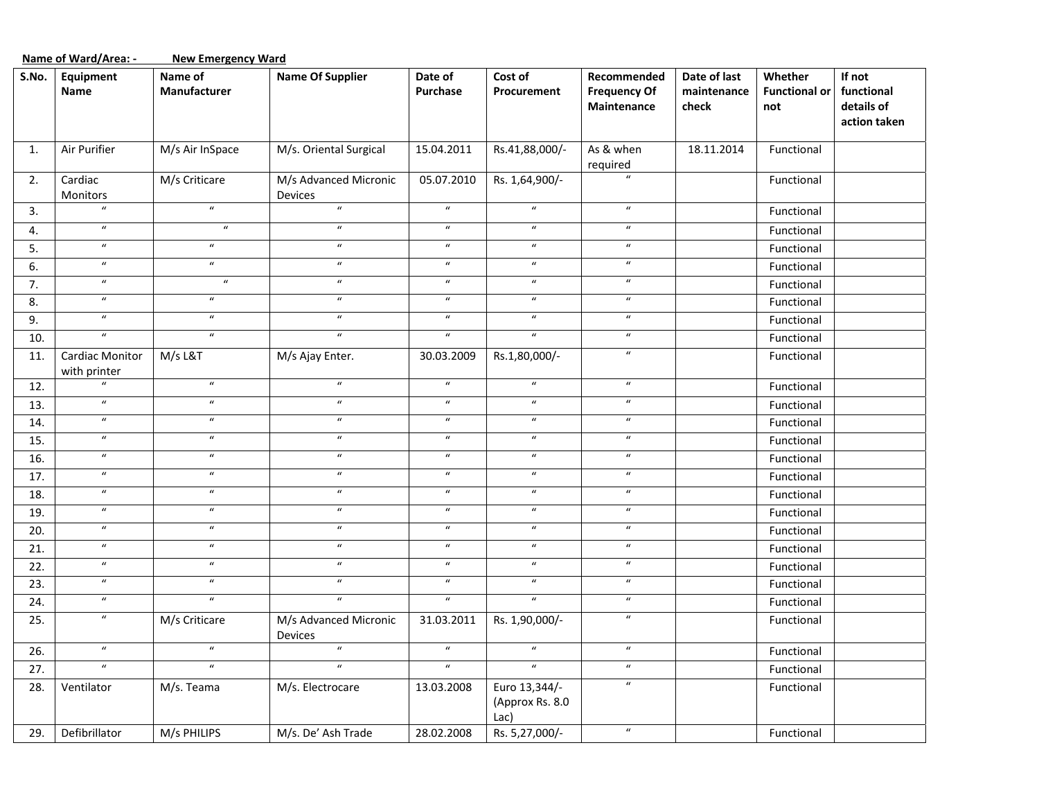|       | Name of Ward/Area: -<br><b>New Emergency Ward</b> |                            |                                  |                            |                                             |                                                   |                                      |                                        |                                                    |  |  |
|-------|---------------------------------------------------|----------------------------|----------------------------------|----------------------------|---------------------------------------------|---------------------------------------------------|--------------------------------------|----------------------------------------|----------------------------------------------------|--|--|
| S.No. | Equipment<br>Name                                 | Name of<br>Manufacturer    | <b>Name Of Supplier</b>          | Date of<br>Purchase        | Cost of<br>Procurement                      | Recommended<br><b>Frequency Of</b><br>Maintenance | Date of last<br>maintenance<br>check | Whether<br><b>Functional or</b><br>not | If not<br>functional<br>details of<br>action taken |  |  |
| 1.    | Air Purifier                                      | M/s Air InSpace            | M/s. Oriental Surgical           | 15.04.2011                 | Rs.41,88,000/-                              | As & when<br>required                             | 18.11.2014                           | Functional                             |                                                    |  |  |
| 2.    | Cardiac<br>Monitors                               | M/s Criticare              | M/s Advanced Micronic<br>Devices | 05.07.2010                 | Rs. 1,64,900/-                              | $\boldsymbol{u}$                                  |                                      | Functional                             |                                                    |  |  |
| 3.    | $\boldsymbol{u}$                                  | $\boldsymbol{u}$           | $\boldsymbol{u}$                 | $\boldsymbol{u}$           | $\boldsymbol{u}$                            | $\boldsymbol{u}$                                  |                                      | Functional                             |                                                    |  |  |
| 4.    | $\boldsymbol{\mathcal{U}}$                        | $\boldsymbol{\mathcal{U}}$ | $\boldsymbol{u}$                 | $\boldsymbol{\mathcal{U}}$ | $\boldsymbol{u}$                            | $\boldsymbol{u}$                                  |                                      | Functional                             |                                                    |  |  |
| 5.    | $\boldsymbol{\mathcal{U}}$                        | $\boldsymbol{u}$           | $\boldsymbol{u}$                 | $\boldsymbol{u}$           | $\boldsymbol{u}$                            | $\boldsymbol{u}$                                  |                                      | Functional                             |                                                    |  |  |
| 6.    | $\boldsymbol{\mathcal{U}}$                        | $\boldsymbol{\mathcal{U}}$ | $\boldsymbol{u}$                 | $\boldsymbol{u}$           | $\boldsymbol{u}$                            | $\boldsymbol{u}$                                  |                                      | Functional                             |                                                    |  |  |
| 7.    | $\boldsymbol{u}$                                  | $\boldsymbol{u}$           | $\boldsymbol{u}$                 | $\boldsymbol{u}$           | $\boldsymbol{u}$                            | $\boldsymbol{u}$                                  |                                      | Functional                             |                                                    |  |  |
| 8.    | $\boldsymbol{u}$                                  | $\boldsymbol{u}$           | $\boldsymbol{u}$                 | $\boldsymbol{u}$           | $\boldsymbol{u}$                            | $\boldsymbol{u}$                                  |                                      | Functional                             |                                                    |  |  |
| 9.    | $\boldsymbol{\mathcal{U}}$                        | $\boldsymbol{\mathcal{U}}$ | $\boldsymbol{u}$                 | $\boldsymbol{u}$           | $\boldsymbol{u}$                            | $\boldsymbol{u}$                                  |                                      | Functional                             |                                                    |  |  |
| 10.   | $\overline{u}$                                    | $\boldsymbol{u}$           | $\boldsymbol{u}$                 | $\boldsymbol{u}$           | $\boldsymbol{u}$                            | $\boldsymbol{u}$                                  |                                      | Functional                             |                                                    |  |  |
| 11.   | Cardiac Monitor<br>with printer                   | M/s L&T                    | M/s Ajay Enter.                  | 30.03.2009                 | Rs.1,80,000/-                               | $\boldsymbol{u}$                                  |                                      | Functional                             |                                                    |  |  |
| 12.   | $\overline{u}$                                    | $\boldsymbol{\mathcal{U}}$ | $\boldsymbol{\mathcal{U}}$       | $\boldsymbol{u}$           | $\boldsymbol{u}$                            | $\boldsymbol{u}$                                  |                                      | Functional                             |                                                    |  |  |
| 13.   | $\pmb{\mathcal{U}}$                               | $\boldsymbol{u}$           | $\boldsymbol{u}$                 | $\boldsymbol{u}$           | $\boldsymbol{u}$                            | $\boldsymbol{u}$                                  |                                      | Functional                             |                                                    |  |  |
| 14.   | $\boldsymbol{\mathcal{U}}$                        | $\boldsymbol{u}$           | $\boldsymbol{\mathcal{U}}$       | $\boldsymbol{u}$           | $\boldsymbol{u}$                            | $\boldsymbol{u}$                                  |                                      | Functional                             |                                                    |  |  |
| 15.   | $\boldsymbol{\mathcal{U}}$                        | $\boldsymbol{\mathcal{U}}$ | $\boldsymbol{\mathcal{U}}$       | $\boldsymbol{u}$           | $\boldsymbol{u}$                            | $\boldsymbol{u}$                                  |                                      | Functional                             |                                                    |  |  |
| 16.   | $\boldsymbol{\mathcal{U}}$                        | $\boldsymbol{u}$           | $\boldsymbol{u}$                 | $\boldsymbol{u}$           | $\boldsymbol{u}$                            | $\boldsymbol{u}$                                  |                                      | Functional                             |                                                    |  |  |
| 17.   | $\boldsymbol{u}$                                  | $\boldsymbol{u}$           | $\boldsymbol{\mathcal{U}}$       | $\boldsymbol{u}$           | $\boldsymbol{u}$                            | $\boldsymbol{u}$                                  |                                      | Functional                             |                                                    |  |  |
| 18.   | $\boldsymbol{\mathcal{U}}$                        | $\boldsymbol{u}$           | $\boldsymbol{\mathcal{U}}$       | $\boldsymbol{u}$           | $\boldsymbol{u}$                            | $\boldsymbol{u}$                                  |                                      | Functional                             |                                                    |  |  |
| 19.   | $\boldsymbol{u}$                                  | $\boldsymbol{\mathcal{U}}$ | $\boldsymbol{u}$                 | $\boldsymbol{u}$           | $\boldsymbol{u}$                            | $\boldsymbol{u}$                                  |                                      | Functional                             |                                                    |  |  |
| 20.   | $\overline{u}$                                    | $\boldsymbol{\mathcal{U}}$ | $\boldsymbol{\mathcal{U}}$       | $\boldsymbol{u}$           | $\boldsymbol{u}$                            | $\boldsymbol{u}$                                  |                                      | Functional                             |                                                    |  |  |
| 21.   | $\boldsymbol{\mathcal{U}}$                        | $\boldsymbol{\mathcal{U}}$ | $\boldsymbol{\mathcal{U}}$       | $\boldsymbol{u}$           | $\boldsymbol{\mathcal{U}}$                  | $\boldsymbol{u}$                                  |                                      | Functional                             |                                                    |  |  |
| 22.   | $\boldsymbol{\mathcal{U}}$                        | $\boldsymbol{u}$           | $\boldsymbol{u}$                 | $\boldsymbol{\mathcal{U}}$ | $\boldsymbol{\mathcal{U}}$                  | $\boldsymbol{u}$                                  |                                      | Functional                             |                                                    |  |  |
| 23.   | $\boldsymbol{u}$                                  | $\boldsymbol{\mathcal{U}}$ | $\boldsymbol{\mathcal{U}}$       | $\boldsymbol{u}$           | $\boldsymbol{u}$                            | $\boldsymbol{u}$                                  |                                      | Functional                             |                                                    |  |  |
| 24.   | $\boldsymbol{u}$                                  | $\boldsymbol{u}$           | $\boldsymbol{u}$                 | $\boldsymbol{u}$           | $\boldsymbol{u}$                            | $\boldsymbol{u}$                                  |                                      | Functional                             |                                                    |  |  |
| 25.   | $\boldsymbol{u}$                                  | M/s Criticare              | M/s Advanced Micronic<br>Devices | 31.03.2011                 | Rs. 1,90,000/-                              | $\boldsymbol{u}$                                  |                                      | Functional                             |                                                    |  |  |
| 26.   | $\boldsymbol{\mathcal{U}}$                        | $\boldsymbol{u}$           | $\boldsymbol{u}$                 | $\boldsymbol{\mathcal{U}}$ | $\boldsymbol{u}$                            | $\boldsymbol{u}$                                  |                                      | Functional                             |                                                    |  |  |
| 27.   | $\boldsymbol{u}$                                  | $\boldsymbol{u}$           | $\boldsymbol{u}$                 | $\boldsymbol{\mathcal{U}}$ | $\boldsymbol{u}$                            | $\boldsymbol{u}$                                  |                                      | Functional                             |                                                    |  |  |
| 28.   | Ventilator                                        | M/s. Teama                 | M/s. Electrocare                 | 13.03.2008                 | Euro 13,344/-<br>(Approx Rs. 8.0<br>$Lac$ ) | $\boldsymbol{u}$                                  |                                      | Functional                             |                                                    |  |  |
| 29.   | Defibrillator                                     | M/s PHILIPS                | M/s. De' Ash Trade               | 28.02.2008                 | Rs. 5,27,000/-                              | $\boldsymbol{u}$                                  |                                      | Functional                             |                                                    |  |  |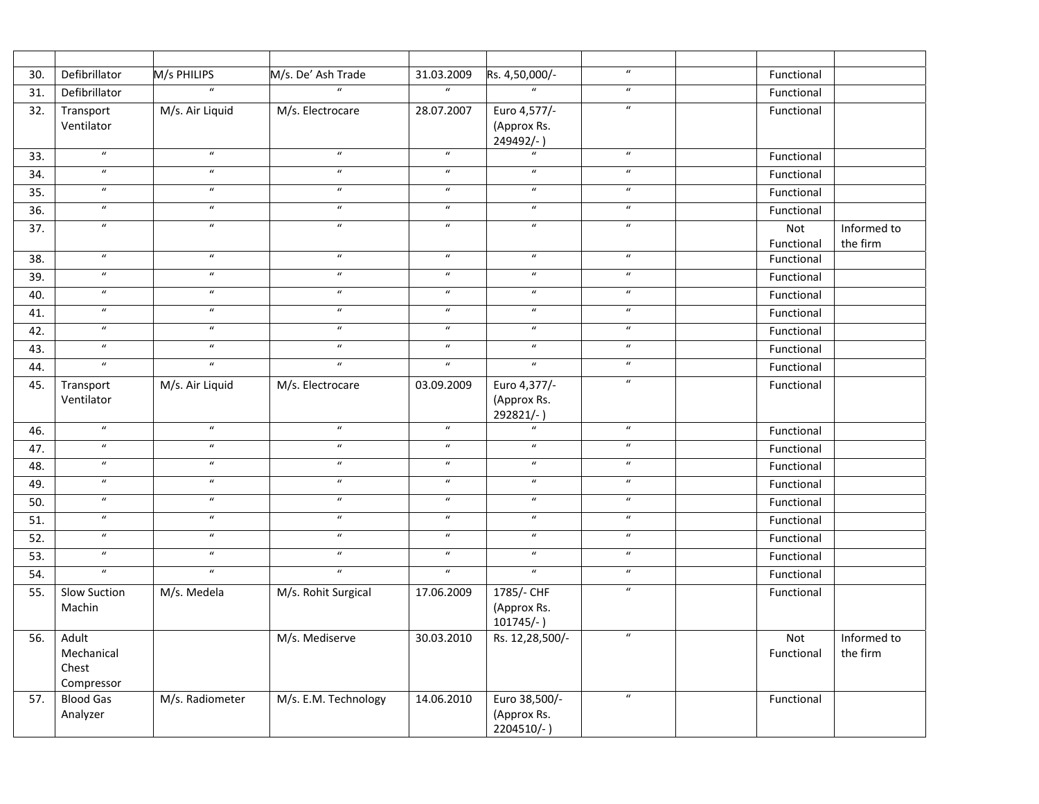| 30.               | Defibrillator                              | M/s PHILIPS                | M/s. De' Ash Trade         | 31.03.2009                 | Rs. 4,50,000/-                             | $\boldsymbol{u}$           | Functional        |                         |
|-------------------|--------------------------------------------|----------------------------|----------------------------|----------------------------|--------------------------------------------|----------------------------|-------------------|-------------------------|
| 31.               | Defibrillator                              | $\boldsymbol{u}$           | $\overline{u}$             | $\boldsymbol{\mathcal{U}}$ | $\overline{u}$                             | $\boldsymbol{\mathcal{U}}$ | Functional        |                         |
| 32.               | Transport<br>Ventilator                    | M/s. Air Liquid            | M/s. Electrocare           | 28.07.2007                 | Euro 4,577/-<br>(Approx Rs.<br>249492/-)   | $\boldsymbol{\mathcal{U}}$ | Functional        |                         |
| 33.               | $\boldsymbol{\mathcal{U}}$                 | $\boldsymbol{u}$           | $\boldsymbol{\mathcal{U}}$ | $\boldsymbol{\mathcal{U}}$ | $\boldsymbol{u}$                           | $\boldsymbol{u}$           | Functional        |                         |
| 34.               | $\boldsymbol{u}$                           | $\boldsymbol{\mathcal{U}}$ | $\boldsymbol{u}$           | $\boldsymbol{u}$           | $\boldsymbol{\mathcal{U}}$                 | $\boldsymbol{u}$           | Functional        |                         |
| $\overline{35}$ . | $\boldsymbol{u}$                           | $\boldsymbol{u}$           | $\boldsymbol{u}$           | $\boldsymbol{\mathcal{U}}$ | $\boldsymbol{\mathcal{U}}$                 | $\boldsymbol{\mathcal{U}}$ | Functional        |                         |
| 36.               | $\boldsymbol{u}$                           | $\boldsymbol{\mathcal{U}}$ | $\boldsymbol{\mathcal{U}}$ | $\boldsymbol{\mathcal{U}}$ | $\boldsymbol{u}$                           | $\boldsymbol{u}$           | Functional        |                         |
| 37.               | $\overline{u}$                             | $\overline{u}$             | $\overline{u}$             | $\overline{u}$             | $\overline{u}$                             | $\boldsymbol{u}$           | Not<br>Functional | Informed to<br>the firm |
| 38.               | $\boldsymbol{\mathcal{U}}$                 | $\boldsymbol{u}$           | $\boldsymbol{u}$           | $\boldsymbol{u}$           | $\boldsymbol{u}$                           | $\boldsymbol{u}$           | Functional        |                         |
| 39.               | $\overline{u}$                             | $\overline{u}$             | $\overline{u}$             | $\overline{u}$             | $\overline{u}$                             | $\boldsymbol{u}$           | Functional        |                         |
| 40.               | $\boldsymbol{u}$                           | $\boldsymbol{\mathcal{U}}$ | $\boldsymbol{\mathcal{U}}$ | $\boldsymbol{\mathcal{U}}$ | $\boldsymbol{u}$                           | $\boldsymbol{u}$           | Functional        |                         |
| 41.               | $\boldsymbol{u}$                           | $\boldsymbol{u}$           | $\boldsymbol{u}$           | $\boldsymbol{u}$           | $\boldsymbol{u}$                           | $\boldsymbol{u}$           | Functional        |                         |
| 42.               | $\boldsymbol{u}$                           | $\boldsymbol{\mathcal{U}}$ | $\boldsymbol{u}$           | $\boldsymbol{\mathcal{U}}$ | $\boldsymbol{u}$                           | $\boldsymbol{\mathcal{U}}$ | Functional        |                         |
| 43.               | $\boldsymbol{u}$                           | $\boldsymbol{\mathcal{U}}$ | $\boldsymbol{\mathcal{U}}$ | $\boldsymbol{\mathcal{U}}$ | $\boldsymbol{\mathcal{U}}$                 | $\boldsymbol{u}$           | Functional        |                         |
| 44.               | $\overline{u}$                             | $\boldsymbol{\mathcal{U}}$ | $\boldsymbol{\mathcal{U}}$ | $\boldsymbol{\mathcal{U}}$ | $\overline{u}$                             | $\boldsymbol{u}$           | Functional        |                         |
| 45.               | Transport<br>Ventilator                    | M/s. Air Liquid            | M/s. Electrocare           | 03.09.2009                 | Euro 4,377/-<br>(Approx Rs.<br>292821/-)   | $\boldsymbol{\mathcal{U}}$ | Functional        |                         |
| 46.               | $\overline{\boldsymbol{u}}$                | $\boldsymbol{u}$           | $\boldsymbol{\mathcal{U}}$ | $\boldsymbol{\mathcal{U}}$ | $\overline{u}$                             | $\boldsymbol{u}$           | Functional        |                         |
| 47.               | $\boldsymbol{u}$                           | $\boldsymbol{\mathcal{U}}$ | $\boldsymbol{u}$           | $\boldsymbol{\mathcal{U}}$ | $\boldsymbol{u}$                           | $\boldsymbol{u}$           | Functional        |                         |
| 48.               | $\overline{u}$                             | $\boldsymbol{\mathcal{U}}$ | $\overline{u}$             | $\overline{u}$             | $\overline{u}$                             | $\boldsymbol{u}$           | Functional        |                         |
| 49.               | $\boldsymbol{\mathcal{U}}$                 | $\boldsymbol{\mathcal{U}}$ | $\overline{u}$             | $\overline{u}$             | $\boldsymbol{\mathcal{U}}$                 | $\boldsymbol{\mathcal{U}}$ | Functional        |                         |
| 50.               | $\boldsymbol{\mathcal{U}}$                 | $\boldsymbol{u}$           | $\boldsymbol{u}$           | $\boldsymbol{\mathcal{U}}$ | $\boldsymbol{\mathcal{U}}$                 | $\boldsymbol{u}$           | Functional        |                         |
| 51.               | $\boldsymbol{u}$                           | $\boldsymbol{\mathcal{U}}$ | $\boldsymbol{u}$           | $\boldsymbol{\mathcal{U}}$ | $\boldsymbol{\mathcal{U}}$                 | $\boldsymbol{\mathcal{U}}$ | Functional        |                         |
| 52.               | $\boldsymbol{u}$                           | $\boldsymbol{u}$           | $\boldsymbol{\mathcal{U}}$ | $\boldsymbol{\mathcal{U}}$ | $\boldsymbol{u}$                           | $\boldsymbol{u}$           | Functional        |                         |
| 53.               | $\boldsymbol{u}$                           | $\boldsymbol{\mathcal{U}}$ | $\boldsymbol{\mathcal{U}}$ | $\boldsymbol{\mathcal{U}}$ | $\boldsymbol{\mathcal{U}}$                 | $\boldsymbol{u}$           | Functional        |                         |
| 54.               | $\boldsymbol{u}$                           | $\boldsymbol{u}$           | $\boldsymbol{u}$           | $\mathbf{u}$               | $\boldsymbol{u}$                           | $\boldsymbol{u}$           | Functional        |                         |
| 55.               | <b>Slow Suction</b>                        | M/s. Medela                | M/s. Rohit Surgical        | 17.06.2009                 | 1785/- CHF                                 | $\boldsymbol{u}$           | Functional        |                         |
|                   | Machin                                     |                            |                            |                            | (Approx Rs.<br>$101745/-$ )                |                            |                   |                         |
| 56.               | Adult<br>Mechanical<br>Chest<br>Compressor |                            | M/s. Mediserve             | 30.03.2010                 | Rs. 12,28,500/-                            | $\boldsymbol{u}$           | Not<br>Functional | Informed to<br>the firm |
| 57.               | <b>Blood Gas</b><br>Analyzer               | M/s. Radiometer            | M/s. E.M. Technology       | 14.06.2010                 | Euro 38,500/-<br>(Approx Rs.<br>2204510/-) | $\boldsymbol{u}$           | Functional        |                         |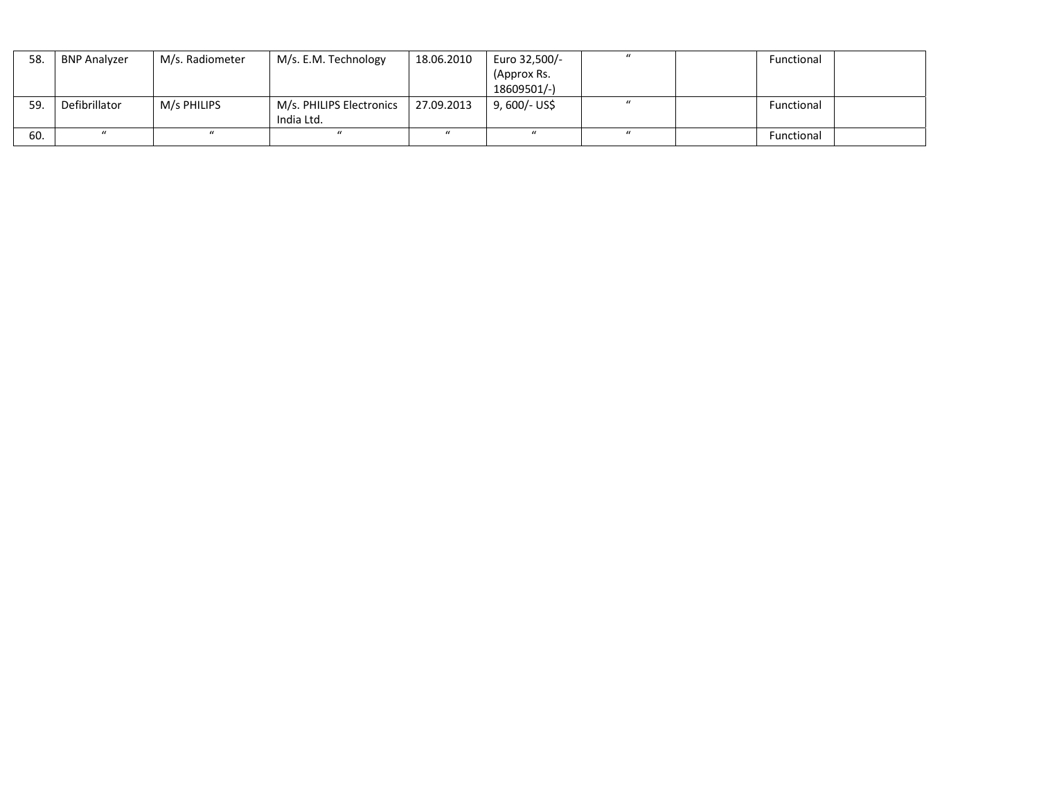| 58. | <b>BNP Analyzer</b> | M/s. Radiometer | M/s. E.M. Technology     | 18.06.2010 | Euro 32,500/- | $\mathcal{U}$ | Functional |  |
|-----|---------------------|-----------------|--------------------------|------------|---------------|---------------|------------|--|
|     |                     |                 |                          |            | (Approx Rs.   |               |            |  |
|     |                     |                 |                          |            | 18609501/-)   |               |            |  |
| 59. | Defibrillator       | M/s PHILIPS     | M/s. PHILIPS Electronics | 27.09.2013 | 9, 600/- US\$ |               | Functional |  |
|     |                     |                 | India Ltd.               |            |               |               |            |  |
| 60. |                     | $\mu$           | $\mathbf{u}$             |            |               | $\mathcal{U}$ | Functional |  |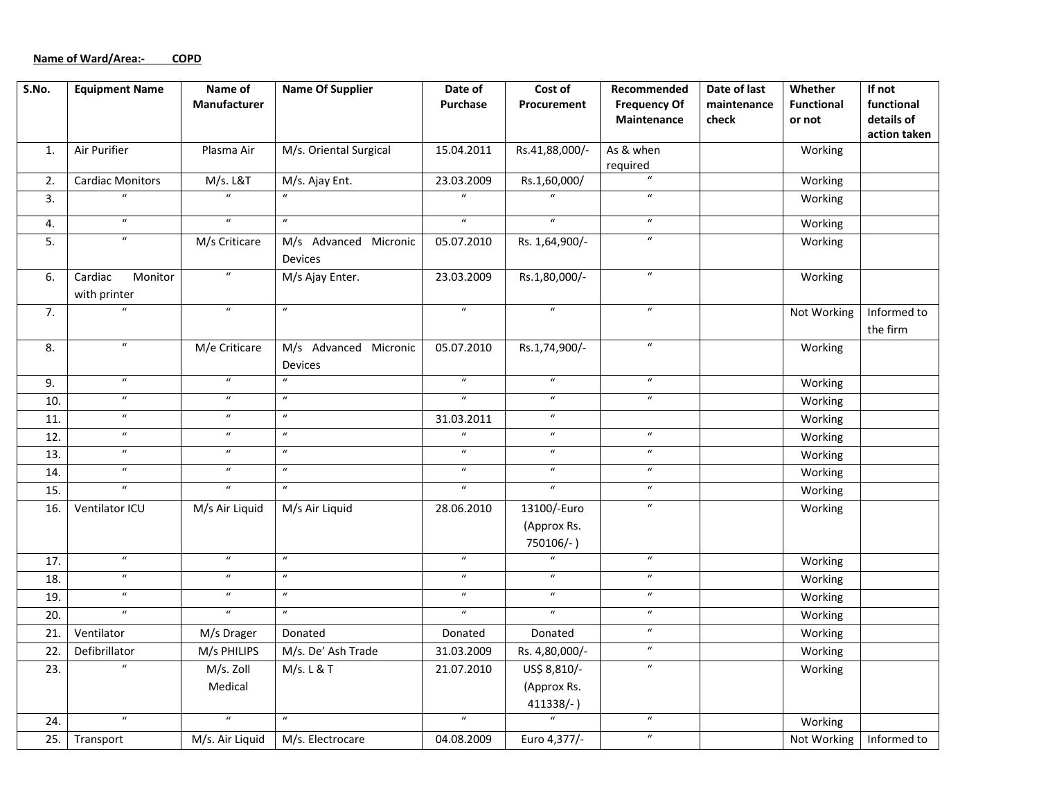# **Name of Ward/Area:‐ COPD**

| $\overline{\mathsf{S}}$ . No. | <b>Equipment Name</b>              | Name of<br>Manufacturer | <b>Name Of Supplier</b>          | Date of<br><b>Purchase</b> | Cost of<br>Procurement                  | Recommended<br><b>Frequency Of</b><br>Maintenance | Date of last<br>maintenance<br>check | Whether<br><b>Functional</b><br>or not | If not<br>functional<br>details of |
|-------------------------------|------------------------------------|-------------------------|----------------------------------|----------------------------|-----------------------------------------|---------------------------------------------------|--------------------------------------|----------------------------------------|------------------------------------|
|                               |                                    |                         |                                  |                            |                                         |                                                   |                                      |                                        | action taken                       |
| 1.                            | Air Purifier                       | Plasma Air              | M/s. Oriental Surgical           | 15.04.2011                 | Rs.41,88,000/-                          | As & when<br>required                             |                                      | Working                                |                                    |
| 2.                            | <b>Cardiac Monitors</b>            | M/s. L&T                | M/s. Ajay Ent.                   | 23.03.2009                 | Rs.1,60,000/                            | $\boldsymbol{\mathcal{U}}$                        |                                      | Working                                |                                    |
| 3.                            | $\boldsymbol{u}$                   | $\overline{u}$          |                                  | $\overline{u}$             | $\overline{u}$                          | $\boldsymbol{\mathcal{U}}$                        |                                      | Working                                |                                    |
| 4.                            | $\overline{u}$                     | $\overline{u}$          | $\overline{u}$                   | $\overline{u}$             | $\overline{u}$                          | $\overline{u}$                                    |                                      | Working                                |                                    |
| 5.                            | $\overline{u}$                     | M/s Criticare           | M/s Advanced Micronic<br>Devices | 05.07.2010                 | Rs. 1,64,900/-                          | $\boldsymbol{u}$                                  |                                      | Working                                |                                    |
| 6.                            | Cardiac<br>Monitor<br>with printer | $\boldsymbol{u}$        | M/s Ajay Enter.                  | 23.03.2009                 | Rs.1,80,000/-                           | $\boldsymbol{u}$                                  |                                      | Working                                |                                    |
| 7.                            | $\boldsymbol{u}$                   | $\boldsymbol{u}$        | $\boldsymbol{\mathcal{U}}$       | $\boldsymbol{u}$           | $\boldsymbol{u}$                        | $\boldsymbol{\mathcal{U}}$                        |                                      | Not Working                            | Informed to<br>the firm            |
| 8.                            | $\boldsymbol{\mathcal{U}}$         | M/e Criticare           | M/s Advanced Micronic<br>Devices | 05.07.2010                 | Rs.1,74,900/-                           | $\boldsymbol{\mathcal{U}}$                        |                                      | Working                                |                                    |
| 9.                            | $\boldsymbol{\mathcal{U}}$         | $\overline{u}$          | $\overline{u}$                   | $\overline{u}$             | $\overline{u}$                          | $\boldsymbol{\mathcal{U}}$                        |                                      | Working                                |                                    |
| 10.                           | $\boldsymbol{u}$                   | $\boldsymbol{u}$        | $\boldsymbol{u}$                 | $\overline{u}$             | $\overline{u}$                          | $\boldsymbol{u}$                                  |                                      | Working                                |                                    |
| 11.                           | $\overline{u}$                     | $\overline{u}$          | $\overline{u}$                   | 31.03.2011                 | $\overline{u}$                          |                                                   |                                      | Working                                |                                    |
| 12.                           | $\boldsymbol{\mathcal{U}}$         | $\boldsymbol{u}$        | $\boldsymbol{u}$                 | $\boldsymbol{u}$           | $\boldsymbol{u}$                        | $\boldsymbol{u}$                                  |                                      | Working                                |                                    |
| 13.                           | $\overline{u}$                     | $\boldsymbol{u}$        | $\boldsymbol{\mathcal{U}}$       | $\overline{u}$             | $\overline{u}$                          | $\boldsymbol{\mathcal{U}}$                        |                                      | Working                                |                                    |
| 14.                           | $\overline{u}$                     | $\boldsymbol{u}$        | $\overline{u}$                   | $\overline{u}$             | $\overline{u}$                          | $\boldsymbol{u}$                                  |                                      | Working                                |                                    |
| 15.                           | $\overline{u}$                     | $\overline{u}$          | $\boldsymbol{\mathcal{U}}$       | $\overline{u}$             | $\overline{u}$                          | $\boldsymbol{\mathcal{U}}$                        |                                      | Working                                |                                    |
| 16.                           | Ventilator ICU                     | M/s Air Liquid          | M/s Air Liquid                   | 28.06.2010                 | 13100/-Euro<br>(Approx Rs.<br>750106/-) | $\boldsymbol{\mathcal{U}}$                        |                                      | Working                                |                                    |
| 17.                           | $\overline{u}$                     | $\boldsymbol{u}$        | $\boldsymbol{u}$                 | $\overline{u}$             | $\overline{u}$                          | $\boldsymbol{u}$                                  |                                      | Working                                |                                    |
| 18.                           | $\boldsymbol{u}$                   | $\boldsymbol{u}$        | $\boldsymbol{u}$                 | $\boldsymbol{u}$           | $\boldsymbol{u}$                        | $\boldsymbol{u}$                                  |                                      | Working                                |                                    |
| 19.                           | $\boldsymbol{u}$                   | $\boldsymbol{u}$        | $\boldsymbol{\mathcal{U}}$       | $\overline{u}$             | $\overline{u}$                          | $\boldsymbol{u}$                                  |                                      | Working                                |                                    |
| 20.                           | $\overline{u}$                     | $\overline{u}$          | $\overline{u}$                   | $\overline{u}$             | $\overline{u}$                          | $\overline{u}$                                    |                                      | Working                                |                                    |
| 21.                           | Ventilator                         | M/s Drager              | Donated                          | Donated                    | Donated                                 | $\overline{u}$                                    |                                      | Working                                |                                    |
| 22.                           | Defibrillator                      | M/s PHILIPS             | M/s. De' Ash Trade               | 31.03.2009                 | Rs. 4,80,000/-                          | $\boldsymbol{u}$                                  |                                      | Working                                |                                    |
| 23.                           | $\overline{u}$                     | M/s. Zoll               | M/s. L & T                       | 21.07.2010                 | US\$ 8,810/-                            | $\overline{u}$                                    |                                      | Working                                |                                    |
|                               |                                    | Medical                 |                                  |                            | (Approx Rs.<br>411338/-)                |                                                   |                                      |                                        |                                    |
| 24.                           | $\boldsymbol{\mathcal{U}}$         | $\boldsymbol{u}$        | $\boldsymbol{u}$                 | $\boldsymbol{\mathcal{U}}$ | $\overline{u}$                          | $\boldsymbol{u}$                                  |                                      | Working                                |                                    |
| 25.                           | Transport                          | M/s. Air Liquid         | M/s. Electrocare                 | 04.08.2009                 | Euro 4,377/-                            | $\boldsymbol{u}$                                  |                                      | Not Working                            | Informed to                        |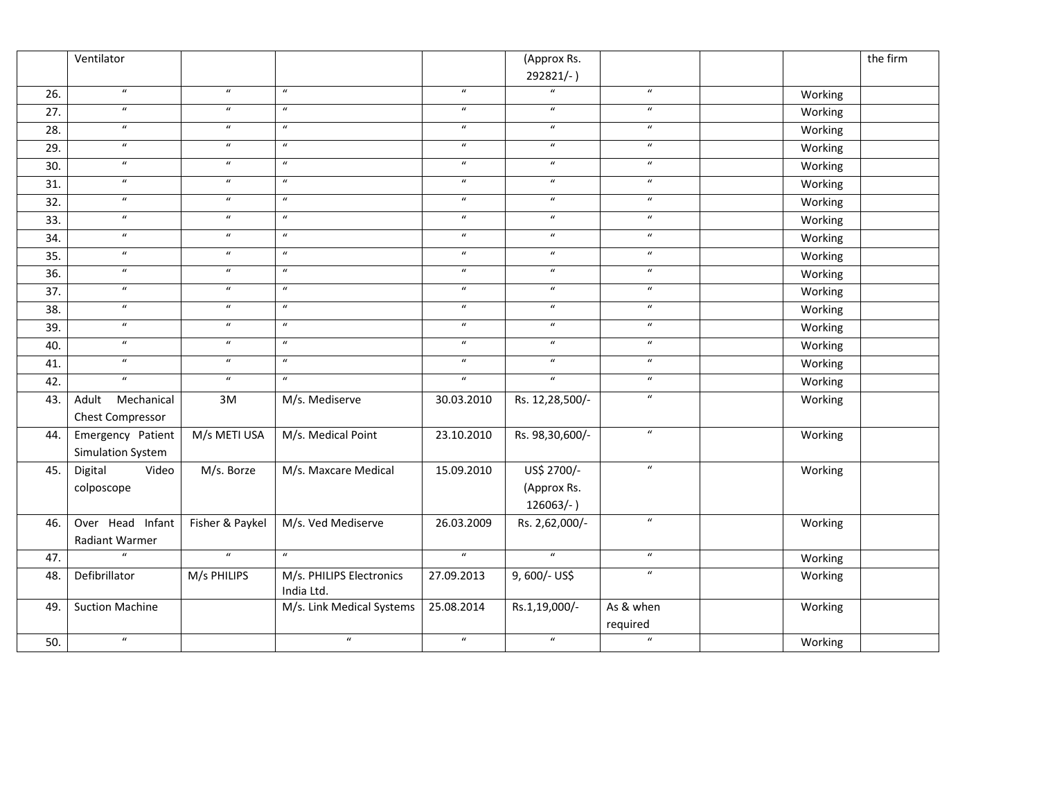|     | Ventilator             |                  |                            |                            | (Approx Rs.                |                  |         | the firm |
|-----|------------------------|------------------|----------------------------|----------------------------|----------------------------|------------------|---------|----------|
|     |                        |                  |                            |                            | 292821/-)                  |                  |         |          |
| 26. | $\boldsymbol{u}$       | $\boldsymbol{u}$ | $\boldsymbol{u}$           | $\boldsymbol{\mathcal{U}}$ | $\boldsymbol{u}$           | $\boldsymbol{u}$ | Working |          |
| 27. | $\overline{u}$         | $\overline{u}$   | $\overline{u}$             | $\boldsymbol{\mathcal{U}}$ | $\overline{u}$             | $\overline{u}$   | Working |          |
| 28. | $\boldsymbol{u}$       | $\boldsymbol{u}$ | $\boldsymbol{u}$           | $\boldsymbol{u}$           | $\boldsymbol{u}$           | $\boldsymbol{u}$ | Working |          |
| 29. | $\boldsymbol{u}$       | $\boldsymbol{u}$ | $\boldsymbol{\mathcal{U}}$ | $\boldsymbol{u}$           | $\boldsymbol{u}$           | $\boldsymbol{u}$ | Working |          |
| 30. | $\boldsymbol{u}$       | $\boldsymbol{u}$ | $\boldsymbol{u}$           | $\boldsymbol{u}$           | $\boldsymbol{\mathcal{U}}$ | $\boldsymbol{u}$ | Working |          |
| 31. | $\boldsymbol{u}$       | $\boldsymbol{u}$ | $\boldsymbol{u}$           | $\boldsymbol{\mathcal{U}}$ | $\boldsymbol{u}$           | $\boldsymbol{u}$ | Working |          |
| 32. | $\boldsymbol{u}$       | $\boldsymbol{u}$ | $\boldsymbol{u}$           | $\boldsymbol{u}$           | $\boldsymbol{u}$           | $\boldsymbol{u}$ | Working |          |
| 33. | $\overline{u}$         | $\overline{u}$   | $\overline{u}$             | $\boldsymbol{u}$           | $\overline{u}$             | $\overline{u}$   | Working |          |
| 34. | $\boldsymbol{u}$       | $\boldsymbol{u}$ | $\boldsymbol{u}$           | $\boldsymbol{u}$           | $\boldsymbol{u}$           | $\boldsymbol{u}$ | Working |          |
| 35. | $\overline{u}$         | $\overline{u}$   | $\overline{u}$             | $\boldsymbol{u}$           | $\overline{u}$             | $\overline{u}$   | Working |          |
| 36. | $\overline{u}$         | $\boldsymbol{u}$ | $\boldsymbol{u}$           | $\boldsymbol{u}$           | $\boldsymbol{u}$           | $\boldsymbol{u}$ | Working |          |
| 37. | $\boldsymbol{u}$       | $\boldsymbol{u}$ | $\boldsymbol{u}$           | $\boldsymbol{u}$           | $\boldsymbol{u}$           | $\boldsymbol{u}$ | Working |          |
| 38. | $\boldsymbol{u}$       | $\boldsymbol{u}$ | $\boldsymbol{\mathcal{U}}$ | $\boldsymbol{u}$           | $\boldsymbol{u}$           | $\boldsymbol{u}$ | Working |          |
| 39. | $\boldsymbol{u}$       | $\boldsymbol{u}$ | $\boldsymbol{u}$           | $\boldsymbol{u}$           | $\overline{u}$             | $\boldsymbol{u}$ | Working |          |
| 40. | $\boldsymbol{u}$       | $\boldsymbol{u}$ | $\boldsymbol{u}$           | $\boldsymbol{\mathcal{U}}$ | $\boldsymbol{u}$           | $\boldsymbol{u}$ | Working |          |
| 41. | $\boldsymbol{u}$       | $\boldsymbol{u}$ | $\boldsymbol{u}$           | $\boldsymbol{u}$           | $\overline{u}$             | $\boldsymbol{u}$ | Working |          |
| 42. | $\boldsymbol{u}$       | $\boldsymbol{u}$ | $\boldsymbol{u}$           | $\boldsymbol{u}$           | $\boldsymbol{u}$           | $\boldsymbol{u}$ | Working |          |
| 43. | Mechanical<br>Adult    | 3M               | M/s. Mediserve             | 30.03.2010                 | Rs. 12,28,500/-            | $\boldsymbol{u}$ | Working |          |
|     | Chest Compressor       |                  |                            |                            |                            |                  |         |          |
| 44. | Emergency Patient      | M/s METI USA     | M/s. Medical Point         | 23.10.2010                 | Rs. 98,30,600/-            | $\boldsymbol{u}$ | Working |          |
|     | Simulation System      |                  |                            |                            |                            |                  |         |          |
| 45. | Digital<br>Video       | M/s. Borze       | M/s. Maxcare Medical       | 15.09.2010                 | US\$ 2700/-                | $\boldsymbol{u}$ | Working |          |
|     | colposcope             |                  |                            |                            | (Approx Rs.                |                  |         |          |
|     |                        |                  |                            |                            | 126063/-)                  |                  |         |          |
| 46. | Over Head Infant       | Fisher & Paykel  | M/s. Ved Mediserve         | 26.03.2009                 | Rs. 2,62,000/-             | $\boldsymbol{u}$ | Working |          |
|     | Radiant Warmer         |                  |                            |                            |                            |                  |         |          |
| 47. | $\boldsymbol{u}$       | $\overline{u}$   | $\boldsymbol{u}$           | $\boldsymbol{u}$           | $\boldsymbol{u}$           | $\boldsymbol{u}$ | Working |          |
| 48. | Defibrillator          | M/s PHILIPS      | M/s. PHILIPS Electronics   | 27.09.2013                 | 9,600/- US\$               | $\boldsymbol{u}$ | Working |          |
|     |                        |                  | India Ltd.                 |                            |                            |                  |         |          |
| 49. | <b>Suction Machine</b> |                  | M/s. Link Medical Systems  | 25.08.2014                 | Rs.1,19,000/-              | As & when        | Working |          |
|     |                        |                  |                            |                            |                            | required         |         |          |
| 50. | $\boldsymbol{u}$       |                  | $\boldsymbol{u}$           | $\boldsymbol{u}$           | $\boldsymbol{u}$           | $\overline{u}$   | Working |          |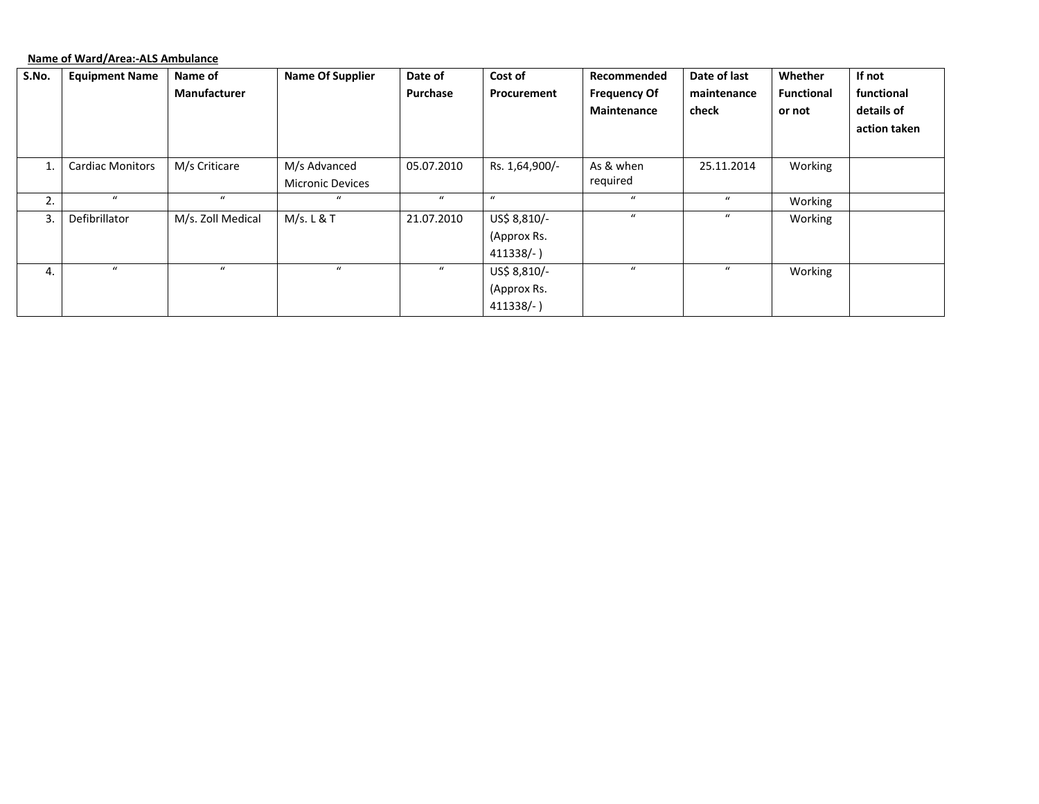**Name of Ward/Area:‐ALS Ambulance**

| S.No. | <b>Equipment Name</b>   | Name of             | <b>Name Of Supplier</b> | Date of          | Cost of          | Recommended         | Date of last     | Whether           | If not       |
|-------|-------------------------|---------------------|-------------------------|------------------|------------------|---------------------|------------------|-------------------|--------------|
|       |                         | <b>Manufacturer</b> |                         | Purchase         | Procurement      | <b>Frequency Of</b> | maintenance      | <b>Functional</b> | functional   |
|       |                         |                     |                         |                  |                  | Maintenance         | check            | or not            | details of   |
|       |                         |                     |                         |                  |                  |                     |                  |                   | action taken |
|       |                         |                     |                         |                  |                  |                     |                  |                   |              |
|       | <b>Cardiac Monitors</b> | M/s Criticare       | M/s Advanced            | 05.07.2010       | Rs. 1,64,900/-   | As & when           | 25.11.2014       | Working           |              |
|       |                         |                     | <b>Micronic Devices</b> |                  |                  | required            |                  |                   |              |
| 2.    | $\boldsymbol{u}$        | $\alpha$            | $\boldsymbol{u}$        | $\bf{u}$         | $\boldsymbol{u}$ | $\boldsymbol{u}$    | $\boldsymbol{u}$ | Working           |              |
| 3.    | Defibrillator           | M/s. Zoll Medical   | M/s. L & T              | 21.07.2010       | US\$ 8,810/-     | $\boldsymbol{u}$    | $\boldsymbol{u}$ | Working           |              |
|       |                         |                     |                         |                  | (Approx Rs.      |                     |                  |                   |              |
|       |                         |                     |                         |                  | $411338/-$ )     |                     |                  |                   |              |
| 4.    | $\boldsymbol{u}$        | $\mathbf{u}$        | $\boldsymbol{u}$        | $\boldsymbol{u}$ | US\$ 8,810/-     | $\mathbf{u}$        | $\boldsymbol{u}$ | Working           |              |
|       |                         |                     |                         |                  | (Approx Rs.      |                     |                  |                   |              |
|       |                         |                     |                         |                  | $411338/-$       |                     |                  |                   |              |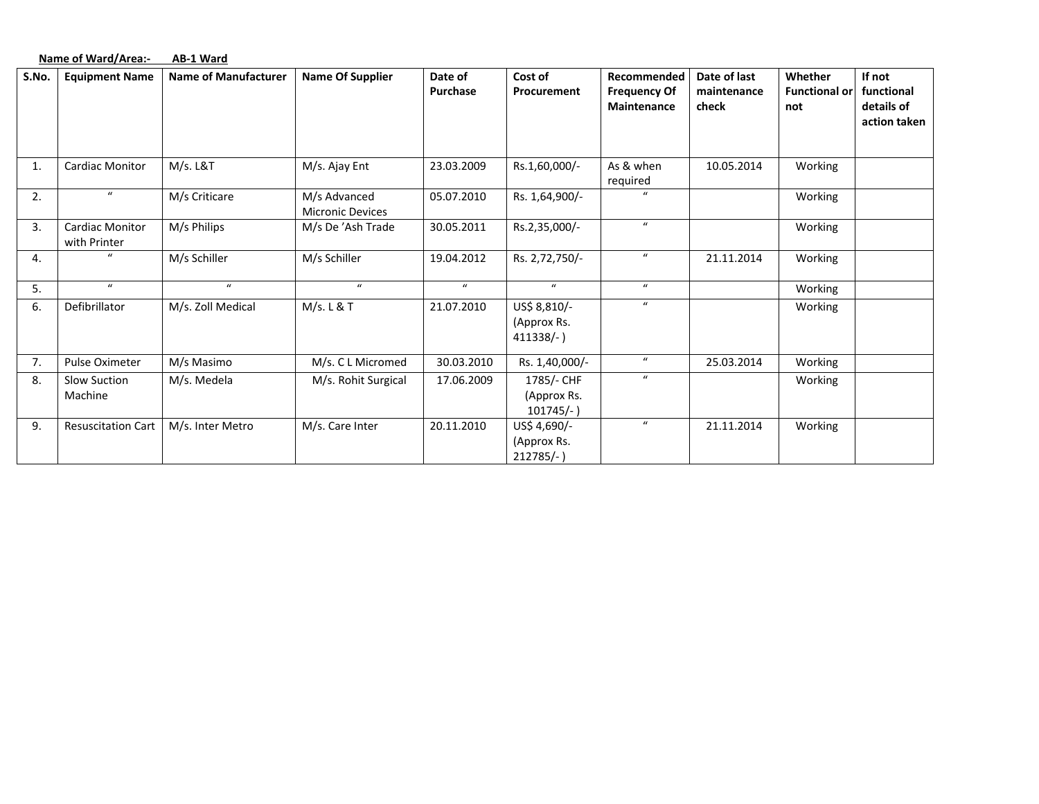| Name of Ward/Area:-<br>AB-1 Ward |
|----------------------------------|
|----------------------------------|

| S.No. | <b>Equipment Name</b>                  | <b>Name of Manufacturer</b> | <b>Name Of Supplier</b>                 | Date of<br><b>Purchase</b> | Cost of<br>Procurement                      | Recommended<br><b>Frequency Of</b><br>Maintenance | Date of last<br>maintenance<br>check | Whether<br><b>Functional or</b><br>not | If not<br>functional<br>details of<br>action taken |
|-------|----------------------------------------|-----------------------------|-----------------------------------------|----------------------------|---------------------------------------------|---------------------------------------------------|--------------------------------------|----------------------------------------|----------------------------------------------------|
| 1.    | <b>Cardiac Monitor</b>                 | M/s. L&T                    | M/s. Ajay Ent                           | 23.03.2009                 | Rs.1,60,000/-                               | As & when<br>required                             | 10.05.2014                           | Working                                |                                                    |
| 2.    | $\boldsymbol{u}$                       | M/s Criticare               | M/s Advanced<br><b>Micronic Devices</b> | 05.07.2010                 | Rs. 1,64,900/-                              | $\mathbf{u}$                                      |                                      | Working                                |                                                    |
| 3.    | <b>Cardiac Monitor</b><br>with Printer | M/s Philips                 | M/s De 'Ash Trade                       | 30.05.2011                 | Rs.2,35,000/-                               | $\boldsymbol{u}$                                  |                                      | Working                                |                                                    |
| 4.    |                                        | M/s Schiller                | M/s Schiller                            | 19.04.2012                 | Rs. 2,72,750/-                              | $\boldsymbol{u}$                                  | 21.11.2014                           | Working                                |                                                    |
| 5.    | $\mathbf{u}$                           | $\boldsymbol{u}$            | $\bf{u}$                                | $\boldsymbol{u}$           | $\boldsymbol{u}$                            | $\boldsymbol{u}$                                  |                                      | Working                                |                                                    |
| 6.    | Defibrillator                          | M/s. Zoll Medical           | M/s. L & T                              | 21.07.2010                 | US\$ 8,810/-<br>(Approx Rs.<br>$411338/-$ ) | $\boldsymbol{u}$                                  |                                      | Working                                |                                                    |
| 7.    | Pulse Oximeter                         | M/s Masimo                  | M/s. C L Micromed                       | 30.03.2010                 | Rs. 1,40,000/-                              | $\boldsymbol{u}$                                  | 25.03.2014                           | Working                                |                                                    |
| 8.    | <b>Slow Suction</b><br>Machine         | M/s. Medela                 | M/s. Rohit Surgical                     | 17.06.2009                 | 1785/- CHF<br>(Approx Rs.<br>$101745/-$ )   | $\boldsymbol{u}$                                  |                                      | Working                                |                                                    |
| 9.    | <b>Resuscitation Cart</b>              | M/s. Inter Metro            | M/s. Care Inter                         | 20.11.2010                 | US\$ 4,690/-<br>(Approx Rs.<br>$212785/-$   | $\boldsymbol{u}$                                  | 21.11.2014                           | Working                                |                                                    |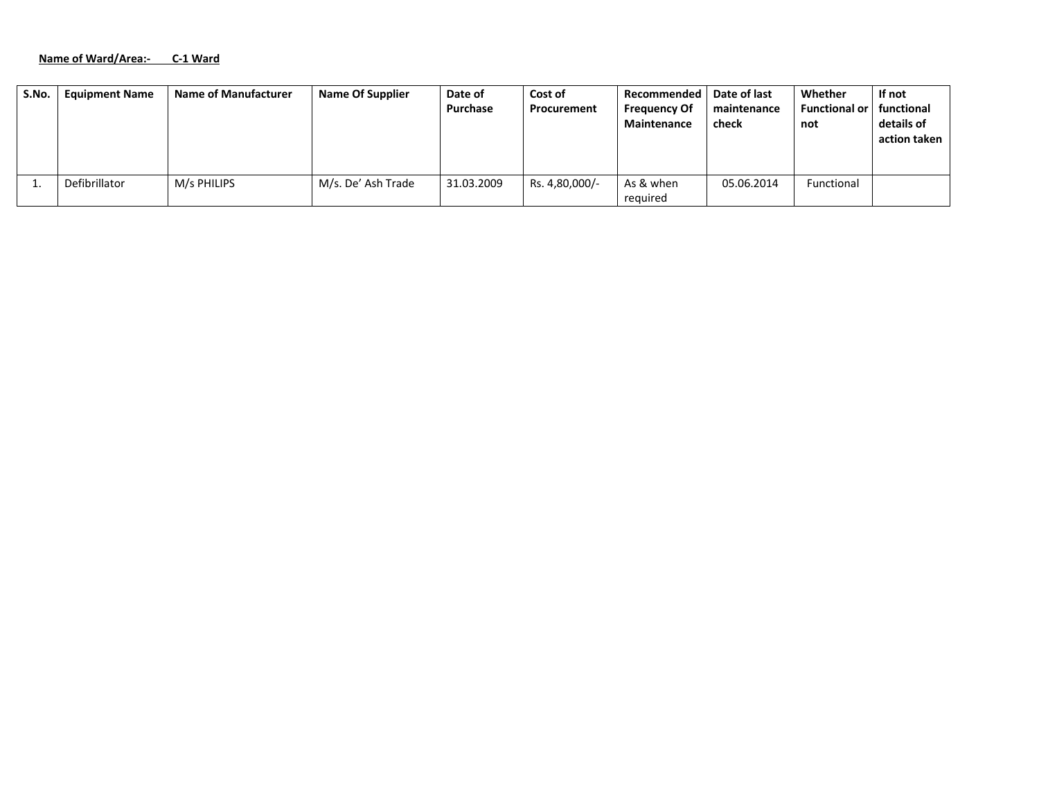#### **Name of Ward/Area:‐ C‐1 Ward**

| S.No. | <b>Equipment Name</b> | <b>Name of Manufacturer</b> | <b>Name Of Supplier</b> | Date of<br>Purchase | Cost of<br>Procurement | Recommended<br><b>Frequency Of</b><br><b>Maintenance</b> | Date of last<br>maintenance<br>check | Whether<br><b>Functional or</b><br>not | If not<br>functional<br>details of<br>action taken |
|-------|-----------------------|-----------------------------|-------------------------|---------------------|------------------------|----------------------------------------------------------|--------------------------------------|----------------------------------------|----------------------------------------------------|
|       | Defibrillator         | M/s PHILIPS                 | M/s. De' Ash Trade      | 31.03.2009          | Rs. 4,80,000/-         | As & when<br>required                                    | 05.06.2014                           | Functional                             |                                                    |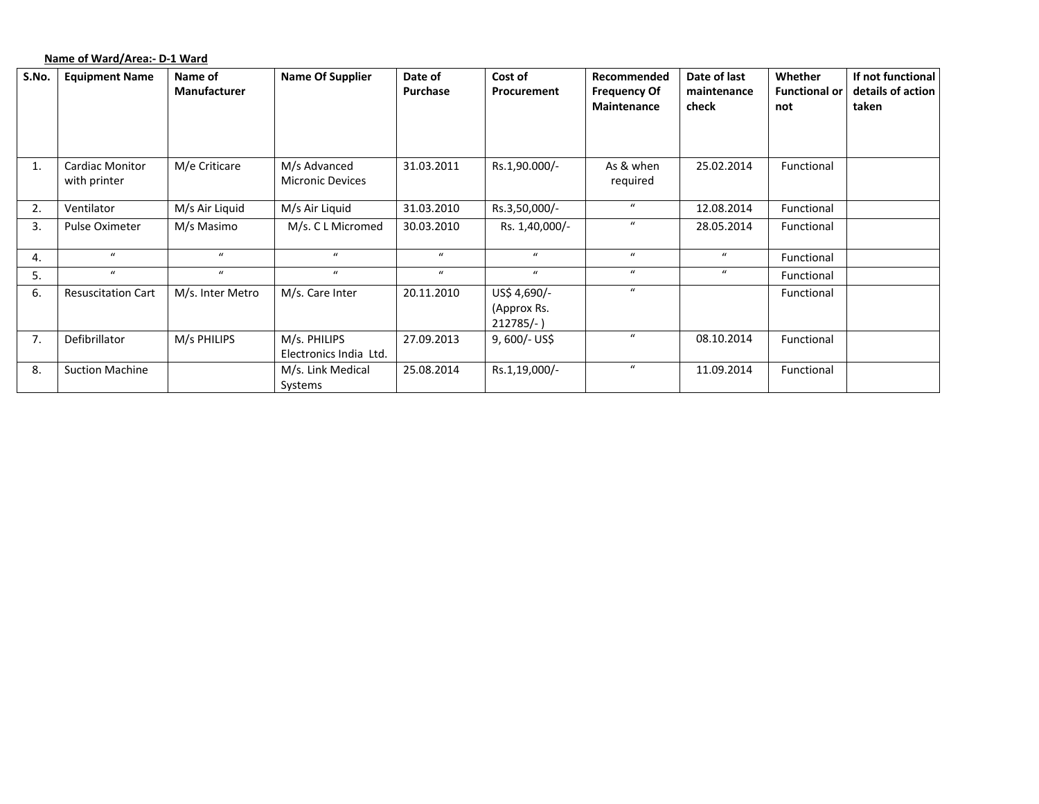## **Name of Ward/Area:‐ D‐1 Ward**

| S.No. | <b>Equipment Name</b>     | Name of          | <b>Name Of Supplier</b> | Date of          | Cost of        | Recommended         | Date of last     | Whether              | If not functional |
|-------|---------------------------|------------------|-------------------------|------------------|----------------|---------------------|------------------|----------------------|-------------------|
|       |                           | Manufacturer     |                         | Purchase         | Procurement    | <b>Frequency Of</b> | maintenance      | <b>Functional or</b> | details of action |
|       |                           |                  |                         |                  |                | Maintenance         | check            | not                  | taken             |
|       |                           |                  |                         |                  |                |                     |                  |                      |                   |
|       |                           |                  |                         |                  |                |                     |                  |                      |                   |
| 1.    | <b>Cardiac Monitor</b>    | M/e Criticare    | M/s Advanced            | 31.03.2011       | Rs.1,90.000/-  | As & when           | 25.02.2014       | Functional           |                   |
|       | with printer              |                  | <b>Micronic Devices</b> |                  |                | required            |                  |                      |                   |
|       |                           |                  |                         |                  |                |                     |                  |                      |                   |
| 2.    | Ventilator                | M/s Air Liquid   | M/s Air Liquid          | 31.03.2010       | Rs.3,50,000/-  | $\mathbf{u}$        | 12.08.2014       | Functional           |                   |
| 3.    | Pulse Oximeter            | M/s Masimo       | M/s. C L Micromed       | 30.03.2010       | Rs. 1,40,000/- | $\boldsymbol{u}$    | 28.05.2014       | Functional           |                   |
|       |                           |                  |                         |                  |                |                     |                  |                      |                   |
| 4.    | $\mathbf{u}$              | $\mathbf{u}$     | $\mathbf{u}$            | $\boldsymbol{u}$ | $\mathbf{u}$   | $\mathbf{u}$        | $\boldsymbol{u}$ | Functional           |                   |
| 5.    | $\bf{u}$                  | $\mathbf{u}$     | $\boldsymbol{u}$        | $\boldsymbol{u}$ | $\bf{u}$       | $\boldsymbol{u}$    | $\boldsymbol{u}$ | Functional           |                   |
| 6.    | <b>Resuscitation Cart</b> | M/s. Inter Metro | M/s. Care Inter         | 20.11.2010       | US\$ 4,690/-   | $\boldsymbol{u}$    |                  | Functional           |                   |
|       |                           |                  |                         |                  | (Approx Rs.    |                     |                  |                      |                   |
|       |                           |                  |                         |                  | $212785/-$     |                     |                  |                      |                   |
| 7.    | Defibrillator             | M/s PHILIPS      | M/s. PHILIPS            | 27.09.2013       | $9,600/-$ US\$ | $\mathbf{u}$        | 08.10.2014       | Functional           |                   |
|       |                           |                  | Electronics India Ltd.  |                  |                |                     |                  |                      |                   |
| 8.    | <b>Suction Machine</b>    |                  | M/s. Link Medical       | 25.08.2014       | Rs.1,19,000/-  | $\boldsymbol{u}$    | 11.09.2014       | Functional           |                   |
|       |                           |                  | Systems                 |                  |                |                     |                  |                      |                   |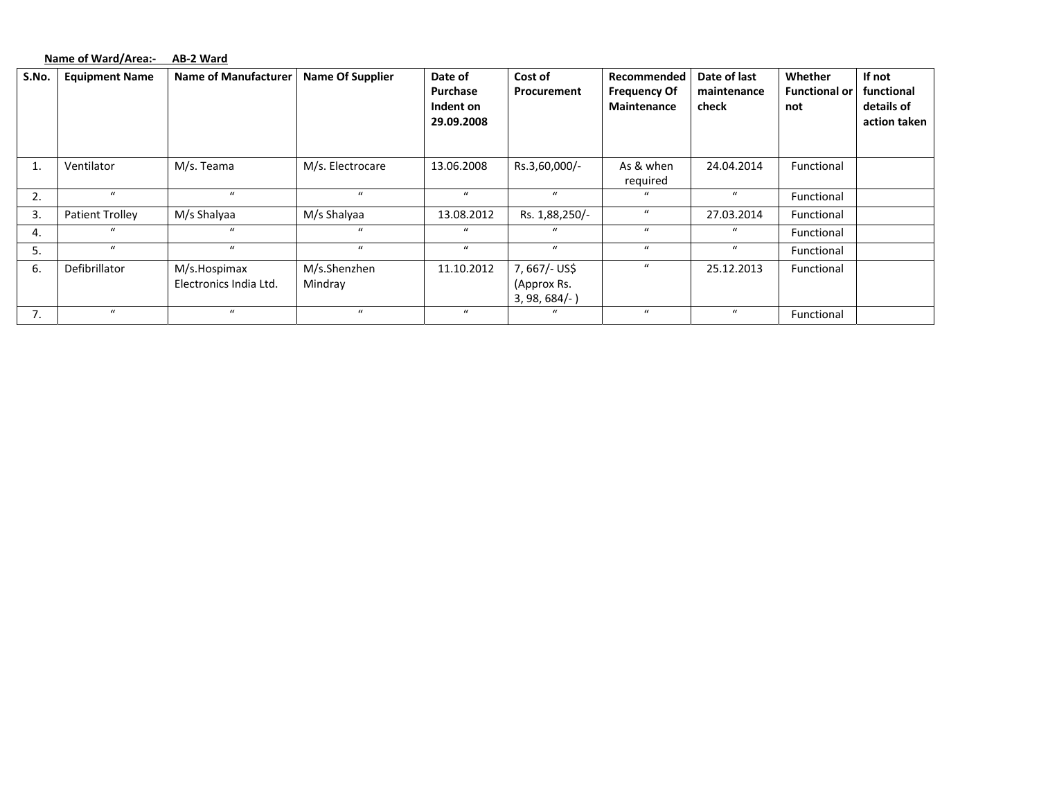#### **Name of Ward/Area:‐ AB‐2 Ward**

| S.No. | <b>Equipment Name</b>  | <b>Name of Manufacturer</b>            | <b>Name Of Supplier</b> | Date of<br>Purchase<br>Indent on<br>29.09.2008 | Cost of<br><b>Procurement</b>                  | Recommended<br><b>Frequency Of</b><br>Maintenance | Date of last<br>maintenance<br>check | Whether<br><b>Functional or</b><br>not | If not<br>functional<br>details of<br>action taken |
|-------|------------------------|----------------------------------------|-------------------------|------------------------------------------------|------------------------------------------------|---------------------------------------------------|--------------------------------------|----------------------------------------|----------------------------------------------------|
|       | Ventilator             | M/s. Teama                             | M/s. Electrocare        | 13.06.2008                                     | Rs.3,60,000/-                                  | As & when<br>required                             | 24.04.2014                           | Functional                             |                                                    |
| 2.    | $\mathbf{u}$           | $\mathbf{u}$                           | $\mathbf{u}$            | $\mathbf{u}$                                   | $\mathbf{u}$                                   | $\mathbf{u}$                                      | $\bf{u}$                             | Functional                             |                                                    |
| 3.    | <b>Patient Trolley</b> | M/s Shalyaa                            | M/s Shalyaa             | 13.08.2012                                     | Rs. 1,88,250/-                                 | $\bf{u}$                                          | 27.03.2014                           | Functional                             |                                                    |
| 4.    |                        | $\mathbf{u}$                           | $\mathbf{u}$            | $\mathbf{u}$                                   | $\mu$                                          | $\mathbf{u}$                                      | $\bf{u}$                             | Functional                             |                                                    |
| 5.    | $\mathbf{u}$           | $\mathbf{u}$                           | $\bf{u}$                | $\bf{u}$                                       | $\mathbf{u}$                                   | $\boldsymbol{u}$                                  | $\bf{u}$                             | Functional                             |                                                    |
| 6.    | Defibrillator          | M/s.Hospimax<br>Electronics India Ltd. | M/s.Shenzhen<br>Mindray | 11.10.2012                                     | 7, 667/- US\$<br>(Approx Rs.<br>$3, 98, 684/-$ | $\boldsymbol{u}$                                  | 25.12.2013                           | Functional                             |                                                    |
| 7.    | $\mathbf{u}$           | $\mathcal{U}$                          | $\mathbf{u}$            | $\mathbf{u}$                                   | $\alpha$                                       | $\mathbf{u}$                                      | $\mathbf{u}$                         | Functional                             |                                                    |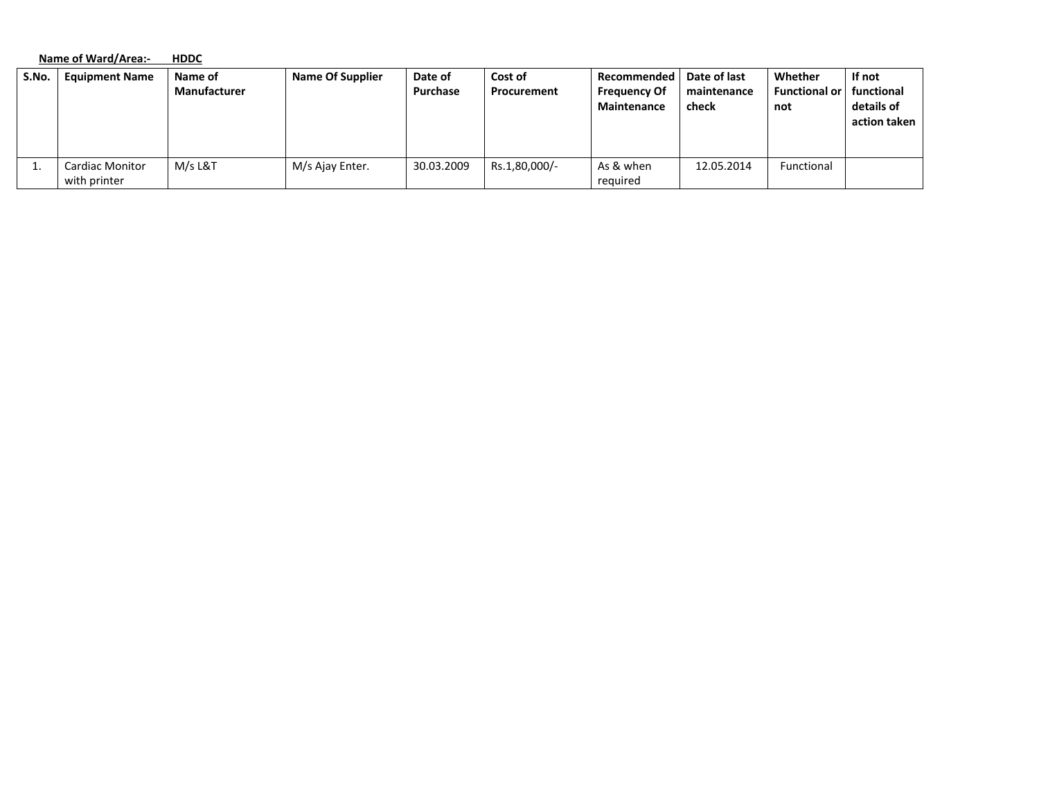|       | Name of Ward/Area:-                    | <b>HDDC</b>             |                         |                     |                        |                                                   |                                      |                                        |                                                    |  |  |
|-------|----------------------------------------|-------------------------|-------------------------|---------------------|------------------------|---------------------------------------------------|--------------------------------------|----------------------------------------|----------------------------------------------------|--|--|
| S.No. | <b>Equipment Name</b>                  | Name of<br>Manufacturer | <b>Name Of Supplier</b> | Date of<br>Purchase | Cost of<br>Procurement | Recommended<br><b>Frequency Of</b><br>Maintenance | Date of last<br>maintenance<br>check | Whether<br><b>Functional or</b><br>not | If not<br>functional<br>details of<br>action taken |  |  |
| ⊥.    | <b>Cardiac Monitor</b><br>with printer | M/s L&T                 | M/s Ajay Enter.         | 30.03.2009          | Rs.1,80,000/-          | As & when<br>required                             | 12.05.2014                           | Functional                             |                                                    |  |  |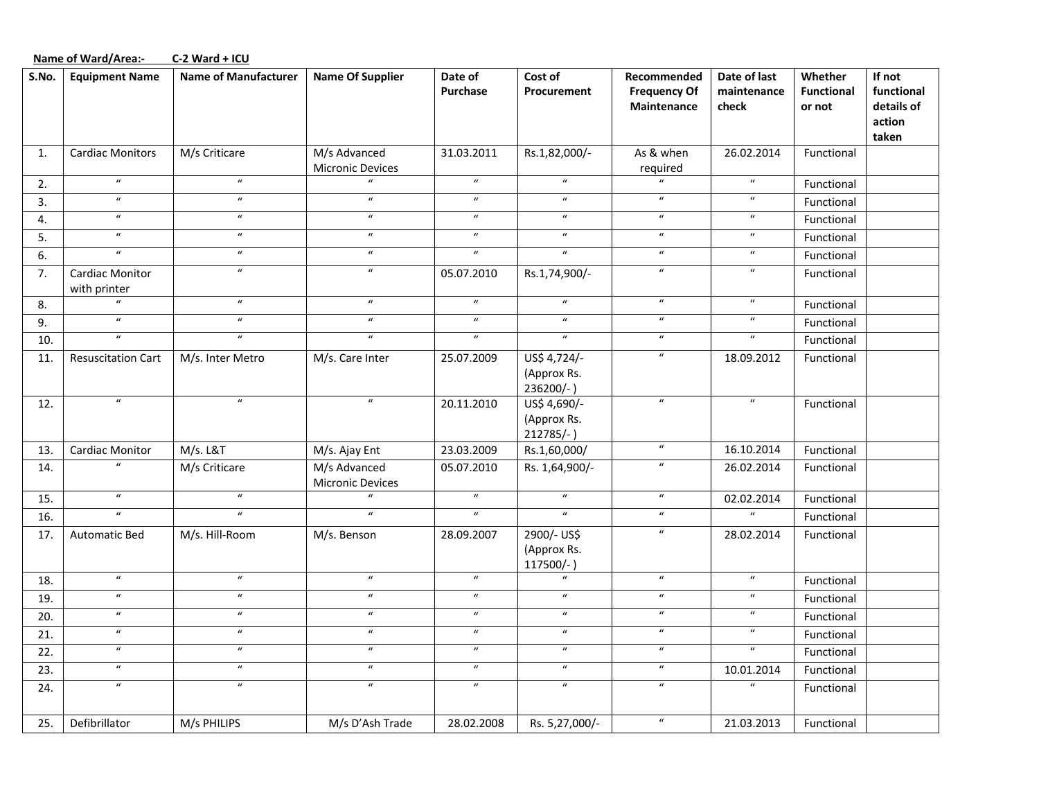#### **Name of Ward/Area:‐ C‐2 Ward <sup>+</sup> ICU**

| S.No. | <b>Equipment Name</b>           | <b>Name of Manufacturer</b> | <b>Name Of Supplier</b>          | Date of<br><b>Purchase</b> | Cost of<br>Procurement                      | Recommended<br><b>Frequency Of</b><br>Maintenance | Date of last<br>maintenance<br>check | Whether<br><b>Functional</b><br>or not | If not<br>functional<br>details of<br>action<br>taken |
|-------|---------------------------------|-----------------------------|----------------------------------|----------------------------|---------------------------------------------|---------------------------------------------------|--------------------------------------|----------------------------------------|-------------------------------------------------------|
| 1.    | <b>Cardiac Monitors</b>         | M/s Criticare               | M/s Advanced<br>Micronic Devices | 31.03.2011                 | Rs.1,82,000/-                               | As & when<br>required                             | 26.02.2014                           | Functional                             |                                                       |
| 2.    | $\boldsymbol{u}$                | $\boldsymbol{u}$            | $\mathbf{u}$                     | $\boldsymbol{u}$           | $\boldsymbol{u}$                            | $\overline{u}$                                    | $\boldsymbol{u}$                     | Functional                             |                                                       |
| 3.    | $\overline{u}$                  | $\boldsymbol{u}$            | $\overline{u}$                   | $\boldsymbol{u}$           | $\boldsymbol{u}$                            | $\boldsymbol{u}$                                  | $\overline{u}$                       | Functional                             |                                                       |
| 4.    | $\boldsymbol{u}$                | $\boldsymbol{\mathcal{U}}$  | $\boldsymbol{u}$                 | $\boldsymbol{u}$           | $\boldsymbol{u}$                            | $\boldsymbol{u}$                                  | $\boldsymbol{u}$                     | Functional                             |                                                       |
| 5.    | $\overline{u}$                  | $\overline{u}$              | $\overline{u}$                   | $\overline{u}$             | $\overline{u}$                              | $\overline{u}$                                    | $\overline{u}$                       | Functional                             |                                                       |
| 6.    | $\overline{u}$                  | $\boldsymbol{u}$            | $\boldsymbol{\mathcal{U}}$       | $\overline{u}$             | $\overline{u}$                              | $\boldsymbol{u}$                                  | $\overline{u}$                       | Functional                             |                                                       |
| 7.    | Cardiac Monitor<br>with printer | $\boldsymbol{\mathcal{U}}$  | $\boldsymbol{\mathcal{U}}$       | 05.07.2010                 | Rs.1,74,900/-                               | $\boldsymbol{u}$                                  | $\boldsymbol{u}$                     | Functional                             |                                                       |
| 8.    | $\overline{u}$                  | $\boldsymbol{u}$            | $\boldsymbol{u}$                 | $\overline{u}$             | $\overline{u}$                              | $\overline{u}$                                    | $\overline{u}$                       | Functional                             |                                                       |
| 9.    | $\overline{u}$                  | $\boldsymbol{u}$            | $\boldsymbol{\mathcal{U}}$       | $\overline{u}$             | $\overline{u}$                              | $\boldsymbol{u}$                                  | $\boldsymbol{u}$                     | Functional                             |                                                       |
| 10.   | $\boldsymbol{u}$                | $\boldsymbol{u}$            | $\boldsymbol{u}$                 | $\boldsymbol{u}$           | $\boldsymbol{u}$                            | $\boldsymbol{u}$                                  | $\overline{u}$                       | Functional                             |                                                       |
| 11.   | <b>Resuscitation Cart</b>       | M/s. Inter Metro            | M/s. Care Inter                  | 25.07.2009                 | US\$ 4,724/-<br>(Approx Rs.<br>236200/-)    | $\boldsymbol{u}$                                  | 18.09.2012                           | Functional                             |                                                       |
| 12.   | $\overline{u}$                  | $\overline{u}$              | $\overline{u}$                   | 20.11.2010                 | US\$ 4,690/-<br>(Approx Rs.<br>$212785/-$ ) | $\overline{u}$                                    | $\overline{u}$                       | Functional                             |                                                       |
| 13.   | Cardiac Monitor                 | <b>M/s. L&amp;T</b>         | M/s. Ajay Ent                    | 23.03.2009                 | Rs.1,60,000/                                | $\boldsymbol{u}$                                  | 16.10.2014                           | Functional                             |                                                       |
| 14.   | $\boldsymbol{u}$                | M/s Criticare               | M/s Advanced<br>Micronic Devices | 05.07.2010                 | Rs. 1,64,900/-                              | $\boldsymbol{u}$                                  | 26.02.2014                           | Functional                             |                                                       |
| 15.   | $\overline{u}$                  | $\overline{u}$              | $\mathbf{u}$                     | $\overline{u}$             | $\overline{u}$                              | $\boldsymbol{u}$                                  | 02.02.2014                           | Functional                             |                                                       |
| 16.   | $\boldsymbol{u}$                | $\boldsymbol{u}$            | $\boldsymbol{u}$                 | $\overline{u}$             | $\overline{u}$                              | $\boldsymbol{u}$                                  | $\boldsymbol{u}$                     | Functional                             |                                                       |
| 17.   | <b>Automatic Bed</b>            | M/s. Hill-Room              | M/s. Benson                      | 28.09.2007                 | 2900/- US\$<br>(Approx Rs.<br>117500/-      | $\boldsymbol{u}$                                  | 28.02.2014                           | Functional                             |                                                       |
| 18.   | $\boldsymbol{u}$                | $\boldsymbol{u}$            | $\boldsymbol{u}$                 | $\boldsymbol{u}$           | $\boldsymbol{u}$                            | $\boldsymbol{u}$                                  | $\boldsymbol{\mathcal{U}}$           | Functional                             |                                                       |
| 19.   | $\boldsymbol{u}$                | $\boldsymbol{u}$            | $\boldsymbol{u}$                 | $\boldsymbol{u}$           | $\boldsymbol{u}$                            | $\boldsymbol{u}$                                  | $\boldsymbol{\mathcal{U}}$           | Functional                             |                                                       |
| 20.   | $\overline{u}$                  | $\overline{u}$              | $\overline{u}$                   | $\overline{u}$             | $\overline{u}$                              | $\overline{u}$                                    | $\overline{u}$                       | Functional                             |                                                       |
| 21.   | $\boldsymbol{u}$                | $\boldsymbol{u}$            | $\boldsymbol{\mathcal{U}}$       | $\boldsymbol{u}$           | $\boldsymbol{u}$                            | $\boldsymbol{u}$                                  | $\boldsymbol{u}$                     | Functional                             |                                                       |
| 22.   | $\overline{u}$                  | $\overline{u}$              | $\overline{u}$                   | $\overline{u}$             | $\overline{u}$                              | $\overline{u}$                                    | $\overline{u}$                       | Functional                             |                                                       |
| 23.   | $\boldsymbol{u}$                | $\boldsymbol{u}$            | $\boldsymbol{u}$                 | $\boldsymbol{u}$           | $\boldsymbol{u}$                            | $\boldsymbol{u}$                                  | 10.01.2014                           | Functional                             |                                                       |
| 24.   | $\overline{u}$                  | $\overline{u}$              | $\boldsymbol{\mathcal{U}}$       | $\boldsymbol{u}$           | $\boldsymbol{u}$                            | $\boldsymbol{u}$                                  | $\overline{u}$                       | Functional                             |                                                       |
| 25.   | Defibrillator                   | M/s PHILIPS                 | M/s D'Ash Trade                  | 28.02.2008                 | Rs. 5,27,000/-                              | $\boldsymbol{u}$                                  | 21.03.2013                           | Functional                             |                                                       |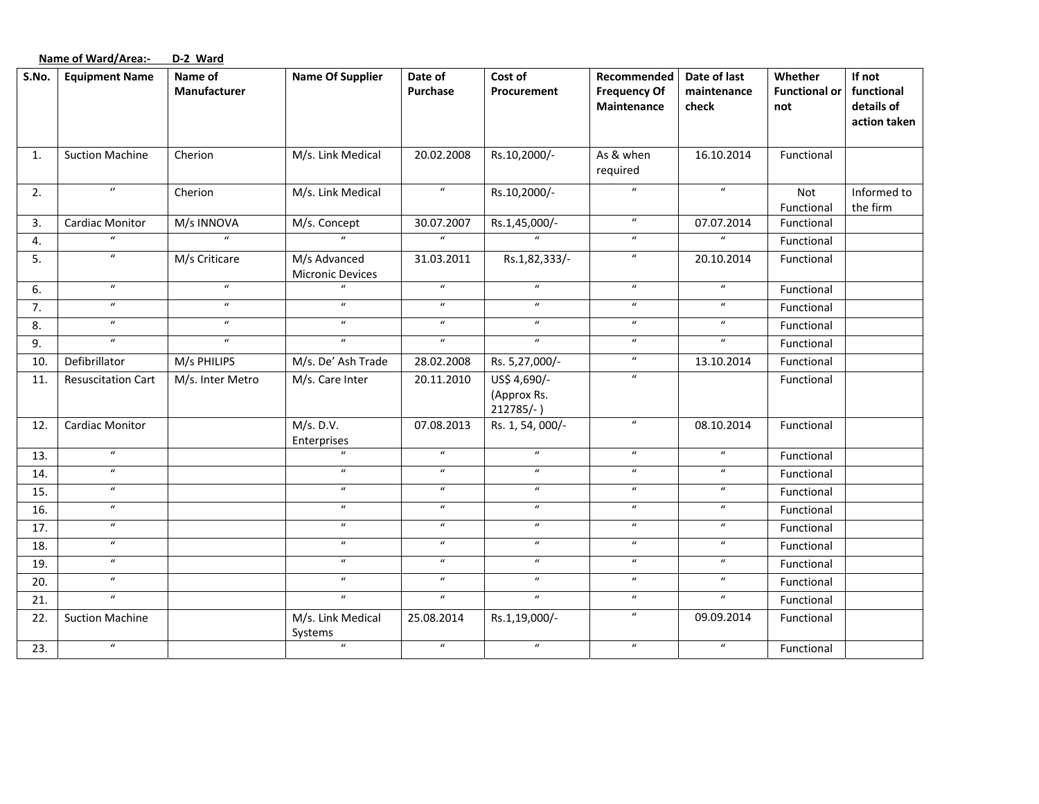|       | <b>Name of Ward/Area:-</b> | D-2 Ward                |                                         |                            |                                             |                                                   |                                      |                                        |                                                    |
|-------|----------------------------|-------------------------|-----------------------------------------|----------------------------|---------------------------------------------|---------------------------------------------------|--------------------------------------|----------------------------------------|----------------------------------------------------|
| S.No. | <b>Equipment Name</b>      | Name of<br>Manufacturer | <b>Name Of Supplier</b>                 | Date of<br>Purchase        | Cost of<br>Procurement                      | Recommended<br><b>Frequency Of</b><br>Maintenance | Date of last<br>maintenance<br>check | Whether<br><b>Functional or</b><br>not | If not<br>functional<br>details of<br>action taken |
| 1.    | <b>Suction Machine</b>     | Cherion                 | M/s. Link Medical                       | 20.02.2008                 | Rs.10,2000/-                                | As & when<br>required                             | 16.10.2014                           | Functional                             |                                                    |
| 2.    | $\boldsymbol{\theta}$      | Cherion                 | M/s. Link Medical                       | $\boldsymbol{\mathcal{U}}$ | Rs.10,2000/-                                | $\boldsymbol{u}$                                  | $\boldsymbol{u}$                     | Not<br>Functional                      | Informed to<br>the firm                            |
| 3.    | Cardiac Monitor            | M/s INNOVA              | M/s. Concept                            | 30.07.2007                 | Rs.1,45,000/-                               | $\boldsymbol{u}$                                  | 07.07.2014                           | Functional                             |                                                    |
| 4.    | $\boldsymbol{u}$           | $\boldsymbol{u}$        | $\overline{u}$                          | $\overline{u}$             | $\overline{u}$                              | $\boldsymbol{u}$                                  | $\boldsymbol{u}$                     | Functional                             |                                                    |
| 5.    | $\boldsymbol{u}$           | M/s Criticare           | M/s Advanced<br><b>Micronic Devices</b> | 31.03.2011                 | Rs.1,82,333/-                               | $\boldsymbol{\mathcal{U}}$                        | 20.10.2014                           | Functional                             |                                                    |
| 6.    | $\boldsymbol{u}$           | $\boldsymbol{u}$        |                                         | $\boldsymbol{u}$           | $\boldsymbol{u}$                            | $\boldsymbol{u}$                                  | $\boldsymbol{u}$                     | Functional                             |                                                    |
| 7.    | $\boldsymbol{u}$           | $\boldsymbol{u}$        | $\boldsymbol{u}$                        | $\boldsymbol{u}$           | $\boldsymbol{\mathcal{U}}$                  | $\boldsymbol{u}$                                  | $\boldsymbol{u}$                     | Functional                             |                                                    |
| 8.    | $\boldsymbol{\mathcal{U}}$ | $\boldsymbol{u}$        | $\boldsymbol{u}$                        | $\boldsymbol{u}$           | $\boldsymbol{u}$                            | $\boldsymbol{u}$                                  | $\boldsymbol{u}$                     | Functional                             |                                                    |
| 9.    | $\overline{u}$             | $\overline{u}$          | $\overline{u}$                          | $\overline{u}$             | $\overline{u}$                              | $\boldsymbol{u}$                                  | $\overline{u}$                       | Functional                             |                                                    |
| 10.   | Defibrillator              | M/s PHILIPS             | M/s. De' Ash Trade                      | 28.02.2008                 | Rs. 5,27,000/-                              | $\boldsymbol{u}$                                  | 13.10.2014                           | Functional                             |                                                    |
| 11.   | <b>Resuscitation Cart</b>  | M/s. Inter Metro        | M/s. Care Inter                         | 20.11.2010                 | US\$ 4,690/-<br>(Approx Rs.<br>$212785/-$ ) | $\boldsymbol{u}$                                  |                                      | Functional                             |                                                    |
| 12.   | Cardiac Monitor            |                         | M/s. D.V.<br>Enterprises                | 07.08.2013                 | Rs. 1, 54, 000/-                            | $\boldsymbol{\mathcal{U}}$                        | 08.10.2014                           | Functional                             |                                                    |
| 13.   | $\boldsymbol{u}$           |                         | $\boldsymbol{u}$                        | $\boldsymbol{u}$           | $\boldsymbol{u}$                            | $\boldsymbol{u}$                                  | $\boldsymbol{\mathcal{U}}$           | Functional                             |                                                    |
| 14.   | $\boldsymbol{u}$           |                         | $\boldsymbol{u}$                        | $\boldsymbol{u}$           | $\overline{u}$                              | $\boldsymbol{u}$                                  | $\boldsymbol{\mathcal{U}}$           | Functional                             |                                                    |
| 15.   | $\boldsymbol{u}$           |                         | $\boldsymbol{u}$                        | $\boldsymbol{u}$           | $\boldsymbol{\mathcal{U}}$                  | $\boldsymbol{u}$                                  | $\boldsymbol{\mathcal{U}}$           | Functional                             |                                                    |
| 16.   | $\boldsymbol{u}$           |                         | $\boldsymbol{\mathcal{U}}$              | $\overline{u}$             | $\overline{u}$                              | $\boldsymbol{u}$                                  | $\boldsymbol{u}$                     | Functional                             |                                                    |
| 17.   | $\overline{u}$             |                         | $\overline{u}$                          | $\overline{u}$             | $\overline{u}$                              | $\overline{u}$                                    | $\boldsymbol{u}$                     | Functional                             |                                                    |
| 18.   | $\boldsymbol{u}$           |                         | $\boldsymbol{u}$                        | $\boldsymbol{u}$           | $\boldsymbol{\mathcal{U}}$                  | $\boldsymbol{u}$                                  | $\boldsymbol{u}$                     | Functional                             |                                                    |
| 19.   | $\boldsymbol{u}$           |                         | $\boldsymbol{u}$                        | $\boldsymbol{u}$           | $\boldsymbol{u}$                            | $\boldsymbol{u}$                                  | $\boldsymbol{u}$                     | Functional                             |                                                    |
| 20.   | $\overline{u}$             |                         | $\overline{u}$                          | $\overline{u}$             | $\overline{u}$                              | $\overline{u}$                                    | $\boldsymbol{u}$                     | Functional                             |                                                    |
| 21.   | $\overline{u}$             |                         | $\overline{u}$                          | $\overline{u}$             | $\overline{u}$                              | $\boldsymbol{u}$                                  | $\boldsymbol{u}$                     | Functional                             |                                                    |
| 22.   | <b>Suction Machine</b>     |                         | M/s. Link Medical<br>Systems            | 25.08.2014                 | Rs.1,19,000/-                               | $\boldsymbol{u}$                                  | 09.09.2014                           | Functional                             |                                                    |
| 23.   | $\overline{u}$             |                         | $\overline{u}$                          | $\overline{u}$             | $\overline{u}$                              | $\boldsymbol{u}$                                  | $\boldsymbol{\mathcal{U}}$           | Functional                             |                                                    |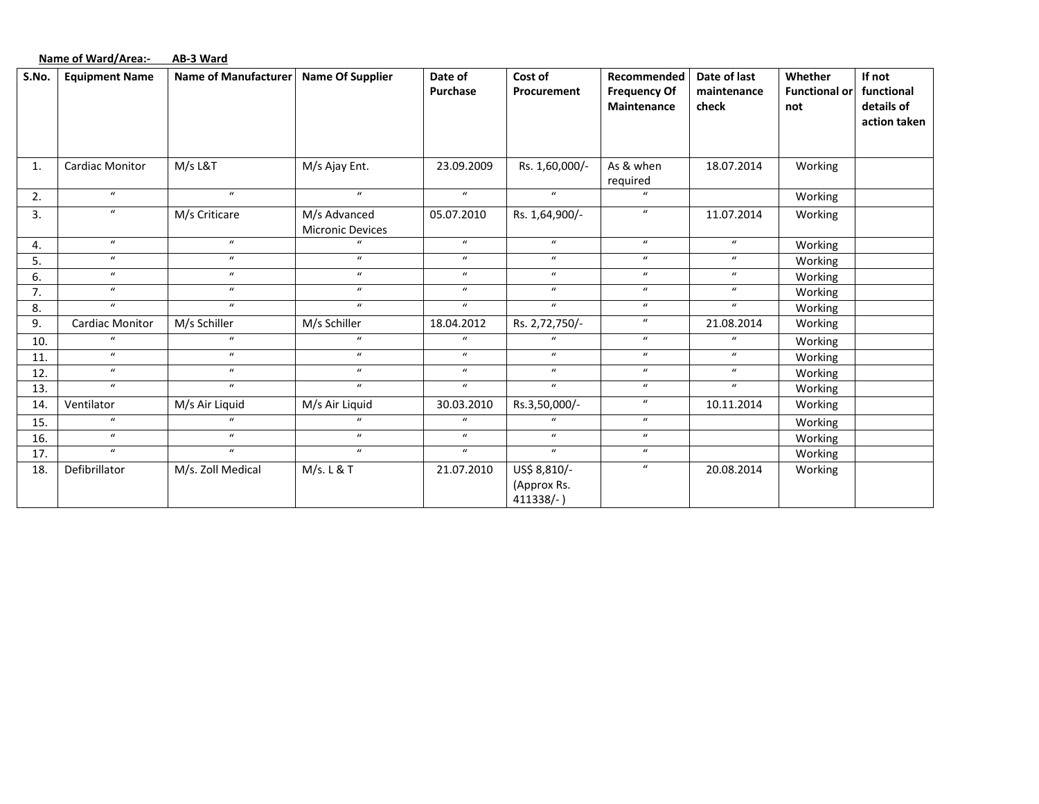|       | <b>Name of Ward/Area:-</b> | AB-3 Ward                   |                                         |                            |                                          |                                                          |                                      |                                        |                                                    |
|-------|----------------------------|-----------------------------|-----------------------------------------|----------------------------|------------------------------------------|----------------------------------------------------------|--------------------------------------|----------------------------------------|----------------------------------------------------|
| S.No. | <b>Equipment Name</b>      | <b>Name of Manufacturer</b> | <b>Name Of Supplier</b>                 | Date of<br>Purchase        | Cost of<br>Procurement                   | Recommended<br><b>Frequency Of</b><br><b>Maintenance</b> | Date of last<br>maintenance<br>check | Whether<br><b>Functional or</b><br>not | If not<br>functional<br>details of<br>action taken |
| 1.    | <b>Cardiac Monitor</b>     | M/s L&T                     | M/s Ajay Ent.                           | 23.09.2009                 | Rs. 1,60,000/-                           | As & when<br>required                                    | 18.07.2014                           | Working                                |                                                    |
| 2.    | $\boldsymbol{u}$           | $\mathbf{u}$                | $\boldsymbol{u}$                        | $\boldsymbol{u}$           | $\boldsymbol{u}$                         | $\boldsymbol{u}$                                         |                                      | Working                                |                                                    |
| 3.    | $\boldsymbol{u}$           | M/s Criticare               | M/s Advanced<br><b>Micronic Devices</b> | 05.07.2010                 | Rs. 1,64,900/-                           | $\boldsymbol{u}$                                         | 11.07.2014                           | Working                                |                                                    |
| 4.    | $\boldsymbol{u}$           | $\boldsymbol{u}$            | $\mathbf{u}$                            | $\boldsymbol{u}$           | $\boldsymbol{u}$                         | $\boldsymbol{u}$                                         | $\boldsymbol{u}$                     | Working                                |                                                    |
| 5.    | $\boldsymbol{u}$           | $\boldsymbol{u}$            | $\boldsymbol{u}$                        | $\boldsymbol{u}$           | $\boldsymbol{u}$                         | $\boldsymbol{u}$                                         | $\boldsymbol{u}$                     | Working                                |                                                    |
| 6.    | $\boldsymbol{u}$           | $\boldsymbol{u}$            | $\boldsymbol{u}$                        | $\boldsymbol{u}$           | $\boldsymbol{u}$                         | $\boldsymbol{u}$                                         | $\boldsymbol{u}$                     | Working                                |                                                    |
| 7.    | $\boldsymbol{u}$           | $\mathbf{u}$                | $\boldsymbol{u}$                        | $\boldsymbol{\mathcal{U}}$ | $\boldsymbol{u}$                         | $\boldsymbol{u}$                                         | $\boldsymbol{u}$                     | Working                                |                                                    |
| 8.    | $\boldsymbol{u}$           | $\boldsymbol{u}$            | $\boldsymbol{u}$                        | $\boldsymbol{u}$           | $\boldsymbol{u}$                         | $\boldsymbol{u}$                                         | $\boldsymbol{u}$                     | Working                                |                                                    |
| 9.    | Cardiac Monitor            | M/s Schiller                | M/s Schiller                            | 18.04.2012                 | Rs. 2,72,750/-                           | $\boldsymbol{u}$                                         | 21.08.2014                           | Working                                |                                                    |
| 10.   | $\mathbf{u}$               | $\boldsymbol{u}$            | $\boldsymbol{u}$                        | $\boldsymbol{u}$           | $\bf{u}$                                 | $\boldsymbol{u}$                                         | $\mathbf{u}$                         | Working                                |                                                    |
| 11.   | $\boldsymbol{u}$           | $\boldsymbol{u}$            | $\boldsymbol{u}$                        | $\boldsymbol{u}$           | $\boldsymbol{u}$                         | $\boldsymbol{u}$                                         | $\boldsymbol{u}$                     | Working                                |                                                    |
| 12.   | $\boldsymbol{u}$           | $\boldsymbol{u}$            | $\boldsymbol{u}$                        | $\boldsymbol{u}$           | $\boldsymbol{u}$                         | $\boldsymbol{u}$                                         | $\boldsymbol{u}$                     | Working                                |                                                    |
| 13.   | $\mathbf{u}$               | $\boldsymbol{u}$            | $\mathbf{u}$                            | $\boldsymbol{u}$           | $\boldsymbol{u}$                         | $\boldsymbol{u}$                                         | $\boldsymbol{u}$                     | Working                                |                                                    |
| 14.   | Ventilator                 | M/s Air Liquid              | M/s Air Liquid                          | 30.03.2010                 | Rs.3,50,000/-                            | $\boldsymbol{u}$                                         | 10.11.2014                           | Working                                |                                                    |
| 15.   | $\boldsymbol{u}$           | $\mathbf{u}$                | $\boldsymbol{u}$                        | $\boldsymbol{u}$           | $\boldsymbol{u}$                         | $\boldsymbol{u}$                                         |                                      | Working                                |                                                    |
| 16.   | $\boldsymbol{u}$           | $\boldsymbol{u}$            | $\boldsymbol{u}$                        | $\boldsymbol{u}$           | $\boldsymbol{u}$                         | $\boldsymbol{u}$                                         |                                      | Working                                |                                                    |
| 17.   | $\boldsymbol{u}$           | $\overline{u}$              | $\overline{u}$                          | $\boldsymbol{u}$           | $\boldsymbol{u}$                         | $\boldsymbol{u}$                                         |                                      | Working                                |                                                    |
| 18.   | Defibrillator              | M/s. Zoll Medical           | M/s. L & T                              | 21.07.2010                 | US\$ 8,810/-<br>(Approx Rs.<br>411338/-) | $\boldsymbol{\mathcal{U}}$                               | 20.08.2014                           | Working                                |                                                    |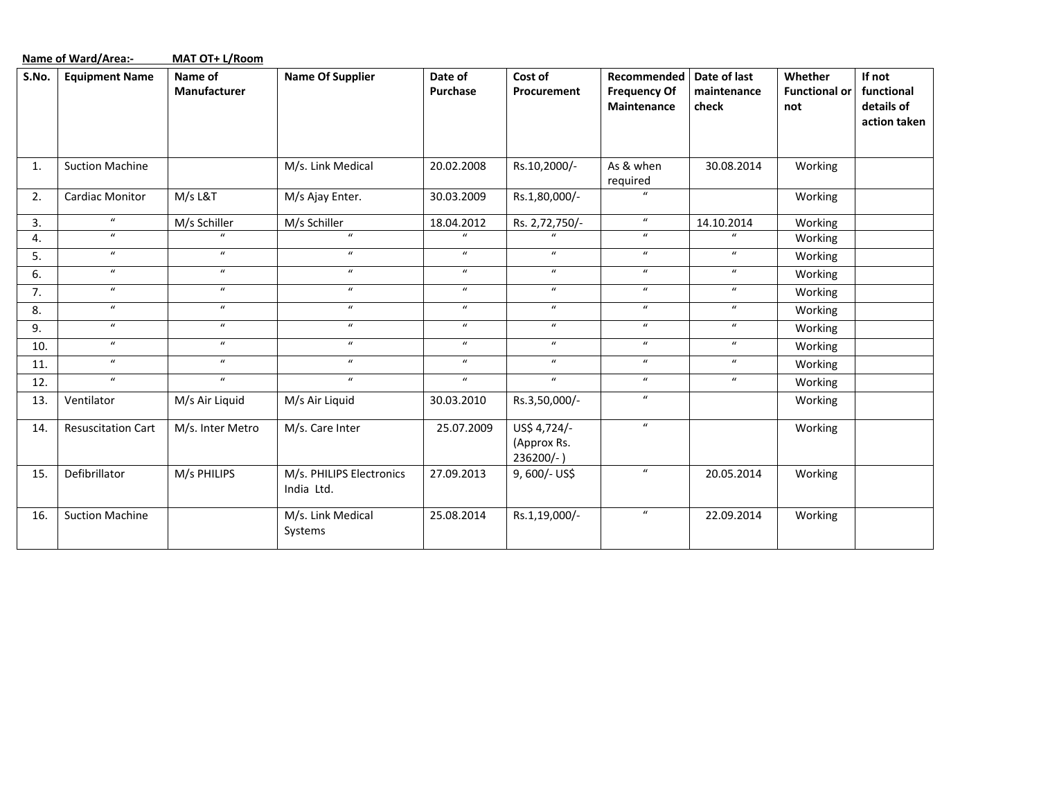|       | <b>Name of Ward/Area:-</b> | MAT OT+ L/Room          |                                        |                     |                                             |                                                   |                                      |                                        |                                                    |
|-------|----------------------------|-------------------------|----------------------------------------|---------------------|---------------------------------------------|---------------------------------------------------|--------------------------------------|----------------------------------------|----------------------------------------------------|
| S.No. | <b>Equipment Name</b>      | Name of<br>Manufacturer | <b>Name Of Supplier</b>                | Date of<br>Purchase | Cost of<br>Procurement                      | Recommended<br><b>Frequency Of</b><br>Maintenance | Date of last<br>maintenance<br>check | Whether<br><b>Functional or</b><br>not | If not<br>functional<br>details of<br>action taken |
| 1.    | <b>Suction Machine</b>     |                         | M/s. Link Medical                      | 20.02.2008          | Rs.10,2000/-                                | As & when<br>required                             | 30.08.2014                           | Working                                |                                                    |
| 2.    | <b>Cardiac Monitor</b>     | M/s L&T                 | M/s Ajay Enter.                        | 30.03.2009          | Rs.1,80,000/-                               | $\boldsymbol{u}$                                  |                                      | Working                                |                                                    |
| 3.    | $\boldsymbol{u}$           | M/s Schiller            | M/s Schiller                           | 18.04.2012          | Rs. 2,72,750/-                              | $\boldsymbol{u}$                                  | 14.10.2014                           | Working                                |                                                    |
| 4.    | $\boldsymbol{\mathcal{U}}$ | $\boldsymbol{u}$        | $\boldsymbol{u}$                       | $\boldsymbol{u}$    |                                             | $\boldsymbol{u}$                                  | $\boldsymbol{u}$                     | Working                                |                                                    |
| 5.    | $\boldsymbol{u}$           | $\mu$                   | $\boldsymbol{u}$                       | $\boldsymbol{u}$    | $\boldsymbol{u}$                            | $\boldsymbol{u}$                                  | $\boldsymbol{u}$                     | Working                                |                                                    |
| 6.    | $\boldsymbol{u}$           | $\boldsymbol{u}$        | $\boldsymbol{u}$                       | $\boldsymbol{u}$    | $\boldsymbol{u}$                            | $\boldsymbol{u}$                                  | $\boldsymbol{\mathcal{U}}$           | Working                                |                                                    |
| 7.    | $\boldsymbol{u}$           | $\overline{u}$          | $\boldsymbol{u}$                       | $\boldsymbol{u}$    | $\boldsymbol{u}$                            | $\boldsymbol{u}$                                  | $\boldsymbol{u}$                     | Working                                |                                                    |
| 8.    | $\boldsymbol{u}$           | $\mu$                   | $\boldsymbol{u}$                       | $\boldsymbol{u}$    | $\boldsymbol{u}$                            | $\boldsymbol{u}$                                  | $\boldsymbol{u}$                     | Working                                |                                                    |
| 9.    | $\boldsymbol{u}$           | $\boldsymbol{u}$        | $\boldsymbol{u}$                       | $\boldsymbol{u}$    | $\boldsymbol{u}$                            | $\boldsymbol{u}$                                  | $\boldsymbol{\mathcal{U}}$           | Working                                |                                                    |
| 10.   | $\boldsymbol{u}$           | $\boldsymbol{u}$        | $\boldsymbol{u}$                       | $\boldsymbol{u}$    | $\boldsymbol{u}$                            | $\boldsymbol{u}$                                  | $\boldsymbol{\mathcal{U}}$           | Working                                |                                                    |
| 11.   | $\boldsymbol{u}$           | $\boldsymbol{u}$        | $\boldsymbol{u}$                       | $\boldsymbol{u}$    | $\boldsymbol{u}$                            | $\boldsymbol{u}$                                  | $\boldsymbol{u}$                     | Working                                |                                                    |
| 12.   | $\boldsymbol{u}$           | $\boldsymbol{u}$        | $\boldsymbol{u}$                       | $\boldsymbol{u}$    | $\mathbf{u}$                                | $\boldsymbol{u}$                                  | $\boldsymbol{u}$                     | Working                                |                                                    |
| 13.   | Ventilator                 | M/s Air Liquid          | M/s Air Liquid                         | 30.03.2010          | Rs.3,50,000/-                               | $\boldsymbol{u}$                                  |                                      | Working                                |                                                    |
| 14.   | <b>Resuscitation Cart</b>  | M/s. Inter Metro        | M/s. Care Inter                        | 25.07.2009          | US\$ 4,724/-<br>(Approx Rs.<br>$236200/-$ ) | $\boldsymbol{u}$                                  |                                      | Working                                |                                                    |
| 15.   | Defibrillator              | M/s PHILIPS             | M/s. PHILIPS Electronics<br>India Ltd. | 27.09.2013          | 9,600/- US\$                                | $\boldsymbol{u}$                                  | 20.05.2014                           | Working                                |                                                    |
| 16.   | <b>Suction Machine</b>     |                         | M/s. Link Medical<br>Systems           | 25.08.2014          | Rs.1,19,000/-                               | $\boldsymbol{u}$                                  | 22.09.2014                           | Working                                |                                                    |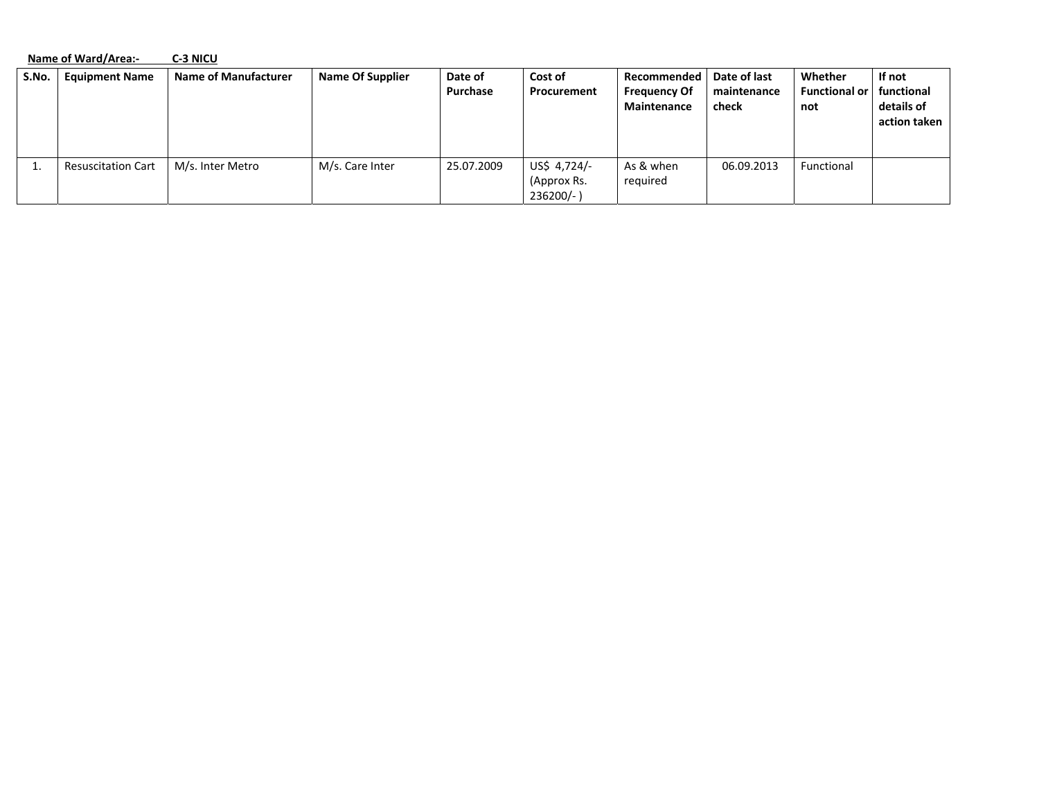|       | Name of Ward/Area:-       | C-3 NICU                    |                         |                     |                                             |                                                     |                                      |                                        |                                                      |
|-------|---------------------------|-----------------------------|-------------------------|---------------------|---------------------------------------------|-----------------------------------------------------|--------------------------------------|----------------------------------------|------------------------------------------------------|
| S.No. | <b>Equipment Name</b>     | <b>Name of Manufacturer</b> | <b>Name Of Supplier</b> | Date of<br>Purchase | Cost of<br>Procurement                      | Recommended  <br><b>Frequency Of</b><br>Maintenance | Date of last<br>maintenance<br>check | Whether<br><b>Functional or</b><br>not | If not<br>  functional<br>details of<br>action taken |
|       | <b>Resuscitation Cart</b> | M/s. Inter Metro            | M/s. Care Inter         | 25.07.2009          | US\$ 4,724/-<br>(Approx Rs.<br>$236200/-$ ) | As & when<br>required                               | 06.09.2013                           | Functional                             |                                                      |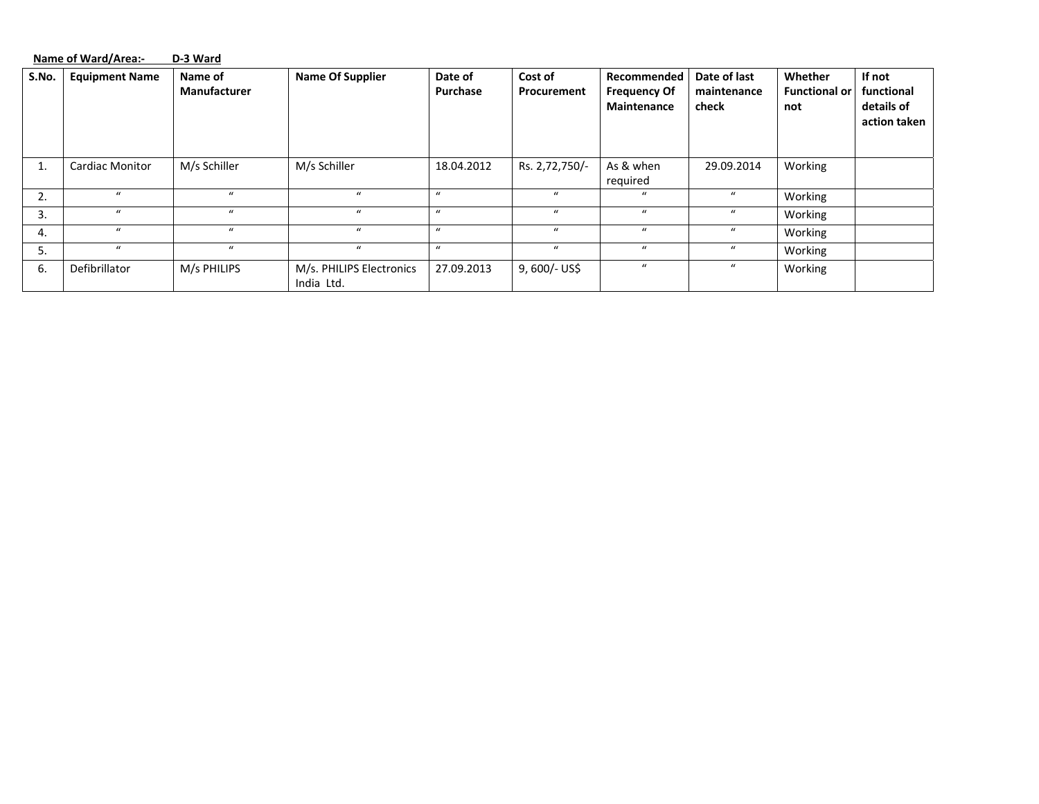|       | Name of Ward/Area:-<br>D-3 Ward |                         |                                        |                     |                        |                                                   |                                      |                                        |                                                    |  |
|-------|---------------------------------|-------------------------|----------------------------------------|---------------------|------------------------|---------------------------------------------------|--------------------------------------|----------------------------------------|----------------------------------------------------|--|
| S.No. | <b>Equipment Name</b>           | Name of<br>Manufacturer | <b>Name Of Supplier</b>                | Date of<br>Purchase | Cost of<br>Procurement | Recommended<br><b>Frequency Of</b><br>Maintenance | Date of last<br>maintenance<br>check | Whether<br><b>Functional or</b><br>not | If not<br>functional<br>details of<br>action taken |  |
| 1.    | <b>Cardiac Monitor</b>          | M/s Schiller            | M/s Schiller                           | 18.04.2012          | Rs. 2,72,750/-         | As & when<br>required                             | 29.09.2014                           | Working                                |                                                    |  |
| 2.    | $\mathbf{u}$                    | $\mathbf{u}$            | $\mathbf{u}$                           | $\mathbf{u}$        | $\mathbf{u}$           | $\mathbf{u}$                                      | $\boldsymbol{u}$                     | Working                                |                                                    |  |
| 3.    | $\mathbf{u}$                    | $\mathbf{u}$            | $\boldsymbol{u}$                       | $\mathbf{u}$        | $\mathbf{u}$           | $\mathbf{u}$                                      | $\mathbf{u}$                         | Working                                |                                                    |  |
| 4.    | $\mathbf{u}$                    | $\mathbf{u}$            | $\mathbf{u}$                           | $\mathbf{u}$        | $\mathbf{u}$           | $\bf{u}$                                          | $\mathbf{u}$                         | Working                                |                                                    |  |
| 5.    | $\mathbf{u}$                    | $\boldsymbol{u}$        | $\boldsymbol{u}$                       | $\mathcal{U}$       | $\mathbf u$            | $\mathbf{u}$                                      | $\boldsymbol{u}$                     | Working                                |                                                    |  |
| 6.    | Defibrillator                   | M/s PHILIPS             | M/s. PHILIPS Electronics<br>India Ltd. | 27.09.2013          | 9, 600/- US\$          | $\bf{u}$                                          | $\boldsymbol{u}$                     | Working                                |                                                    |  |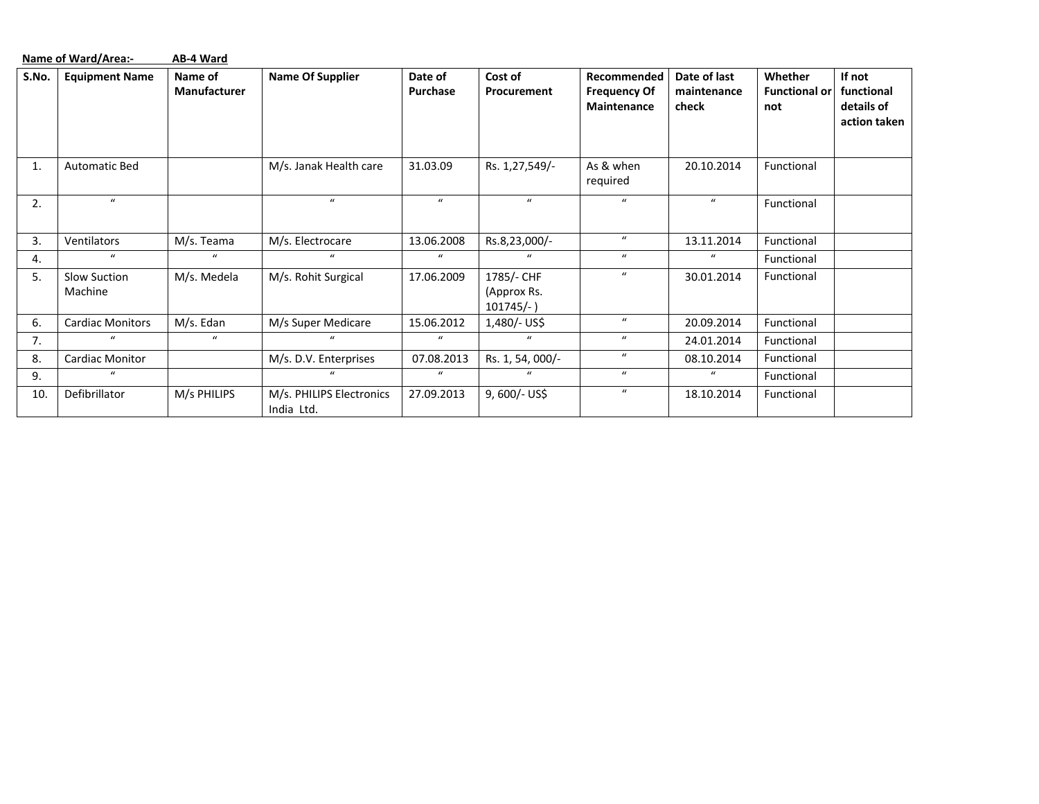|       | Name of Ward/Area:-<br>AB-4 Ward |                         |                                        |                     |                                           |                                                   |                                      |                                        |                                                    |  |  |
|-------|----------------------------------|-------------------------|----------------------------------------|---------------------|-------------------------------------------|---------------------------------------------------|--------------------------------------|----------------------------------------|----------------------------------------------------|--|--|
| S.No. | <b>Equipment Name</b>            | Name of<br>Manufacturer | <b>Name Of Supplier</b>                | Date of<br>Purchase | Cost of<br>Procurement                    | Recommended<br><b>Frequency Of</b><br>Maintenance | Date of last<br>maintenance<br>check | Whether<br><b>Functional or</b><br>not | If not<br>functional<br>details of<br>action taken |  |  |
| 1.    | <b>Automatic Bed</b>             |                         | M/s. Janak Health care                 | 31.03.09            | Rs. 1,27,549/-                            | As & when<br>required                             | 20.10.2014                           | Functional                             |                                                    |  |  |
| 2.    | $\bf{u}$                         |                         | $\bf{u}$                               | $\boldsymbol{u}$    | $\bf{u}$                                  | $\boldsymbol{u}$                                  | $\boldsymbol{u}$                     | Functional                             |                                                    |  |  |
| 3.    | Ventilators                      | M/s. Teama              | M/s. Electrocare                       | 13.06.2008          | Rs.8,23,000/-                             | $\boldsymbol{u}$                                  | 13.11.2014                           | Functional                             |                                                    |  |  |
| 4.    | $\bf{u}$                         | $\boldsymbol{u}$        | $\boldsymbol{u}$                       | $\boldsymbol{u}$    | $\mathbf{u}$                              | $\boldsymbol{u}$                                  | $\bf{u}$                             | Functional                             |                                                    |  |  |
| 5.    | Slow Suction<br>Machine          | M/s. Medela             | M/s. Rohit Surgical                    | 17.06.2009          | 1785/- CHF<br>(Approx Rs.<br>$101745/-$ ) | $\mathbf{u}$                                      | 30.01.2014                           | Functional                             |                                                    |  |  |
| 6.    | <b>Cardiac Monitors</b>          | M/s. Edan               | M/s Super Medicare                     | 15.06.2012          | 1,480/- US\$                              | $\boldsymbol{u}$                                  | 20.09.2014                           | Functional                             |                                                    |  |  |
| 7.    | $\mathbf{u}$                     | $\boldsymbol{u}$        | $\mathbf{u}$                           | $\boldsymbol{u}$    | $\mu$                                     | $\mathbf{u}$                                      | 24.01.2014                           | Functional                             |                                                    |  |  |
| 8.    | Cardiac Monitor                  |                         | M/s. D.V. Enterprises                  | 07.08.2013          | Rs. 1, 54, 000/-                          | $\boldsymbol{u}$                                  | 08.10.2014                           | Functional                             |                                                    |  |  |
| 9.    | $\bf{u}$                         |                         | $\bf{u}$                               | $\boldsymbol{u}$    | $\bf{u}$                                  | $\mathbf{u}$                                      | $\boldsymbol{u}$                     | Functional                             |                                                    |  |  |
| 10.   | Defibrillator                    | M/s PHILIPS             | M/s. PHILIPS Electronics<br>India Ltd. | 27.09.2013          | 9, 600/- US\$                             | $\boldsymbol{u}$                                  | 18.10.2014                           | Functional                             |                                                    |  |  |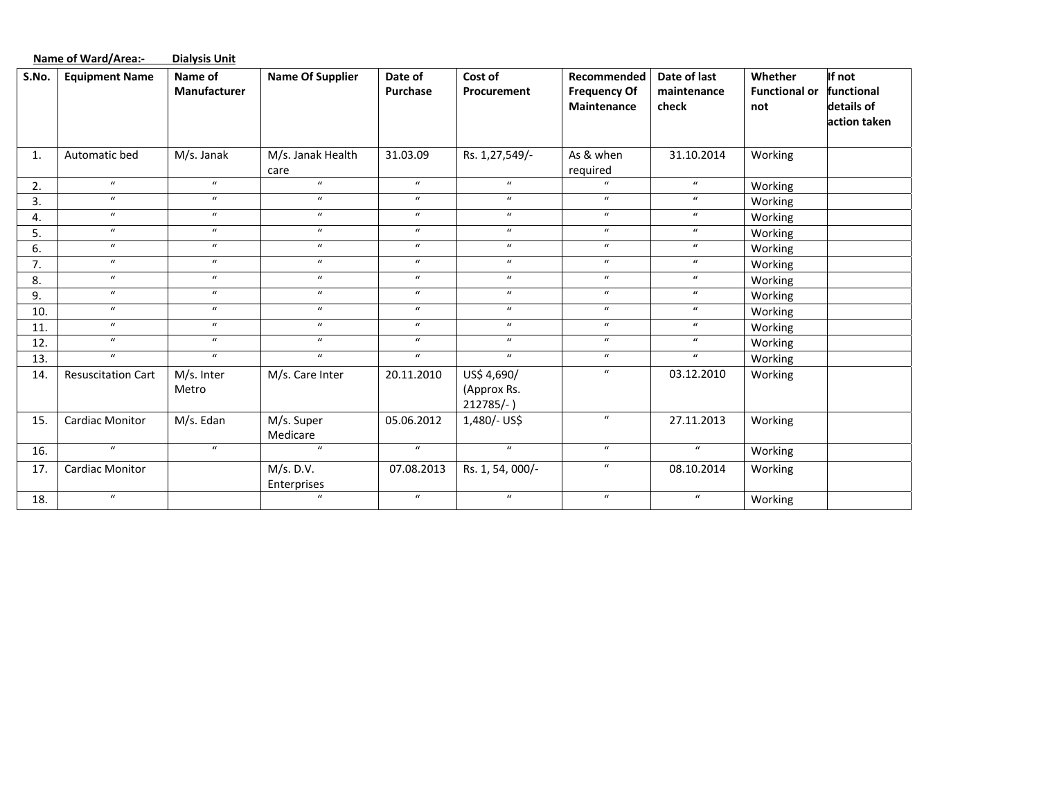|       | <b>Name of Ward/Area:-</b> | <b>Dialysis Unit</b>           |                           |                     |                                          |                                                   |                                      |                                        |                                                    |
|-------|----------------------------|--------------------------------|---------------------------|---------------------|------------------------------------------|---------------------------------------------------|--------------------------------------|----------------------------------------|----------------------------------------------------|
| S.No. | <b>Equipment Name</b>      | Name of<br><b>Manufacturer</b> | <b>Name Of Supplier</b>   | Date of<br>Purchase | Cost of<br>Procurement                   | Recommended<br><b>Frequency Of</b><br>Maintenance | Date of last<br>maintenance<br>check | Whether<br><b>Functional or</b><br>not | If not<br>functional<br>details of<br>action taken |
| 1.    | Automatic bed              | M/s. Janak                     | M/s. Janak Health<br>care | 31.03.09            | Rs. 1,27,549/-                           | As & when<br>required                             | 31.10.2014                           | Working                                |                                                    |
| 2.    | $\boldsymbol{u}$           | $\boldsymbol{u}$               | $\boldsymbol{u}$          | $\boldsymbol{u}$    | $\bf{u}$                                 | $\bf{u}$                                          | $\boldsymbol{u}$                     | Working                                |                                                    |
| 3.    | $\boldsymbol{u}$           | $\boldsymbol{u}$               | $\boldsymbol{u}$          | $\boldsymbol{u}$    | $\bf{u}$                                 | $\bf{u}$                                          | $\boldsymbol{u}$                     | Working                                |                                                    |
| 4.    | $\boldsymbol{u}$           | $\boldsymbol{u}$               | $\boldsymbol{u}$          | $\boldsymbol{u}$    | $\overline{u}$                           | $\boldsymbol{u}$                                  | $\boldsymbol{u}$                     | Working                                |                                                    |
| 5.    | $\boldsymbol{u}$           | $\boldsymbol{u}$               | $\boldsymbol{u}$          | $\boldsymbol{u}$    | $\boldsymbol{u}$                         | $\boldsymbol{u}$                                  | $\boldsymbol{u}$                     | Working                                |                                                    |
| 6.    | $\boldsymbol{u}$           | $\boldsymbol{u}$               | $\boldsymbol{u}$          | $\boldsymbol{u}$    | $\boldsymbol{u}$                         | $\boldsymbol{u}$                                  | $\boldsymbol{u}$                     | Working                                |                                                    |
| 7.    | $\boldsymbol{u}$           | $\boldsymbol{u}$               | $\boldsymbol{u}$          | $\boldsymbol{u}$    | $\boldsymbol{u}$                         | $\boldsymbol{u}$                                  | $\boldsymbol{u}$                     | Working                                |                                                    |
| 8.    | $\boldsymbol{u}$           | $\boldsymbol{u}$               | $\boldsymbol{u}$          | $\boldsymbol{u}$    | $\boldsymbol{u}$                         | $\bf{u}$                                          | $\boldsymbol{u}$                     | Working                                |                                                    |
| 9.    | $\boldsymbol{u}$           | $\boldsymbol{u}$               | $\boldsymbol{u}$          | $\boldsymbol{u}$    | $\boldsymbol{u}$                         | $\boldsymbol{u}$                                  | $\boldsymbol{u}$                     | Working                                |                                                    |
| 10.   | $\boldsymbol{u}$           | $\boldsymbol{u}$               | $\boldsymbol{u}$          | $\boldsymbol{u}$    | $\boldsymbol{u}$                         | $\boldsymbol{u}$                                  | $\boldsymbol{u}$                     | Working                                |                                                    |
| 11.   | $\boldsymbol{u}$           | $\boldsymbol{u}$               | $\boldsymbol{u}$          | $\boldsymbol{u}$    | $\boldsymbol{u}$                         | $\boldsymbol{u}$                                  | $\boldsymbol{u}$                     | Working                                |                                                    |
| 12.   | $\boldsymbol{u}$           | $\boldsymbol{u}$               | $\boldsymbol{u}$          | $\boldsymbol{u}$    | $\boldsymbol{u}$                         | $\boldsymbol{u}$                                  | $\boldsymbol{u}$                     | Working                                |                                                    |
| 13.   | $\boldsymbol{u}$           | $\boldsymbol{u}$               | $\boldsymbol{u}$          | $\boldsymbol{u}$    | $\boldsymbol{u}$                         | $\boldsymbol{u}$                                  | $\boldsymbol{u}$                     | Working                                |                                                    |
| 14.   | <b>Resuscitation Cart</b>  | M/s. Inter<br>Metro            | M/s. Care Inter           | 20.11.2010          | US\$ 4,690/<br>(Approx Rs.<br>$212785/-$ | $\boldsymbol{u}$                                  | 03.12.2010                           | Working                                |                                                    |
| 15.   | <b>Cardiac Monitor</b>     | M/s. Edan                      | M/s. Super<br>Medicare    | 05.06.2012          | 1,480/- US\$                             | $\boldsymbol{u}$                                  | 27.11.2013                           | Working                                |                                                    |
| 16.   | $\boldsymbol{u}$           | $\boldsymbol{u}$               | $\boldsymbol{u}$          | $\boldsymbol{u}$    | $\boldsymbol{u}$                         | $\boldsymbol{u}$                                  | $\boldsymbol{u}$                     | Working                                |                                                    |
| 17.   | <b>Cardiac Monitor</b>     |                                | M/s. D.V.<br>Enterprises  | 07.08.2013          | Rs. 1, 54, 000/-                         | $\boldsymbol{u}$                                  | 08.10.2014                           | Working                                |                                                    |
| 18.   | $\boldsymbol{u}$           |                                | $\boldsymbol{u}$          | $\boldsymbol{u}$    | $\boldsymbol{u}$                         | $\boldsymbol{u}$                                  | $\boldsymbol{u}$                     | Working                                |                                                    |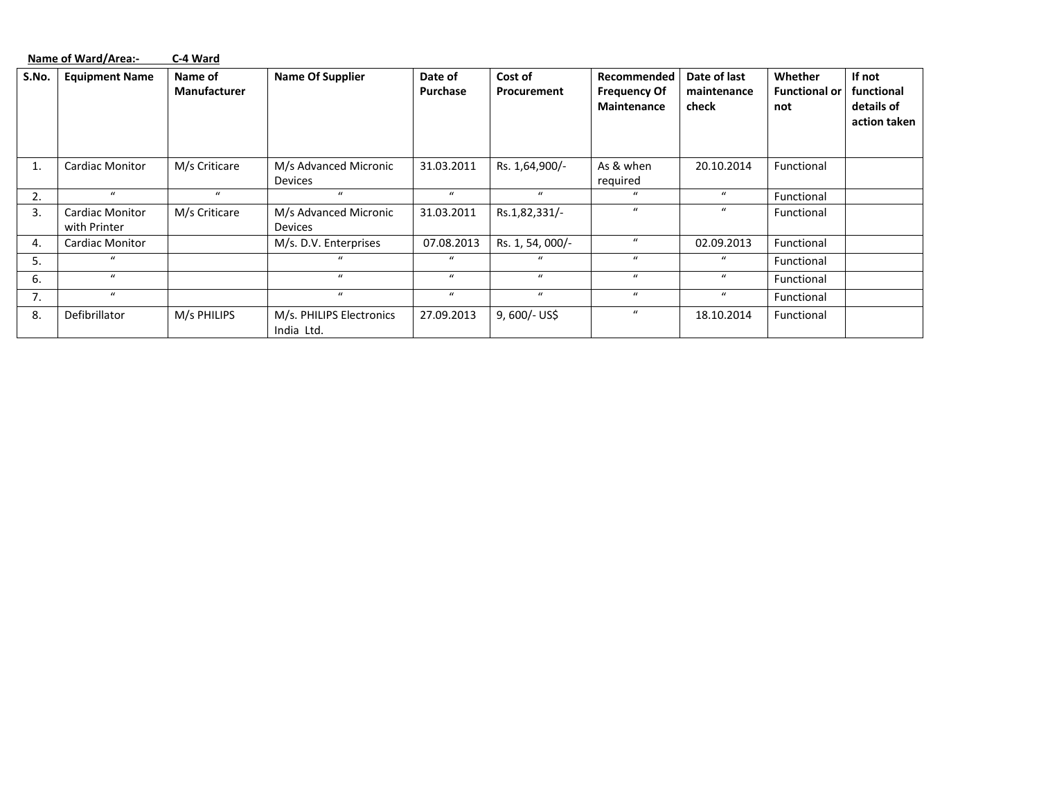|       | Name of Ward/Area:-                    | C-4 Ward                |                                         |                     |                        |                                                   |                                      |                                        |                                                    |
|-------|----------------------------------------|-------------------------|-----------------------------------------|---------------------|------------------------|---------------------------------------------------|--------------------------------------|----------------------------------------|----------------------------------------------------|
| S.No. | <b>Equipment Name</b>                  | Name of<br>Manufacturer | <b>Name Of Supplier</b>                 | Date of<br>Purchase | Cost of<br>Procurement | Recommended<br><b>Frequency Of</b><br>Maintenance | Date of last<br>maintenance<br>check | Whether<br><b>Functional or</b><br>not | If not<br>functional<br>details of<br>action taken |
| 1.    | <b>Cardiac Monitor</b>                 | M/s Criticare           | M/s Advanced Micronic<br><b>Devices</b> | 31.03.2011          | Rs. 1,64,900/-         | As & when<br>required                             | 20.10.2014                           | Functional                             |                                                    |
| 2.    | $\bf{u}$                               | $\mathbf{u}$            | $\mathbf{u}$                            | $\boldsymbol{u}$    | $\mathbf{u}$           | $\mathbf{u}$                                      | $\boldsymbol{u}$                     | Functional                             |                                                    |
| 3.    | <b>Cardiac Monitor</b><br>with Printer | M/s Criticare           | M/s Advanced Micronic<br>Devices        | 31.03.2011          | Rs.1,82,331/-          | $\mathbf{u}$                                      | $\bf{u}$                             | Functional                             |                                                    |
| 4.    | <b>Cardiac Monitor</b>                 |                         | M/s. D.V. Enterprises                   | 07.08.2013          | Rs. 1, 54, 000/-       | $\boldsymbol{u}$                                  | 02.09.2013                           | Functional                             |                                                    |
| 5.    | $\bf{u}$                               |                         | $\alpha$                                | $\mathbf{u}$        | $\mathbf{u}$           | $\boldsymbol{u}$                                  | $\bf{u}$                             | Functional                             |                                                    |
| 6.    | $\boldsymbol{u}$                       |                         | $\mathbf{u}$                            | $\mathbf{u}$        | $\bf{u}$               | $\mathbf{u}$                                      | $\bf{u}$                             | Functional                             |                                                    |
| 7.    | $\bf{u}$                               |                         | $\alpha$                                | $\mathbf{u}$        | $\bf{u}$               | $\boldsymbol{u}$                                  | $\bf{u}$                             | Functional                             |                                                    |
| 8.    | Defibrillator                          | M/s PHILIPS             | M/s. PHILIPS Electronics<br>India Ltd.  | 27.09.2013          | 9, 600/- US\$          | $\boldsymbol{u}$                                  | 18.10.2014                           | Functional                             |                                                    |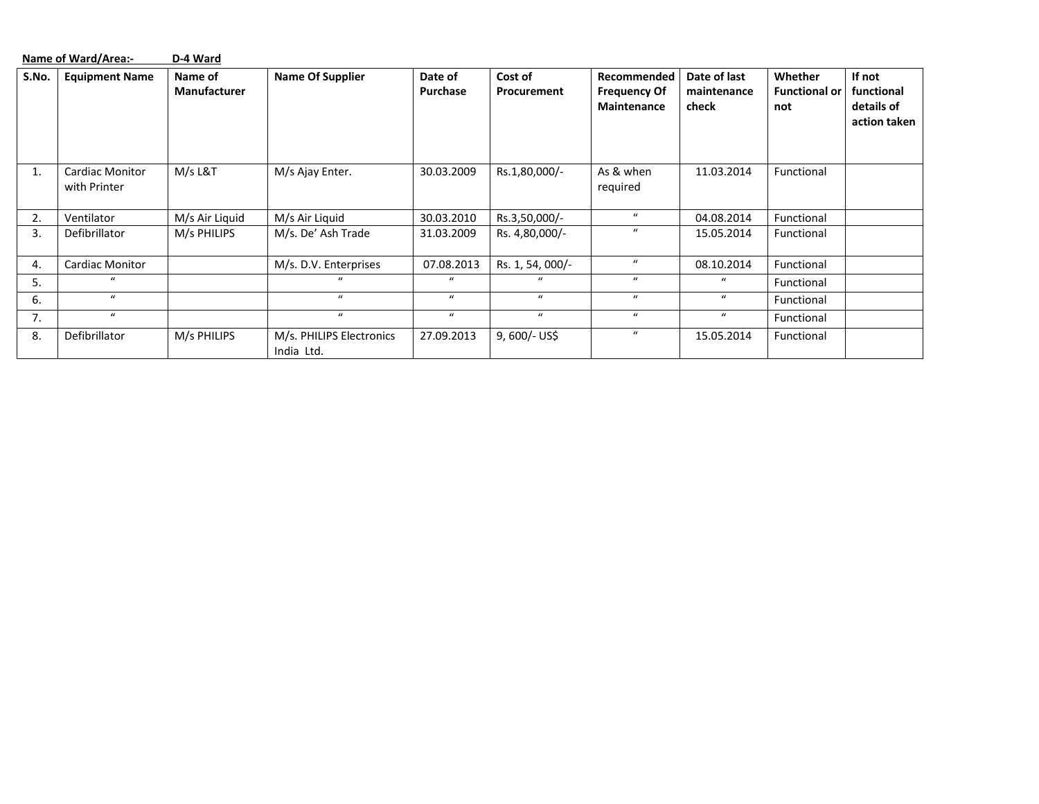|       | Name of Ward/Area:-                    | D-4 Ward                       |                                        |                     |                        |                                                   |                                      |                                        |                                                    |
|-------|----------------------------------------|--------------------------------|----------------------------------------|---------------------|------------------------|---------------------------------------------------|--------------------------------------|----------------------------------------|----------------------------------------------------|
| S.No. | <b>Equipment Name</b>                  | Name of<br><b>Manufacturer</b> | <b>Name Of Supplier</b>                | Date of<br>Purchase | Cost of<br>Procurement | Recommended<br><b>Frequency Of</b><br>Maintenance | Date of last<br>maintenance<br>check | Whether<br><b>Functional or</b><br>not | If not<br>functional<br>details of<br>action taken |
| 1.    | <b>Cardiac Monitor</b><br>with Printer | M/s L&T                        | M/s Ajay Enter.                        | 30.03.2009          | Rs.1,80,000/-          | As & when<br>required                             | 11.03.2014                           | Functional                             |                                                    |
| 2.    | Ventilator                             | M/s Air Liquid                 | M/s Air Liquid                         | 30.03.2010          | Rs.3,50,000/-          | $\boldsymbol{u}$                                  | 04.08.2014                           | Functional                             |                                                    |
| 3.    | Defibrillator                          | M/s PHILIPS                    | M/s. De' Ash Trade                     | 31.03.2009          | Rs. 4,80,000/-         | $\boldsymbol{u}$                                  | 15.05.2014                           | Functional                             |                                                    |
| 4.    | <b>Cardiac Monitor</b>                 |                                | M/s. D.V. Enterprises                  | 07.08.2013          | Rs. 1, 54, 000/-       | $\mathbf{u}$                                      | 08.10.2014                           | Functional                             |                                                    |
| 5.    | $\mathbf{u}$                           |                                |                                        | $\mathbf{u}$        | $\mu$                  | $\boldsymbol{u}$                                  | $\mathbf{u}$                         | Functional                             |                                                    |
| 6.    | $\mathbf{u}$                           |                                | $\mathbf{u}$                           | $\boldsymbol{u}$    | $\bf{u}$               | $\bf{u}$                                          | $\mathbf{u}$                         | Functional                             |                                                    |
| 7.    | $\bf{u}$                               |                                | $\mathbf{u}$                           | $\boldsymbol{u}$    | $\bf{u}$               | $\boldsymbol{u}$                                  | $\boldsymbol{u}$                     | Functional                             |                                                    |
| 8.    | Defibrillator                          | M/s PHILIPS                    | M/s. PHILIPS Electronics<br>India Ltd. | 27.09.2013          | $9,600/-$ US\$         | $\boldsymbol{u}$                                  | 15.05.2014                           | Functional                             |                                                    |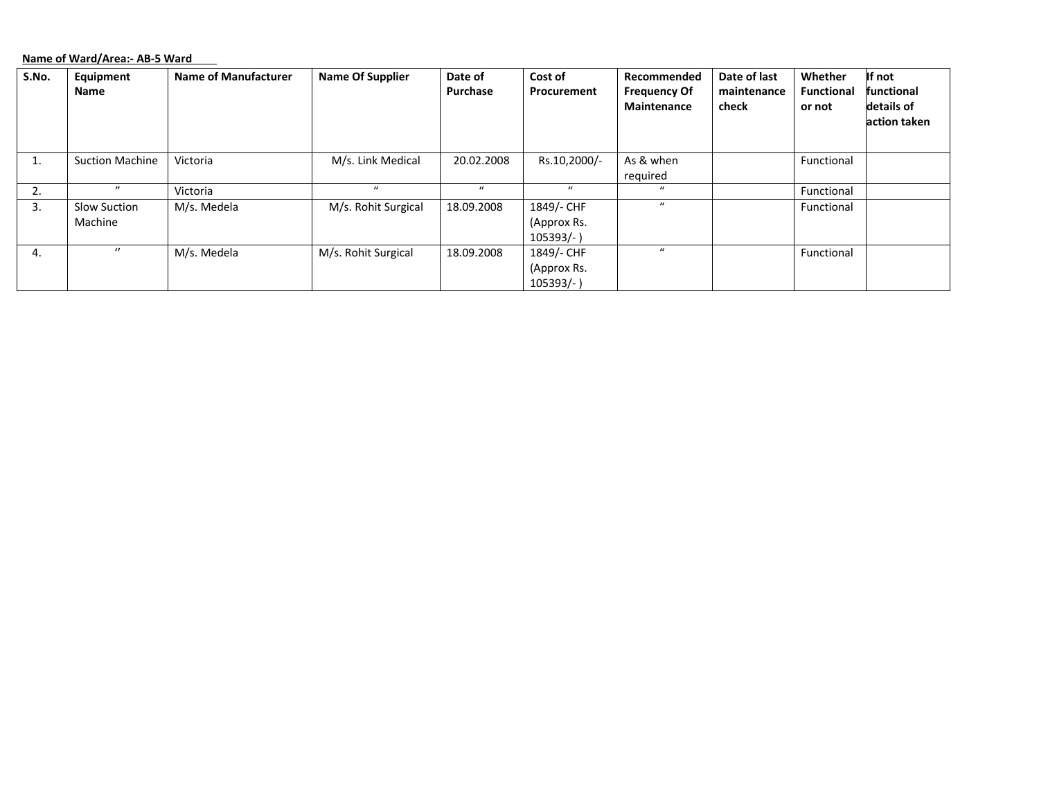## **Name of Ward/Area:‐ AB‐5 Ward**

| S.No. | Equipment<br>Name              | <b>Name of Manufacturer</b> | <b>Name Of Supplier</b> | Date of<br>Purchase | Cost of<br>Procurement                  | Recommended<br><b>Frequency Of</b><br>Maintenance | Date of last<br>maintenance<br>check | Whether<br><b>Functional</b><br>or not | If not<br>functional<br>details of<br>action taken |
|-------|--------------------------------|-----------------------------|-------------------------|---------------------|-----------------------------------------|---------------------------------------------------|--------------------------------------|----------------------------------------|----------------------------------------------------|
| T.    | <b>Suction Machine</b>         | Victoria                    | M/s. Link Medical       | 20.02.2008          | Rs.10,2000/-                            | As & when<br>required                             |                                      | Functional                             |                                                    |
| 2.    | $\boldsymbol{\eta}$            | Victoria                    | $\mathbf{u}$            | $\mathbf{u}$        | $\mathbf{u}$                            | $\bf{u}$                                          |                                      | Functional                             |                                                    |
| 3.    | <b>Slow Suction</b><br>Machine | M/s. Medela                 | M/s. Rohit Surgical     | 18.09.2008          | 1849/- CHF<br>(Approx Rs.<br>$105393/-$ | $\mathbf{u}$                                      |                                      | Functional                             |                                                    |
| 4.    | $\boldsymbol{\theta}$          | M/s. Medela                 | M/s. Rohit Surgical     | 18.09.2008          | 1849/- CHF<br>(Approx Rs.<br>$105393/-$ | $\bf{u}$                                          |                                      | Functional                             |                                                    |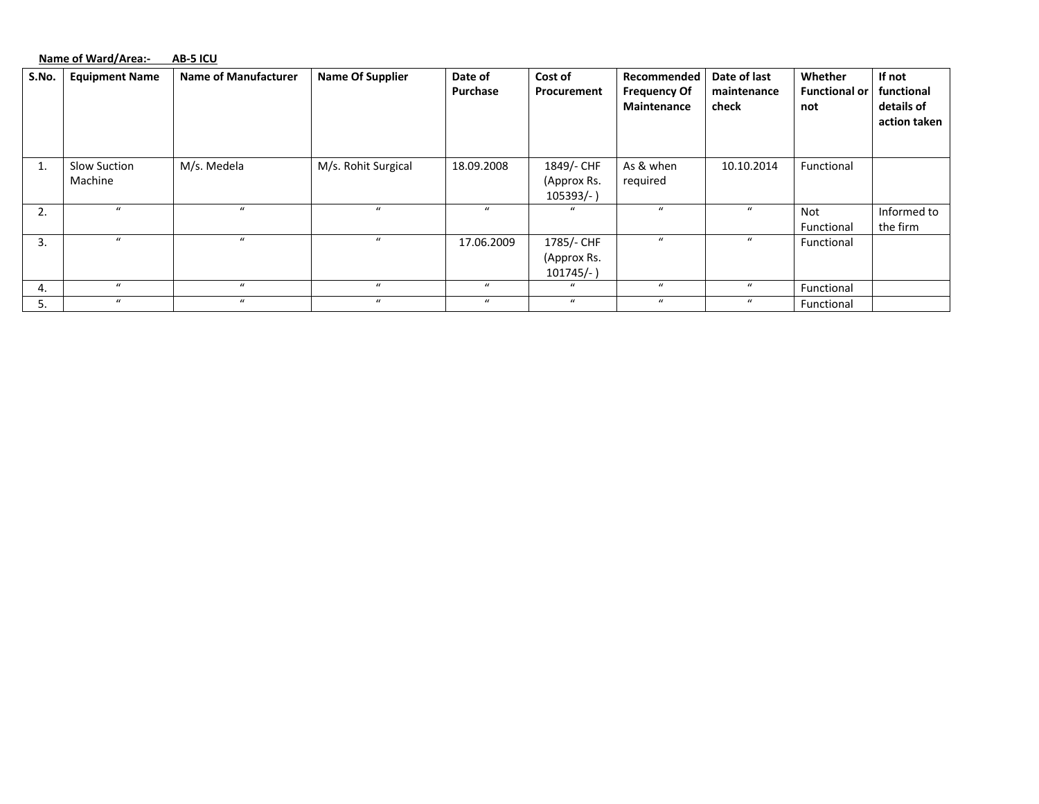#### **Name of Ward/Area:‐ AB‐5 ICU**

| S.No. | <b>Equipment Name</b>   | <b>Name of Manufacturer</b> | <b>Name Of Supplier</b> | Date of<br>Purchase | Cost of<br>Procurement                    | Recommended<br><b>Frequency Of</b><br><b>Maintenance</b> | Date of last<br>maintenance<br>check | Whether<br><b>Functional or</b><br>not | If not<br>functional<br>details of<br>action taken |
|-------|-------------------------|-----------------------------|-------------------------|---------------------|-------------------------------------------|----------------------------------------------------------|--------------------------------------|----------------------------------------|----------------------------------------------------|
| 1.    | Slow Suction<br>Machine | M/s. Medela                 | M/s. Rohit Surgical     | 18.09.2008          | 1849/- CHF<br>(Approx Rs.<br>$105393/-$ ) | As & when<br>required                                    | 10.10.2014                           | Functional                             |                                                    |
| 2.    | $\mathbf{u}$            | $\mathbf{u}$                | $\boldsymbol{u}$        | $\mathbf{u}$        | $\mathbf{u}$                              | $\boldsymbol{u}$                                         | $\prime$                             | Not<br>Functional                      | Informed to<br>the firm                            |
| 3.    | $\mathbf{u}$            | $\mathbf{u}$                | $\boldsymbol{u}$        | 17.06.2009          | 1785/- CHF<br>(Approx Rs.<br>$101745/-$ ) | $\boldsymbol{u}$                                         | $\boldsymbol{u}$                     | Functional                             |                                                    |
| 4.    | $\boldsymbol{u}$        | $\bf{u}$                    | $\boldsymbol{u}$        | $\bf{u}$            | $\boldsymbol{u}$                          | $\boldsymbol{u}$                                         | $\boldsymbol{u}$                     | Functional                             |                                                    |
| 5.    | $\boldsymbol{u}$        | $\mathbf{u}$                | $\boldsymbol{u}$        | $\bf{u}$            | $\boldsymbol{u}$                          | $\boldsymbol{u}$                                         | $\boldsymbol{u}$                     | Functional                             |                                                    |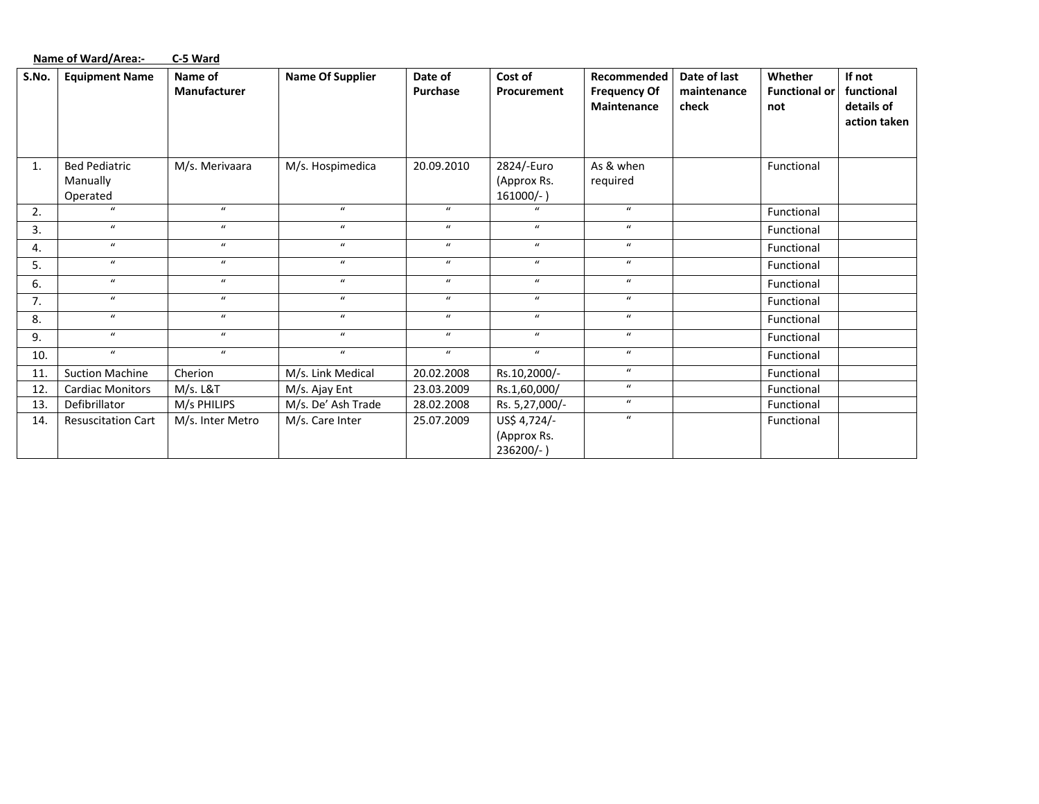|       | <b>Name of Ward/Area:-</b>                   | C-5 Ward                |                         |                     |                                           |                                                          |                                      |                                        |                                                    |
|-------|----------------------------------------------|-------------------------|-------------------------|---------------------|-------------------------------------------|----------------------------------------------------------|--------------------------------------|----------------------------------------|----------------------------------------------------|
| S.No. | <b>Equipment Name</b>                        | Name of<br>Manufacturer | <b>Name Of Supplier</b> | Date of<br>Purchase | Cost of<br>Procurement                    | Recommended<br><b>Frequency Of</b><br><b>Maintenance</b> | Date of last<br>maintenance<br>check | Whether<br><b>Functional or</b><br>not | If not<br>functional<br>details of<br>action taken |
| 1.    | <b>Bed Pediatric</b><br>Manually<br>Operated | M/s. Merivaara          | M/s. Hospimedica        | 20.09.2010          | 2824/-Euro<br>(Approx Rs.<br>$161000/-$ ) | As & when<br>required                                    |                                      | Functional                             |                                                    |
| 2.    | $\boldsymbol{u}$                             | $\bf{u}$                | $\boldsymbol{u}$        | $\boldsymbol{u}$    | $\mathbf{u}$                              | $\bf{u}$                                                 |                                      | Functional                             |                                                    |
| 3.    | $\boldsymbol{u}$                             | $\boldsymbol{u}$        | $\boldsymbol{u}$        | $\boldsymbol{u}$    | $\boldsymbol{u}$                          | $\boldsymbol{u}$                                         |                                      | Functional                             |                                                    |
| 4.    | $\boldsymbol{u}$                             | $\boldsymbol{u}$        | $\boldsymbol{u}$        | $\boldsymbol{u}$    | $\boldsymbol{u}$                          | $\mathbf{u}$                                             |                                      | Functional                             |                                                    |
| 5.    | $\boldsymbol{u}$                             | $\boldsymbol{u}$        | $\boldsymbol{u}$        | $\boldsymbol{u}$    | $\boldsymbol{u}$                          | $\boldsymbol{u}$                                         |                                      | Functional                             |                                                    |
| 6.    | $\boldsymbol{u}$                             | $\boldsymbol{u}$        | $\boldsymbol{u}$        | $\boldsymbol{u}$    | $\boldsymbol{u}$                          | $\boldsymbol{u}$                                         |                                      | Functional                             |                                                    |
| 7.    | $\boldsymbol{u}$                             | $\boldsymbol{u}$        | $\boldsymbol{u}$        | $\boldsymbol{u}$    | $\boldsymbol{u}$                          | $\mathbf{u}$                                             |                                      | Functional                             |                                                    |
| 8.    | $\boldsymbol{u}$                             | $\boldsymbol{u}$        | $\boldsymbol{u}$        | $\mathbf{u}$        | $\boldsymbol{u}$                          | $\bf{u}$                                                 |                                      | Functional                             |                                                    |
| 9.    | $\boldsymbol{u}$                             | $\bf{u}$                | $\boldsymbol{u}$        | $\boldsymbol{u}$    | $\boldsymbol{u}$                          | $\bf{u}$                                                 |                                      | Functional                             |                                                    |
| 10.   | $\boldsymbol{u}$                             | $\boldsymbol{u}$        | $\boldsymbol{u}$        | $\boldsymbol{u}$    | $\boldsymbol{u}$                          | $\boldsymbol{u}$                                         |                                      | Functional                             |                                                    |
| 11.   | <b>Suction Machine</b>                       | Cherion                 | M/s. Link Medical       | 20.02.2008          | Rs.10,2000/-                              | $\boldsymbol{u}$                                         |                                      | Functional                             |                                                    |
| 12.   | <b>Cardiac Monitors</b>                      | $M/s.$ L&T              | M/s. Ajay Ent           | 23.03.2009          | Rs.1,60,000/                              | $\boldsymbol{u}$                                         |                                      | Functional                             |                                                    |
| 13.   | Defibrillator                                | M/s PHILIPS             | M/s. De' Ash Trade      | 28.02.2008          | Rs. 5,27,000/-                            | $\boldsymbol{u}$                                         |                                      | Functional                             |                                                    |
| 14.   | <b>Resuscitation Cart</b>                    | M/s. Inter Metro        | M/s. Care Inter         | 25.07.2009          | US\$ 4,724/-<br>(Approx Rs.<br>236200/-)  | $\mathbf{u}$                                             |                                      | Functional                             |                                                    |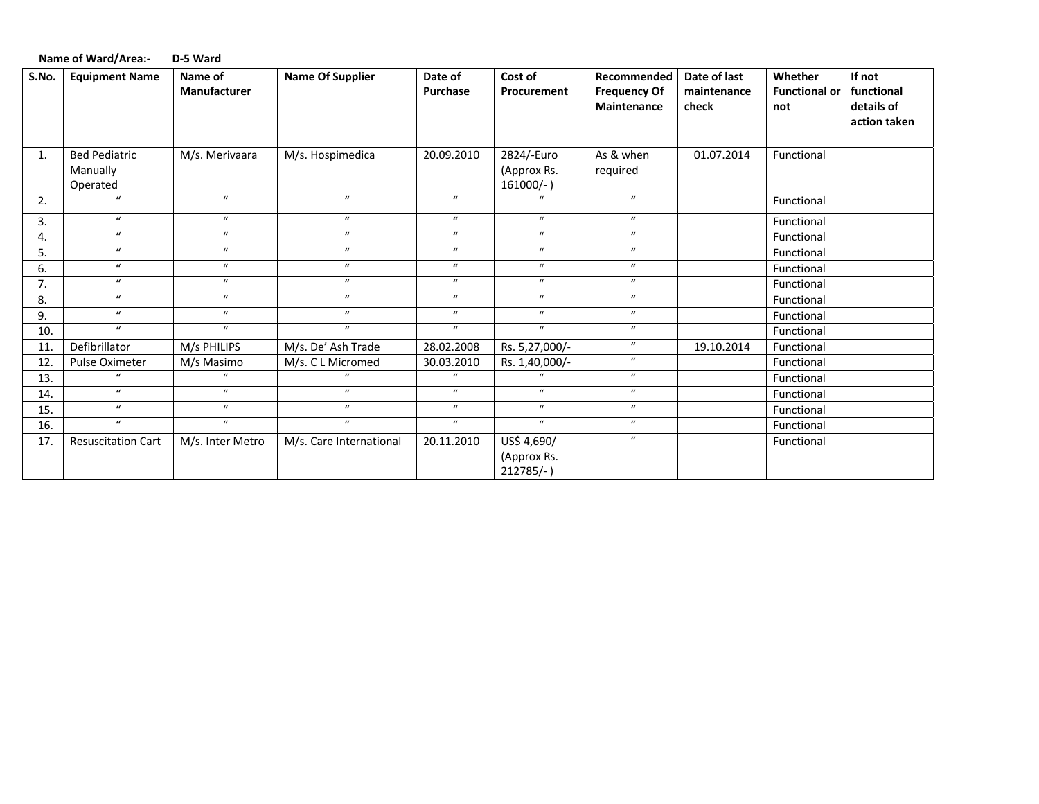|       | <b>Name of Ward/Area:-</b>                   | D-5 Ward                |                         |                            |                                           |                                                   |                                      |                                        |                                                    |
|-------|----------------------------------------------|-------------------------|-------------------------|----------------------------|-------------------------------------------|---------------------------------------------------|--------------------------------------|----------------------------------------|----------------------------------------------------|
| S.No. | <b>Equipment Name</b>                        | Name of<br>Manufacturer | <b>Name Of Supplier</b> | Date of<br>Purchase        | Cost of<br>Procurement                    | Recommended<br><b>Frequency Of</b><br>Maintenance | Date of last<br>maintenance<br>check | Whether<br><b>Functional or</b><br>not | If not<br>functional<br>details of<br>action taken |
| 1.    | <b>Bed Pediatric</b><br>Manually<br>Operated | M/s. Merivaara          | M/s. Hospimedica        | 20.09.2010                 | 2824/-Euro<br>(Approx Rs.<br>$161000/-$ ) | As & when<br>required                             | 01.07.2014                           | Functional                             |                                                    |
| 2.    | $\boldsymbol{u}$                             | $\boldsymbol{u}$        | $\boldsymbol{u}$        | $\boldsymbol{u}$           | $\mathbf{u}$                              | $\boldsymbol{u}$                                  |                                      | Functional                             |                                                    |
| 3.    | $\boldsymbol{u}$                             | $\boldsymbol{u}$        | $\boldsymbol{u}$        | $\boldsymbol{u}$           | $\boldsymbol{\mathcal{U}}$                | $\boldsymbol{u}$                                  |                                      | Functional                             |                                                    |
| 4.    | $\boldsymbol{u}$                             | $\boldsymbol{u}$        | $\boldsymbol{u}$        | $\boldsymbol{u}$           | $\boldsymbol{u}$                          | $\boldsymbol{u}$                                  |                                      | Functional                             |                                                    |
| 5.    | $\boldsymbol{u}$                             | $\boldsymbol{u}$        | $\boldsymbol{u}$        | $\boldsymbol{u}$           | $\boldsymbol{\mathcal{U}}$                | $\boldsymbol{u}$                                  |                                      | Functional                             |                                                    |
| 6.    | $\boldsymbol{u}$                             | $\boldsymbol{u}$        | $\boldsymbol{u}$        | $\boldsymbol{u}$           | $\boldsymbol{u}$                          | $\boldsymbol{u}$                                  |                                      | Functional                             |                                                    |
| 7.    | $\boldsymbol{u}$                             | $\boldsymbol{u}$        | $\boldsymbol{u}$        | $\boldsymbol{\mathcal{U}}$ | $\boldsymbol{\mathcal{U}}$                | $\boldsymbol{u}$                                  |                                      | Functional                             |                                                    |
| 8.    | $\boldsymbol{u}$                             | $\boldsymbol{u}$        | $\boldsymbol{u}$        | $\boldsymbol{u}$           | $\boldsymbol{u}$                          | $\boldsymbol{u}$                                  |                                      | Functional                             |                                                    |
| 9.    | $\boldsymbol{u}$                             | $\boldsymbol{u}$        | $\boldsymbol{u}$        | $\boldsymbol{u}$           | $\boldsymbol{u}$                          | $\boldsymbol{u}$                                  |                                      | Functional                             |                                                    |
| 10.   | $\boldsymbol{u}$                             | $\boldsymbol{u}$        | $\boldsymbol{u}$        | $\boldsymbol{u}$           | $\boldsymbol{u}$                          | $\boldsymbol{u}$                                  |                                      | Functional                             |                                                    |
| 11.   | Defibrillator                                | M/s PHILIPS             | M/s. De' Ash Trade      | 28.02.2008                 | Rs. 5,27,000/-                            | $\boldsymbol{u}$                                  | 19.10.2014                           | Functional                             |                                                    |
| 12.   | Pulse Oximeter                               | M/s Masimo              | M/s. C L Micromed       | 30.03.2010                 | Rs. 1,40,000/-                            | $\boldsymbol{u}$                                  |                                      | Functional                             |                                                    |
| 13.   | $\mathbf{u}$                                 | $\mathbf{u}$            | $\mathbf{u}$            | $\mathbf{u}$               | $\overline{u}$                            | $\bf{u}$                                          |                                      | Functional                             |                                                    |
| 14.   | $\boldsymbol{u}$                             | $\boldsymbol{u}$        | $\boldsymbol{u}$        | $\boldsymbol{u}$           | $\boldsymbol{u}$                          | $\boldsymbol{u}$                                  |                                      | Functional                             |                                                    |
| 15.   | $\boldsymbol{u}$                             | $\boldsymbol{u}$        | $\boldsymbol{u}$        | $\boldsymbol{u}$           | $\boldsymbol{u}$                          | $\boldsymbol{u}$                                  |                                      | Functional                             |                                                    |
| 16.   | $\boldsymbol{u}$                             | $\boldsymbol{u}$        | $\boldsymbol{u}$        | $\boldsymbol{u}$           | $\boldsymbol{u}$                          | $\boldsymbol{u}$                                  |                                      | Functional                             |                                                    |
| 17.   | <b>Resuscitation Cart</b>                    | M/s. Inter Metro        | M/s. Care International | 20.11.2010                 | US\$ 4,690/                               | $\boldsymbol{u}$                                  |                                      | Functional                             |                                                    |
|       |                                              |                         |                         |                            | (Approx Rs.<br>$212785/-$ )               |                                                   |                                      |                                        |                                                    |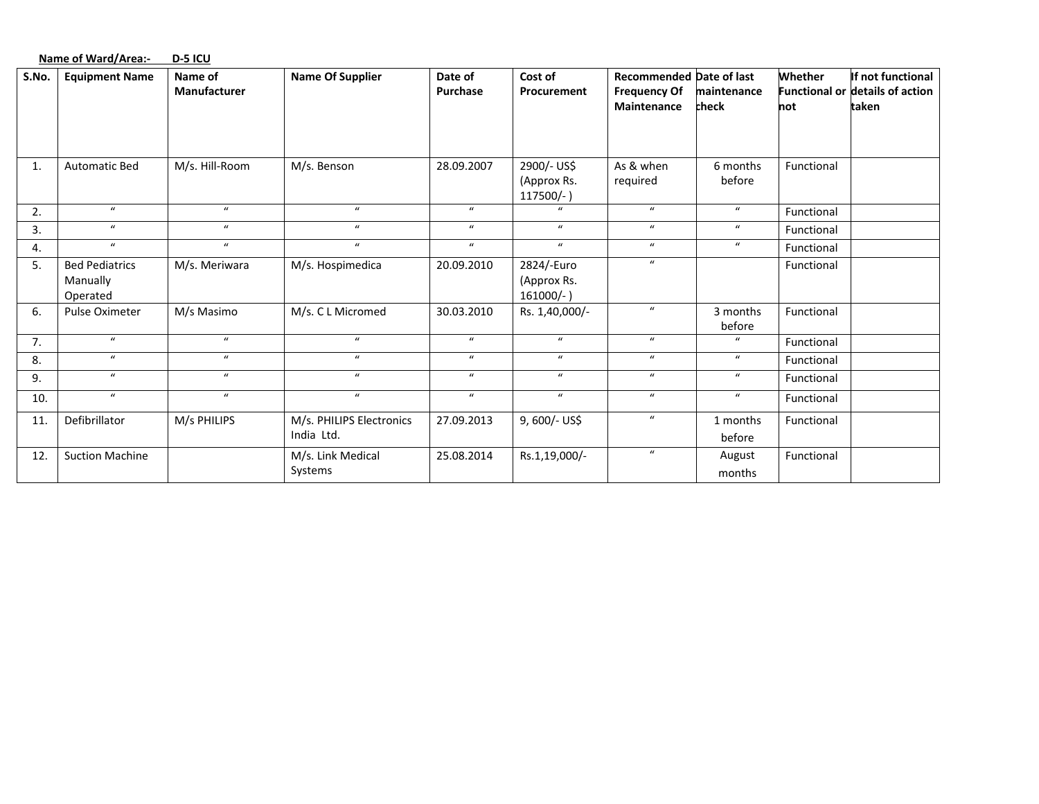|       | <b>Name of Ward/Area:-</b>                    | D-5 ICU                        |                                        |                     |                                           |                                                                       |                      |                |                                                                      |
|-------|-----------------------------------------------|--------------------------------|----------------------------------------|---------------------|-------------------------------------------|-----------------------------------------------------------------------|----------------------|----------------|----------------------------------------------------------------------|
| S.No. | <b>Equipment Name</b>                         | Name of<br><b>Manufacturer</b> | <b>Name Of Supplier</b>                | Date of<br>Purchase | Cost of<br>Procurement                    | <b>Recommended Date of last</b><br><b>Frequency Of</b><br>Maintenance | maintenance<br>check | Whether<br>not | If not functional<br><b>Functional or details of action</b><br>taken |
| 1.    | <b>Automatic Bed</b>                          | M/s. Hill-Room                 | M/s. Benson                            | 28.09.2007          | 2900/- US\$<br>(Approx Rs.<br>117500/-)   | As & when<br>required                                                 | 6 months<br>before   | Functional     |                                                                      |
| 2.    | $\boldsymbol{u}$                              | $\boldsymbol{u}$               | $\mathbf{u}$                           | $\boldsymbol{u}$    | $\boldsymbol{u}$                          | $\boldsymbol{u}$                                                      | $\boldsymbol{u}$     | Functional     |                                                                      |
| 3.    | $\boldsymbol{u}$                              | $\boldsymbol{u}$               | $\boldsymbol{u}$                       | $\boldsymbol{u}$    | $\boldsymbol{u}$                          | $\boldsymbol{u}$                                                      | $\boldsymbol{u}$     | Functional     |                                                                      |
| 4.    | $\bf{u}$                                      | $\boldsymbol{u}$               | $\boldsymbol{u}$                       | $\boldsymbol{u}$    | $\boldsymbol{u}$                          | $\boldsymbol{u}$                                                      | $\boldsymbol{u}$     | Functional     |                                                                      |
| 5.    | <b>Bed Pediatrics</b><br>Manually<br>Operated | M/s. Meriwara                  | M/s. Hospimedica                       | 20.09.2010          | 2824/-Euro<br>(Approx Rs.<br>$161000/-$ ) | $\boldsymbol{u}$                                                      |                      | Functional     |                                                                      |
| 6.    | Pulse Oximeter                                | M/s Masimo                     | M/s. C L Micromed                      | 30.03.2010          | Rs. 1,40,000/-                            | $\bf{u}$                                                              | 3 months<br>before   | Functional     |                                                                      |
| 7.    | $\bf{u}$                                      | $\boldsymbol{u}$               | $\boldsymbol{u}$                       | $\boldsymbol{u}$    | $\boldsymbol{u}$                          | $\boldsymbol{u}$                                                      | $\mathbf{u}$         | Functional     |                                                                      |
| 8.    | $\bf{u}$                                      | $\boldsymbol{u}$               | $\boldsymbol{u}$                       | $\boldsymbol{u}$    | $\boldsymbol{u}$                          | $\boldsymbol{u}$                                                      | $\boldsymbol{u}$     | Functional     |                                                                      |
| 9.    | $\boldsymbol{u}$                              | $\boldsymbol{u}$               | $\boldsymbol{u}$                       | $\boldsymbol{u}$    | $\boldsymbol{u}$                          | $\boldsymbol{u}$                                                      | $\boldsymbol{u}$     | Functional     |                                                                      |
| 10.   | $\mathbf{u}$                                  | $\boldsymbol{u}$               | $\boldsymbol{u}$                       | $\boldsymbol{u}$    | $\boldsymbol{u}$                          | $\boldsymbol{u}$                                                      | $\boldsymbol{u}$     | Functional     |                                                                      |
| 11.   | Defibrillator                                 | M/s PHILIPS                    | M/s. PHILIPS Electronics<br>India Ltd. | 27.09.2013          | 9, 600/- US\$                             | $\boldsymbol{u}$                                                      | 1 months<br>before   | Functional     |                                                                      |
| 12.   | <b>Suction Machine</b>                        |                                | M/s. Link Medical<br>Systems           | 25.08.2014          | Rs.1,19,000/-                             | $\boldsymbol{u}$                                                      | August<br>months     | Functional     |                                                                      |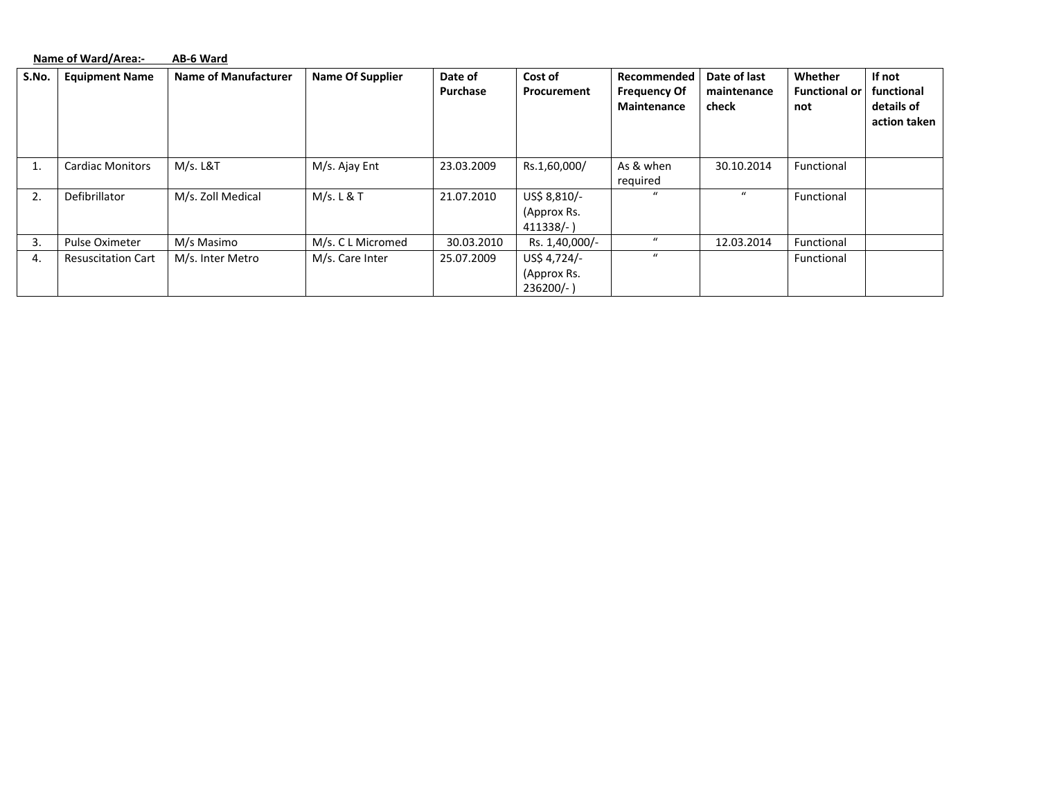|       | Name of Ward/Area:-       | AB-6 Ward                   |                         |            |                                           |                                           |                      |                             |                                          |
|-------|---------------------------|-----------------------------|-------------------------|------------|-------------------------------------------|-------------------------------------------|----------------------|-----------------------------|------------------------------------------|
| S.No. | <b>Equipment Name</b>     | <b>Name of Manufacturer</b> | <b>Name Of Supplier</b> | Date of    | Cost of                                   | Recommended                               | Date of last         | Whether                     | If not                                   |
|       |                           |                             |                         | Purchase   | Procurement                               | <b>Frequency Of</b><br><b>Maintenance</b> | maintenance<br>check | <b>Functional or</b><br>not | functional<br>details of<br>action taken |
|       | <b>Cardiac Monitors</b>   | M/s. L&T                    | M/s. Ajay Ent           | 23.03.2009 | Rs.1,60,000/                              | As & when<br>required                     | 30.10.2014           | Functional                  |                                          |
| 2.    | Defibrillator             | M/s. Zoll Medical           | M/s. L & T              | 21.07.2010 | US\$ 8,810/-<br>(Approx Rs.<br>$411338/-$ | $\mathcal{U}$                             | $\mathbf{u}$         | Functional                  |                                          |
| 3.    | Pulse Oximeter            | M/s Masimo                  | M/s. C L Micromed       | 30.03.2010 | Rs. 1,40,000/-                            | $\boldsymbol{u}$                          | 12.03.2014           | Functional                  |                                          |
| 4.    | <b>Resuscitation Cart</b> | M/s. Inter Metro            | M/s. Care Inter         | 25.07.2009 | US\$ 4,724/-<br>(Approx Rs.<br>$236200/-$ | $\boldsymbol{u}$                          |                      | Functional                  |                                          |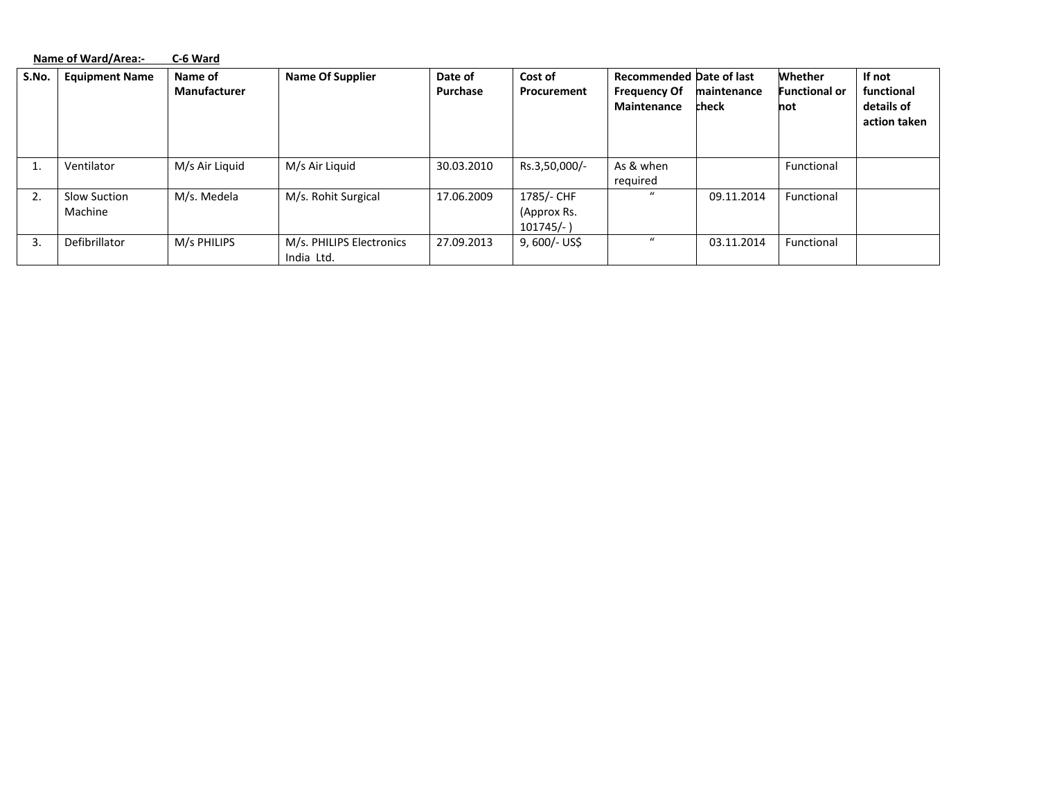|       | Name of Ward/Area:-     | C-6 Ward                       |                                        |                     |                                           |                                                                              |                      |                                        |                                                    |
|-------|-------------------------|--------------------------------|----------------------------------------|---------------------|-------------------------------------------|------------------------------------------------------------------------------|----------------------|----------------------------------------|----------------------------------------------------|
| S.No. | <b>Equipment Name</b>   | Name of<br><b>Manufacturer</b> | <b>Name Of Supplier</b>                | Date of<br>Purchase | Cost of<br>Procurement                    | <b>Recommended Date of last</b><br><b>Frequency Of</b><br><b>Maintenance</b> | maintenance<br>check | Whether<br><b>Functional or</b><br>not | If not<br>functional<br>details of<br>action taken |
| τ.    | Ventilator              | M/s Air Liquid                 | M/s Air Liguid                         | 30.03.2010          | Rs.3,50,000/-                             | As & when<br>required                                                        |                      | Functional                             |                                                    |
| 2.    | Slow Suction<br>Machine | M/s. Medela                    | M/s. Rohit Surgical                    | 17.06.2009          | 1785/- CHF<br>(Approx Rs.<br>$101745/-$ ) | $\mathcal{U}$                                                                | 09.11.2014           | Functional                             |                                                    |
| 3.    | Defibrillator           | M/s PHILIPS                    | M/s. PHILIPS Electronics<br>India Ltd. | 27.09.2013          | $9,600/-$ US\$                            | $\boldsymbol{u}$                                                             | 03.11.2014           | Functional                             |                                                    |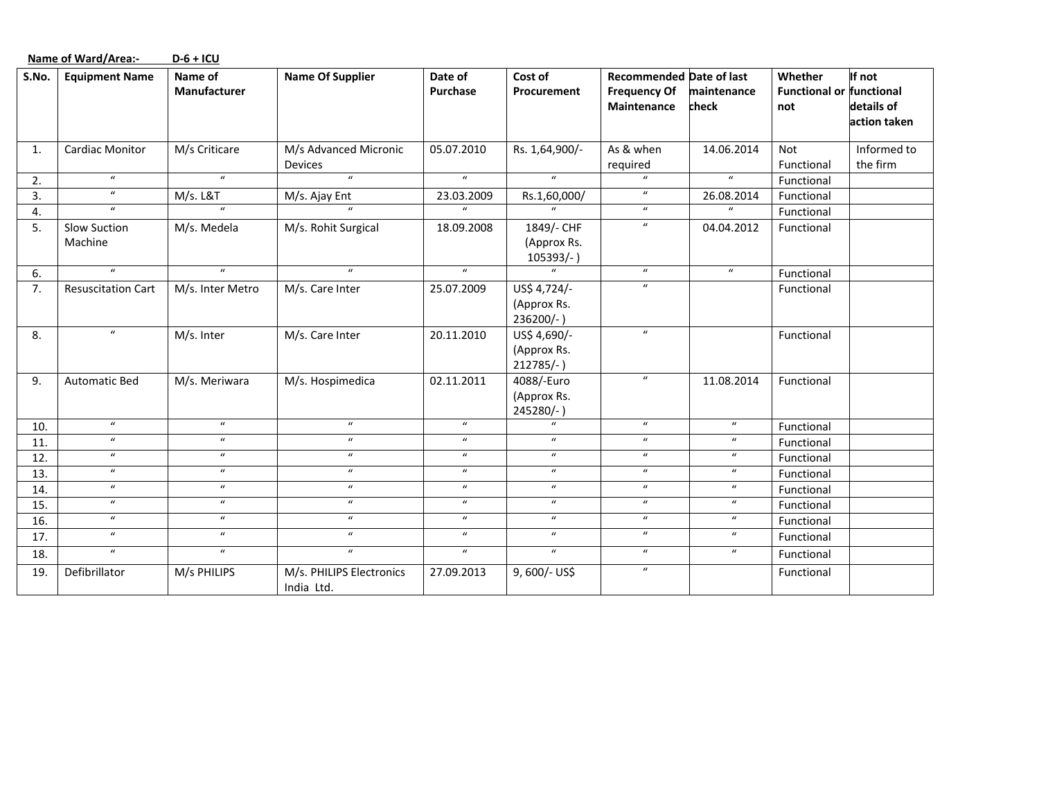|       | <b>Name of Ward/Area:-</b> | $D-6+ICU$               |                                        |                            |                                             |                                                                       |                            |                                                   |                                      |
|-------|----------------------------|-------------------------|----------------------------------------|----------------------------|---------------------------------------------|-----------------------------------------------------------------------|----------------------------|---------------------------------------------------|--------------------------------------|
| S.No. | <b>Equipment Name</b>      | Name of<br>Manufacturer | <b>Name Of Supplier</b>                | Date of<br>Purchase        | Cost of<br>Procurement                      | <b>Recommended Date of last</b><br><b>Frequency Of</b><br>Maintenance | maintenance<br>check       | Whether<br><b>Functional or functional</b><br>not | If not<br>details of<br>action taken |
| 1.    | <b>Cardiac Monitor</b>     | M/s Criticare           | M/s Advanced Micronic<br>Devices       | 05.07.2010                 | Rs. 1,64,900/-                              | As & when<br>required                                                 | 14.06.2014                 | Not<br>Functional                                 | Informed to<br>the firm              |
| 2.    | $\boldsymbol{u}$           | $\boldsymbol{u}$        | $\mathbf{u}$                           | $\boldsymbol{u}$           | $\boldsymbol{u}$                            | $\boldsymbol{u}$                                                      | $\boldsymbol{u}$           | Functional                                        |                                      |
| 3.    | $\boldsymbol{u}$           | M/s. L&T                | M/s. Ajay Ent                          | 23.03.2009                 | Rs.1,60,000/                                | $\boldsymbol{u}$                                                      | 26.08.2014                 | Functional                                        |                                      |
| 4.    | $\boldsymbol{u}$           | $\boldsymbol{u}$        | $\mathbf{u}$                           | $\boldsymbol{u}$           |                                             | $\boldsymbol{u}$                                                      | $\boldsymbol{u}$           | Functional                                        |                                      |
| 5.    | Slow Suction<br>Machine    | M/s. Medela             | M/s. Rohit Surgical                    | 18.09.2008                 | 1849/- CHF<br>(Approx Rs.<br>$105393/-$     | $\boldsymbol{u}$                                                      | 04.04.2012                 | Functional                                        |                                      |
| 6.    | $\boldsymbol{u}$           | $\boldsymbol{u}$        | $\boldsymbol{u}$                       | $\boldsymbol{u}$           | $\boldsymbol{u}$                            | $\boldsymbol{u}$                                                      | $\boldsymbol{u}$           | Functional                                        |                                      |
| 7.    | <b>Resuscitation Cart</b>  | M/s. Inter Metro        | M/s. Care Inter                        | 25.07.2009                 | US\$ 4,724/-<br>(Approx Rs.<br>236200/-)    | $\boldsymbol{u}$                                                      |                            | Functional                                        |                                      |
| 8.    | $\boldsymbol{u}$           | M/s. Inter              | M/s. Care Inter                        | 20.11.2010                 | US\$ 4,690/-<br>(Approx Rs.<br>$212785/-$ ) | $\boldsymbol{u}$                                                      |                            | Functional                                        |                                      |
| 9.    | <b>Automatic Bed</b>       | M/s. Meriwara           | M/s. Hospimedica                       | 02.11.2011                 | 4088/-Euro<br>(Approx Rs.<br>245280/-)      | $\boldsymbol{u}$                                                      | 11.08.2014                 | Functional                                        |                                      |
| 10.   | $\boldsymbol{u}$           | $\boldsymbol{u}$        | $\boldsymbol{u}$                       | $\boldsymbol{u}$           | $\mathbf{u}$                                | $\boldsymbol{u}$                                                      | $\boldsymbol{u}$           | Functional                                        |                                      |
| 11.   | $\boldsymbol{u}$           | $\boldsymbol{u}$        | $\boldsymbol{u}$                       | $\mathbf{u}$               | $\bf{u}$                                    | $\boldsymbol{u}$                                                      | $\boldsymbol{u}$           | Functional                                        |                                      |
| 12.   | $\boldsymbol{u}$           | $\boldsymbol{u}$        | $\boldsymbol{u}$                       | $\boldsymbol{u}$           | $\boldsymbol{u}$                            | $\boldsymbol{u}$                                                      | $\boldsymbol{u}$           | Functional                                        |                                      |
| 13.   | $\boldsymbol{u}$           | $\boldsymbol{u}$        | $\boldsymbol{u}$                       | $\boldsymbol{u}$           | $\boldsymbol{u}$                            | $\boldsymbol{u}$                                                      | $\boldsymbol{u}$           | Functional                                        |                                      |
| 14.   | $\boldsymbol{u}$           | $\boldsymbol{u}$        | $\boldsymbol{u}$                       | $\boldsymbol{\mathcal{U}}$ | $\boldsymbol{u}$                            | $\boldsymbol{u}$                                                      | $\boldsymbol{u}$           | Functional                                        |                                      |
| 15.   | $\boldsymbol{u}$           | $\boldsymbol{u}$        | $\boldsymbol{u}$                       | $\boldsymbol{u}$           | $\boldsymbol{u}$                            | $\boldsymbol{u}$                                                      | $\boldsymbol{u}$           | Functional                                        |                                      |
| 16.   | $\boldsymbol{u}$           | $\boldsymbol{u}$        | $\boldsymbol{u}$                       | $\boldsymbol{\mathcal{U}}$ | $\boldsymbol{u}$                            | $\boldsymbol{u}$                                                      | $\boldsymbol{u}$           | Functional                                        |                                      |
| 17.   | $\boldsymbol{u}$           | $\boldsymbol{u}$        | $\boldsymbol{u}$                       | $\boldsymbol{\mathcal{U}}$ | $\boldsymbol{u}$                            | $\boldsymbol{u}$                                                      | $\boldsymbol{\mathcal{U}}$ | Functional                                        |                                      |
| 18.   | $\boldsymbol{u}$           | $\boldsymbol{u}$        | $\boldsymbol{u}$                       | $\boldsymbol{u}$           | $\boldsymbol{u}$                            | $\boldsymbol{u}$                                                      | $\boldsymbol{\mathcal{U}}$ | Functional                                        |                                      |
| 19.   | Defibrillator              | M/s PHILIPS             | M/s. PHILIPS Electronics<br>India Ltd. | 27.09.2013                 | 9,600/- US\$                                | $\boldsymbol{\mathcal{U}}$                                            |                            | Functional                                        |                                      |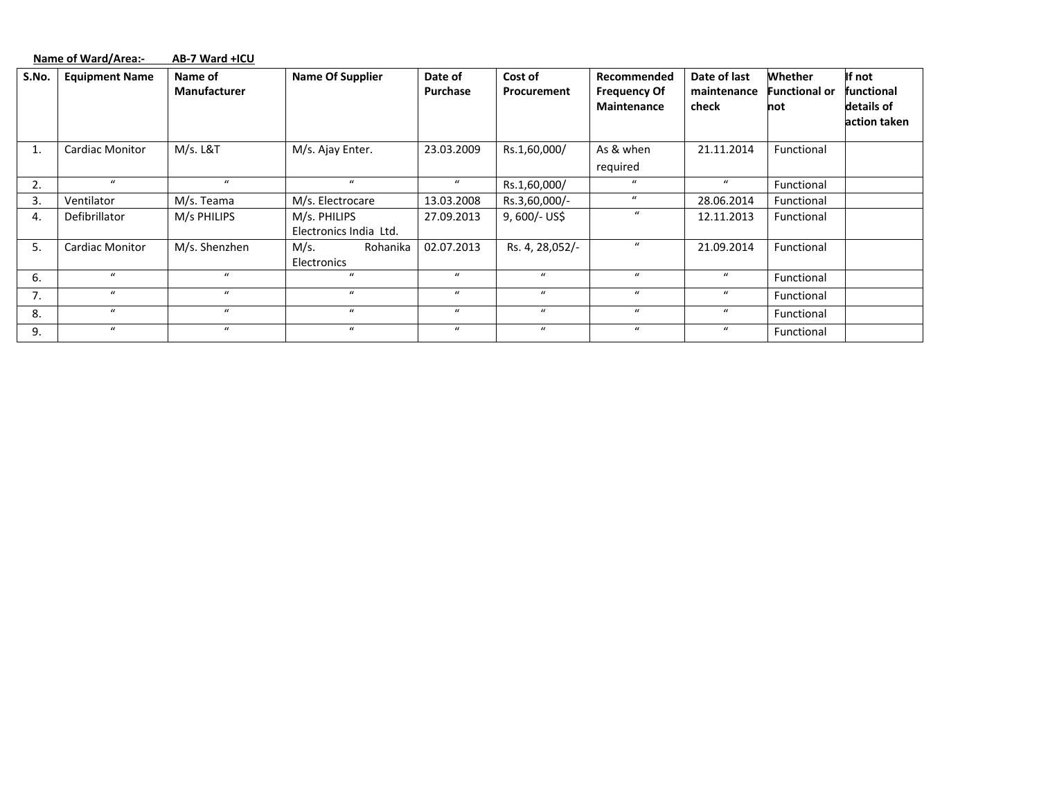|       |                        |                     | <b>Name Of Supplier</b> |                  | Cost of          | Recommended         | Date of last     | Whether              | If not       |
|-------|------------------------|---------------------|-------------------------|------------------|------------------|---------------------|------------------|----------------------|--------------|
| S.No. | <b>Equipment Name</b>  | Name of             |                         | Date of          |                  |                     |                  |                      |              |
|       |                        | <b>Manufacturer</b> |                         | Purchase         | Procurement      | <b>Frequency Of</b> | maintenance      | <b>Functional or</b> | functional   |
|       |                        |                     |                         |                  |                  | <b>Maintenance</b>  | check            | not                  | details of   |
|       |                        |                     |                         |                  |                  |                     |                  |                      | action taken |
|       |                        |                     |                         |                  |                  |                     |                  |                      |              |
| 1.    | <b>Cardiac Monitor</b> | M/s. L&T            | M/s. Ajay Enter.        | 23.03.2009       | Rs.1,60,000/     | As & when           | 21.11.2014       | Functional           |              |
|       |                        |                     |                         |                  |                  | required            |                  |                      |              |
| 2.    | $\bf{u}$               | $\boldsymbol{u}$    | $\mathbf{u}$            | $\mathbf{u}$     | Rs.1,60,000/     | $\mathbf{u}$        | $\bf{u}$         | Functional           |              |
| 3.    | Ventilator             | M/s. Teama          | M/s. Electrocare        | 13.03.2008       | Rs.3,60,000/-    | $\bf{u}$            | 28.06.2014       | Functional           |              |
| 4.    | Defibrillator          | M/s PHILIPS         | M/s. PHILIPS            | 27.09.2013       | $9,600/-$ US\$   | $\bf{u}$            | 12.11.2013       | Functional           |              |
|       |                        |                     | Electronics India Ltd.  |                  |                  |                     |                  |                      |              |
| 5.    | <b>Cardiac Monitor</b> | M/s. Shenzhen       | M/s.<br>Rohanika        | 02.07.2013       | Rs. 4, 28,052/-  | $\bf{u}$            | 21.09.2014       | Functional           |              |
|       |                        |                     | Electronics             |                  |                  |                     |                  |                      |              |
| 6.    | $\bf{u}$               | $\boldsymbol{u}$    | $\mathbf{u}$            | $\boldsymbol{u}$ | $\boldsymbol{u}$ | $\boldsymbol{u}$    | $\boldsymbol{u}$ | Functional           |              |
| 7.    | $\bf{u}$               | $\boldsymbol{u}$    | $\bf{u}$                | $\bf{u}$         | $\boldsymbol{u}$ | $\boldsymbol{u}$    | $\boldsymbol{u}$ | Functional           |              |
| 8.    | $\bf{u}$               | $\boldsymbol{u}$    | $\bf{u}$                | $\bf{u}$         | $\boldsymbol{u}$ | $\boldsymbol{u}$    | $\bf{u}$         | Functional           |              |
| 9.    | $\bf{u}$               | $\boldsymbol{u}$    | $\bf{u}$                | $\boldsymbol{u}$ | $\boldsymbol{u}$ | $\boldsymbol{u}$    | $\mathcal{U}$    | Functional           |              |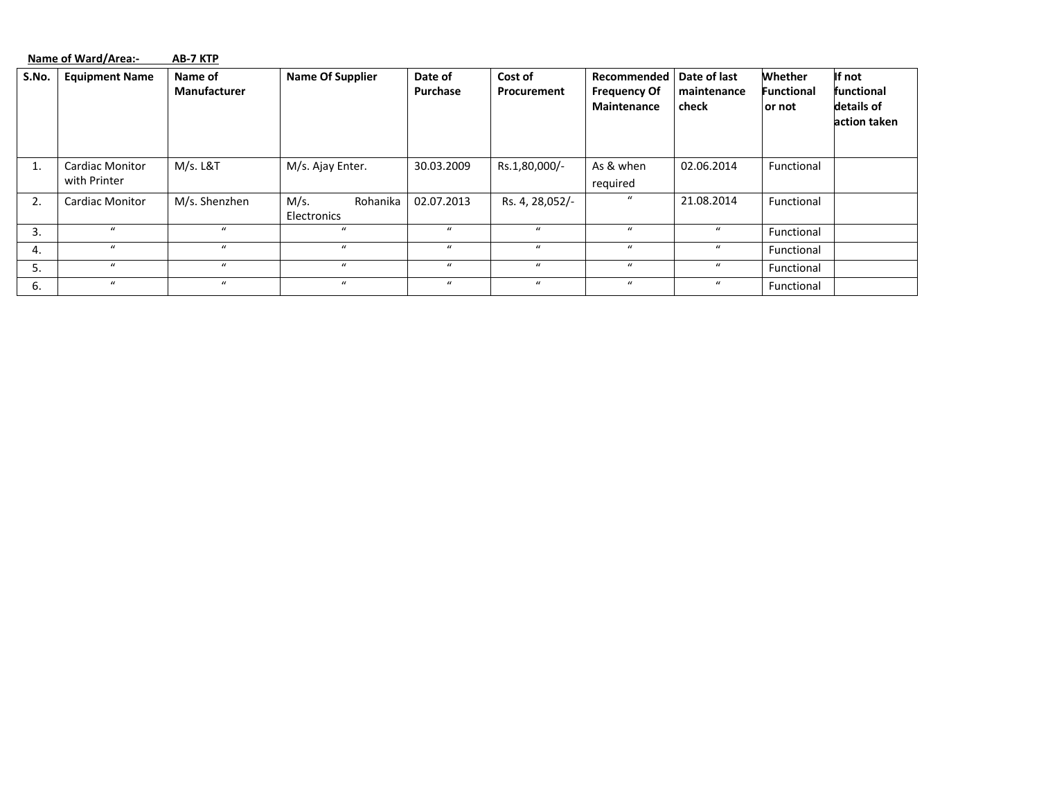|       | Name of Ward/Area:-<br>AB-7 KTP        |                                |                                 |                     |                               |                                                          |                                      |                                         |                                                    |  |
|-------|----------------------------------------|--------------------------------|---------------------------------|---------------------|-------------------------------|----------------------------------------------------------|--------------------------------------|-----------------------------------------|----------------------------------------------------|--|
| S.No. | <b>Equipment Name</b>                  | Name of<br><b>Manufacturer</b> | <b>Name Of Supplier</b>         | Date of<br>Purchase | Cost of<br><b>Procurement</b> | Recommended<br><b>Frequency Of</b><br><b>Maintenance</b> | Date of last<br>maintenance<br>check | Whether<br><b>Functional</b><br>lor not | If not<br>functional<br>details of<br>action taken |  |
| Τ.    | <b>Cardiac Monitor</b><br>with Printer | M/s. L&T                       | M/s. Ajay Enter.                | 30.03.2009          | Rs.1,80,000/-                 | As & when<br>required                                    | 02.06.2014                           | Functional                              |                                                    |  |
| 2.    | <b>Cardiac Monitor</b>                 | M/s. Shenzhen                  | M/s.<br>Rohanika<br>Electronics | 02.07.2013          | Rs. 4, 28,052/-               | $\mathbf{u}$                                             | 21.08.2014                           | Functional                              |                                                    |  |
| 3.    | $\mathbf{u}$                           | $\mathbf{u}$                   | $\boldsymbol{u}$                | $\boldsymbol{u}$    | $\boldsymbol{u}$              | $\boldsymbol{u}$                                         | $\boldsymbol{u}$                     | Functional                              |                                                    |  |
| 4.    | $\bf{u}$                               | $\mathbf{u}$                   | $\boldsymbol{u}$                | $\bf{u}$            | $\boldsymbol{u}$              | $\boldsymbol{u}$                                         | $\boldsymbol{u}$                     | Functional                              |                                                    |  |
| 5.    | $\bf{u}$                               | $\boldsymbol{u}$               | $\bf{u}$                        | $\bf{u}$            | $\mathbf{u}$                  | $\boldsymbol{u}$                                         | $\boldsymbol{u}$                     | Functional                              |                                                    |  |
| 6.    | $\bf{u}$                               | $\boldsymbol{u}$               | $\boldsymbol{u}$                | $\boldsymbol{u}$    | $\boldsymbol{u}$              | $\boldsymbol{u}$                                         | $\boldsymbol{u}$                     | Functional                              |                                                    |  |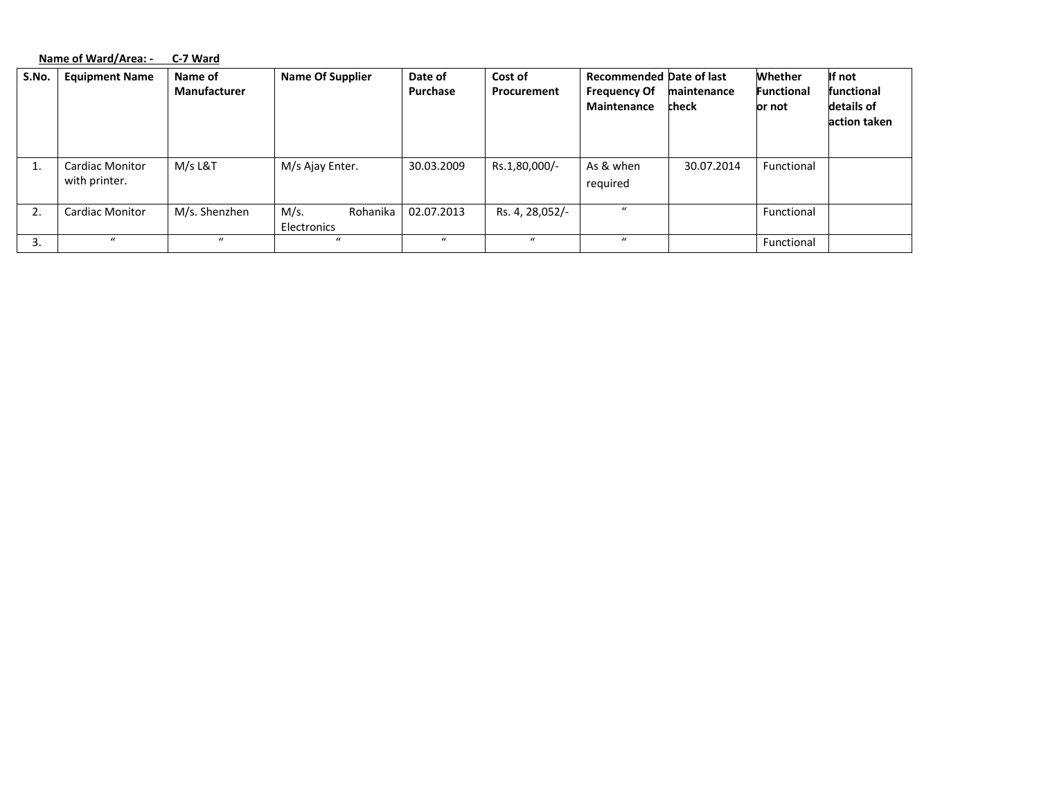|       | Name of Ward/Area: -<br>C-7 Ward        |                                |                                 |                     |                        |                                                                              |                      |                                        |                                                    |
|-------|-----------------------------------------|--------------------------------|---------------------------------|---------------------|------------------------|------------------------------------------------------------------------------|----------------------|----------------------------------------|----------------------------------------------------|
| S.No. | <b>Equipment Name</b>                   | Name of<br><b>Manufacturer</b> | <b>Name Of Supplier</b>         | Date of<br>Purchase | Cost of<br>Procurement | <b>Recommended Date of last</b><br><b>Frequency Of</b><br><b>Maintenance</b> | maintenance<br>check | Whether<br><b>Functional</b><br>or not | If not<br>functional<br>details of<br>action taken |
| 1.    | <b>Cardiac Monitor</b><br>with printer. | M/s L&T                        | M/s Ajay Enter.                 | 30.03.2009          | Rs.1,80,000/-          | As & when<br>required                                                        | 30.07.2014           | Functional                             |                                                    |
| 2.    | <b>Cardiac Monitor</b>                  | M/s. Shenzhen                  | Rohanika<br>M/s.<br>Electronics | 02.07.2013          | Rs. 4, 28,052/-        | $\mathbf{u}$                                                                 |                      | Functional                             |                                                    |
| 3.    | $\mathbf{u}$                            | $\mathbf{u}$                   |                                 |                     | $\mathbf{u}$           | $\mathbf{u}$                                                                 |                      | Functional                             |                                                    |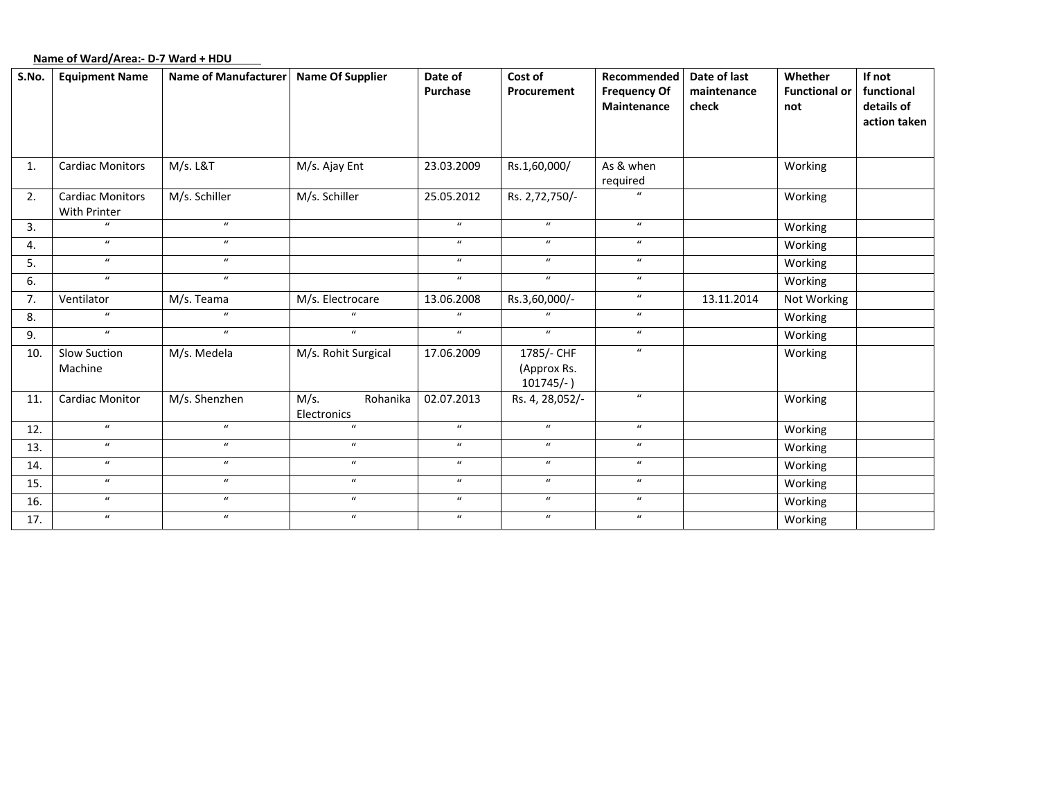# **Name of Ward/Area:‐ D‐7 Ward <sup>+</sup> HDU**

| S.No. | <b>Equipment Name</b>                   | <b>Name of Manufacturer</b> | <b>Name Of Supplier</b>         | Date of<br>Purchase | Cost of<br>Procurement                    | Recommended<br><b>Frequency Of</b><br>Maintenance | Date of last<br>maintenance<br>check | Whether<br><b>Functional or</b><br>not | If not<br>functional<br>details of<br>action taken |
|-------|-----------------------------------------|-----------------------------|---------------------------------|---------------------|-------------------------------------------|---------------------------------------------------|--------------------------------------|----------------------------------------|----------------------------------------------------|
| 1.    | <b>Cardiac Monitors</b>                 | M/s. L&T                    | M/s. Ajay Ent                   | 23.03.2009          | Rs.1,60,000/                              | As & when<br>required                             |                                      | Working                                |                                                    |
| 2.    | <b>Cardiac Monitors</b><br>With Printer | M/s. Schiller               | M/s. Schiller                   | 25.05.2012          | Rs. 2,72,750/-                            |                                                   |                                      | Working                                |                                                    |
| 3.    | $\boldsymbol{u}$                        | $\boldsymbol{u}$            |                                 | $\boldsymbol{u}$    | $\boldsymbol{u}$                          | $\boldsymbol{u}$                                  |                                      | Working                                |                                                    |
| 4.    | $\boldsymbol{u}$                        | $\boldsymbol{u}$            |                                 | $\boldsymbol{u}$    | $\boldsymbol{u}$                          | $\boldsymbol{u}$                                  |                                      | Working                                |                                                    |
| 5.    | $\boldsymbol{u}$                        | $\boldsymbol{u}$            |                                 | $\boldsymbol{u}$    | $\boldsymbol{u}$                          | $\boldsymbol{u}$                                  |                                      | Working                                |                                                    |
| 6.    | $\boldsymbol{u}$                        | $\boldsymbol{u}$            |                                 | $\boldsymbol{u}$    | $\boldsymbol{u}$                          | $\boldsymbol{u}$                                  |                                      | Working                                |                                                    |
| 7.    | Ventilator                              | M/s. Teama                  | M/s. Electrocare                | 13.06.2008          | Rs.3,60,000/-                             | $\boldsymbol{u}$                                  | 13.11.2014                           | Not Working                            |                                                    |
| 8.    | $\boldsymbol{u}$                        | $\boldsymbol{u}$            | $\boldsymbol{u}$                | $\boldsymbol{u}$    | $\boldsymbol{u}$                          | $\boldsymbol{u}$                                  |                                      | Working                                |                                                    |
| 9.    | $\boldsymbol{u}$                        | $\boldsymbol{u}$            | $\boldsymbol{u}$                | $\boldsymbol{u}$    | $\boldsymbol{u}$                          | $\boldsymbol{u}$                                  |                                      | Working                                |                                                    |
| 10.   | <b>Slow Suction</b><br>Machine          | M/s. Medela                 | M/s. Rohit Surgical             | 17.06.2009          | 1785/- CHF<br>(Approx Rs.<br>$101745/-$ ) | $\boldsymbol{u}$                                  |                                      | Working                                |                                                    |
| 11.   | <b>Cardiac Monitor</b>                  | M/s. Shenzhen               | M/s.<br>Rohanika<br>Electronics | 02.07.2013          | Rs. 4, 28,052/-                           | $\boldsymbol{u}$                                  |                                      | Working                                |                                                    |
| 12.   | $\boldsymbol{u}$                        | $\boldsymbol{u}$            | $\boldsymbol{u}$                | $\boldsymbol{u}$    | $\boldsymbol{u}$                          | $\boldsymbol{u}$                                  |                                      | Working                                |                                                    |
| 13.   | $\boldsymbol{u}$                        | $\boldsymbol{u}$            | $\boldsymbol{u}$                | $\boldsymbol{u}$    | $\boldsymbol{u}$                          | $\boldsymbol{u}$                                  |                                      | Working                                |                                                    |
| 14.   | $\boldsymbol{u}$                        | $\boldsymbol{u}$            | $\boldsymbol{u}$                | $\boldsymbol{u}$    | $\boldsymbol{u}$                          | $\boldsymbol{u}$                                  |                                      | Working                                |                                                    |
| 15.   | $\boldsymbol{u}$                        | $\boldsymbol{u}$            | $\boldsymbol{u}$                | $\boldsymbol{u}$    | $\boldsymbol{u}$                          | $\boldsymbol{u}$                                  |                                      | Working                                |                                                    |
| 16.   | $\boldsymbol{u}$                        | $\boldsymbol{u}$            | $\bf{u}$                        | $\boldsymbol{u}$    | $\boldsymbol{u}$                          | $\boldsymbol{u}$                                  |                                      | Working                                |                                                    |
| 17.   | $\boldsymbol{u}$                        | $\boldsymbol{u}$            | $\boldsymbol{u}$                | $\boldsymbol{u}$    | $\boldsymbol{u}$                          | $\boldsymbol{u}$                                  |                                      | Working                                |                                                    |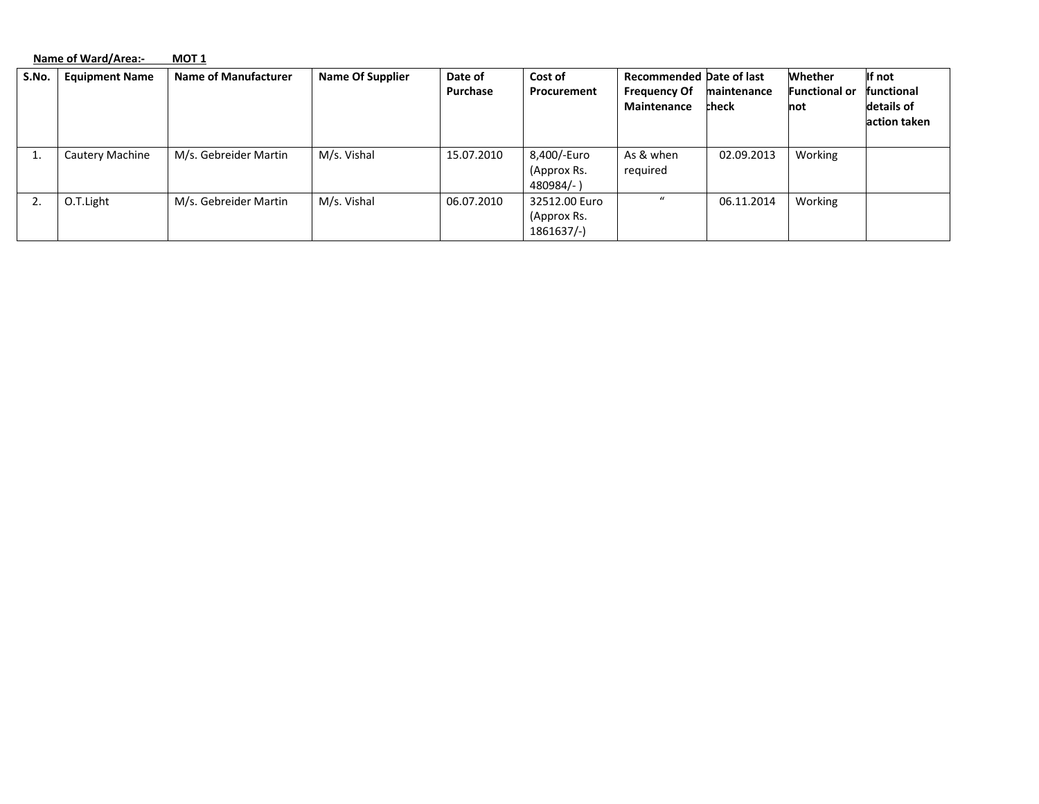|       | Name of Ward/Area:-   | <b>MOT 1</b>                |                  |                     |                                             |                                                                              |                             |                                        |                                                    |
|-------|-----------------------|-----------------------------|------------------|---------------------|---------------------------------------------|------------------------------------------------------------------------------|-----------------------------|----------------------------------------|----------------------------------------------------|
| S.No. | <b>Equipment Name</b> | <b>Name of Manufacturer</b> | Name Of Supplier | Date of<br>Purchase | Cost of<br>Procurement                      | <b>Recommended Date of last</b><br><b>Frequency Of</b><br><b>Maintenance</b> | maintenance<br><b>check</b> | Whether<br><b>Functional or</b><br>not | If not<br>functional<br>details of<br>action taken |
|       | Cautery Machine       | M/s. Gebreider Martin       | M/s. Vishal      | 15.07.2010          | 8,400/-Euro<br>(Approx Rs.<br>480984/-)     | As & when<br>required                                                        | 02.09.2013                  | Working                                |                                                    |
|       | O.T.Light             | M/s. Gebreider Martin       | M/s. Vishal      | 06.07.2010          | 32512.00 Euro<br>(Approx Rs.<br>$1861637/-$ | $\mathbf{u}$                                                                 | 06.11.2014                  | Working                                |                                                    |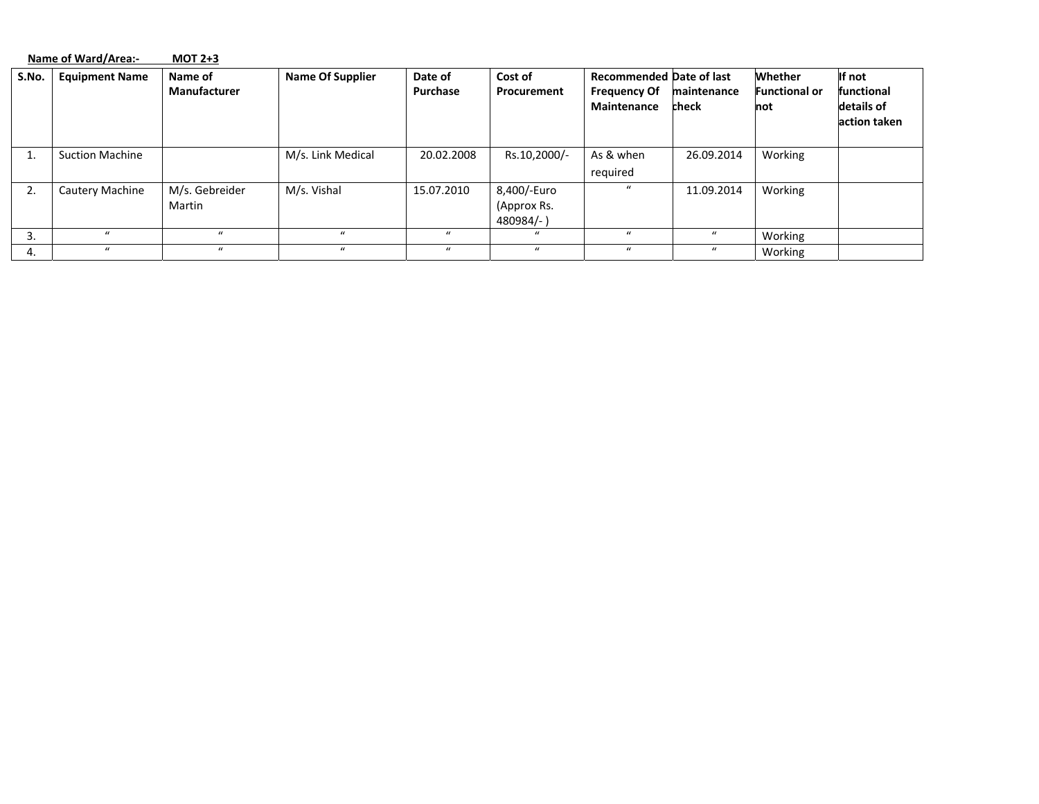|       | Name of Ward/Area:-    | $MOT 2+3$                      |                         |                     |                                         |                                                                       |                      |                                        |                                                    |
|-------|------------------------|--------------------------------|-------------------------|---------------------|-----------------------------------------|-----------------------------------------------------------------------|----------------------|----------------------------------------|----------------------------------------------------|
| S.No. | <b>Equipment Name</b>  | Name of<br><b>Manufacturer</b> | <b>Name Of Supplier</b> | Date of<br>Purchase | Cost of<br>Procurement                  | <b>Recommended Date of last</b><br><b>Frequency Of</b><br>Maintenance | maintenance<br>check | Whether<br><b>Functional or</b><br>not | If not<br>functional<br>details of<br>action taken |
|       | <b>Suction Machine</b> |                                | M/s. Link Medical       | 20.02.2008          | Rs.10,2000/-                            | As & when<br>required                                                 | 26.09.2014           | Working                                |                                                    |
| 2.    | Cautery Machine        | M/s. Gebreider<br>Martin       | M/s. Vishal             | 15.07.2010          | 8,400/-Euro<br>(Approx Rs.<br>480984/-) | $\mathbf{u}$                                                          | 11.09.2014           | Working                                |                                                    |
| 3.    |                        | $\mathbf{u}$                   | $\mathbf{u}$            |                     | $\boldsymbol{u}$                        | $\mathbf{u}$                                                          | $\boldsymbol{u}$     | Working                                |                                                    |
| 4.    | $\mathbf{u}$           | $\mathbf{u}$                   | $\mathbf{u}$            | $\mathbf{u}$        | $\mathbf{u}$                            | $\mathbf{u}$                                                          | $\mathbf{u}$         | Working                                |                                                    |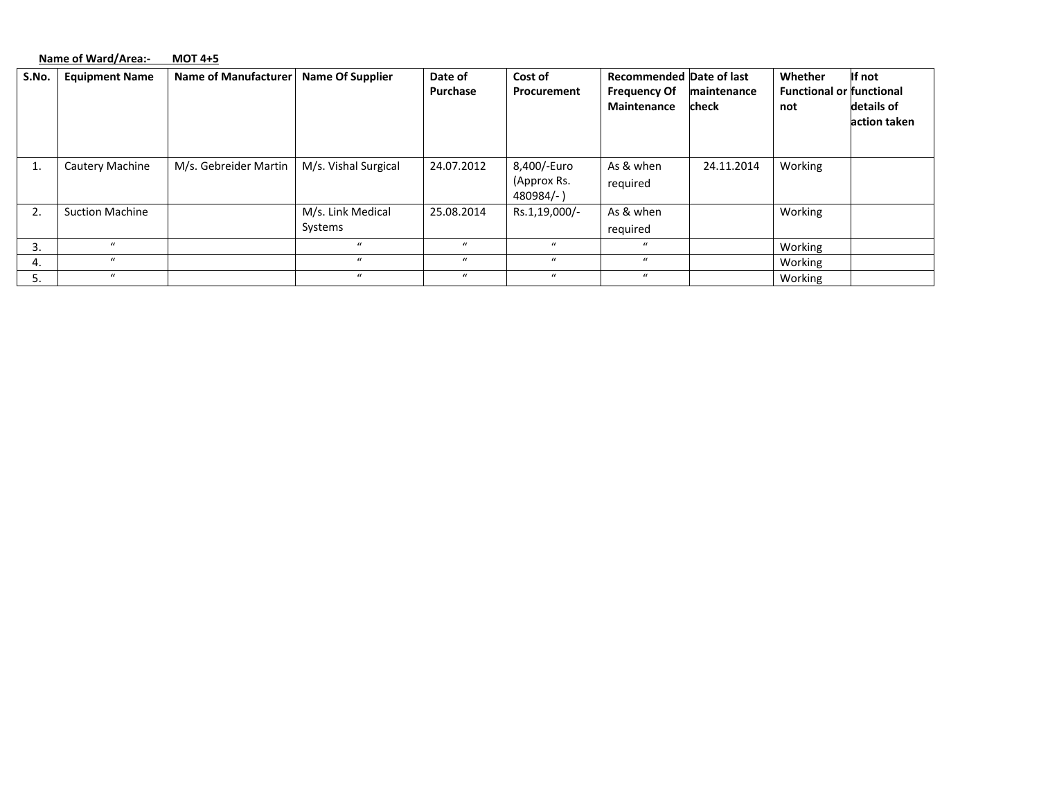|       | Name of Ward/Area:-    | <b>MOT 4+5</b>              |                              |                  |                                         |                                    |                      |                                        |                            |
|-------|------------------------|-----------------------------|------------------------------|------------------|-----------------------------------------|------------------------------------|----------------------|----------------------------------------|----------------------------|
| S.No. | <b>Equipment Name</b>  | <b>Name of Manufacturer</b> | <b>Name Of Supplier</b>      | Date of          | Cost of                                 | <b>Recommended Date of last</b>    |                      | Whether                                | If not                     |
|       |                        |                             |                              | Purchase         | Procurement                             | <b>Frequency Of</b><br>Maintenance | maintenance<br>check | <b>Functional or functional</b><br>not | details of<br>action taken |
| 1.    | <b>Cautery Machine</b> | M/s. Gebreider Martin       | M/s. Vishal Surgical         | 24.07.2012       | 8,400/-Euro<br>(Approx Rs.<br>480984/-) | As & when<br>required              | 24.11.2014           | Working                                |                            |
| 2.    | <b>Suction Machine</b> |                             | M/s. Link Medical<br>Systems | 25.08.2014       | Rs.1,19,000/-                           | As & when<br>required              |                      | Working                                |                            |
|       | $\mu$                  |                             | $\mathbf{u}$                 | $\bf{u}$         | $\mathbf{u}$                            | $\mathbf{u}$                       |                      | Working                                |                            |
| 4.    | $\bf{u}$               |                             | $\mathbf{u}$                 | $\boldsymbol{u}$ | $\bf{u}$                                | $\boldsymbol{u}$                   |                      | Working                                |                            |
|       | $\mathbf{u}$           |                             | $\bf{u}$                     | $\bf{u}$         | $\boldsymbol{u}$                        | $\boldsymbol{u}$                   |                      | Working                                |                            |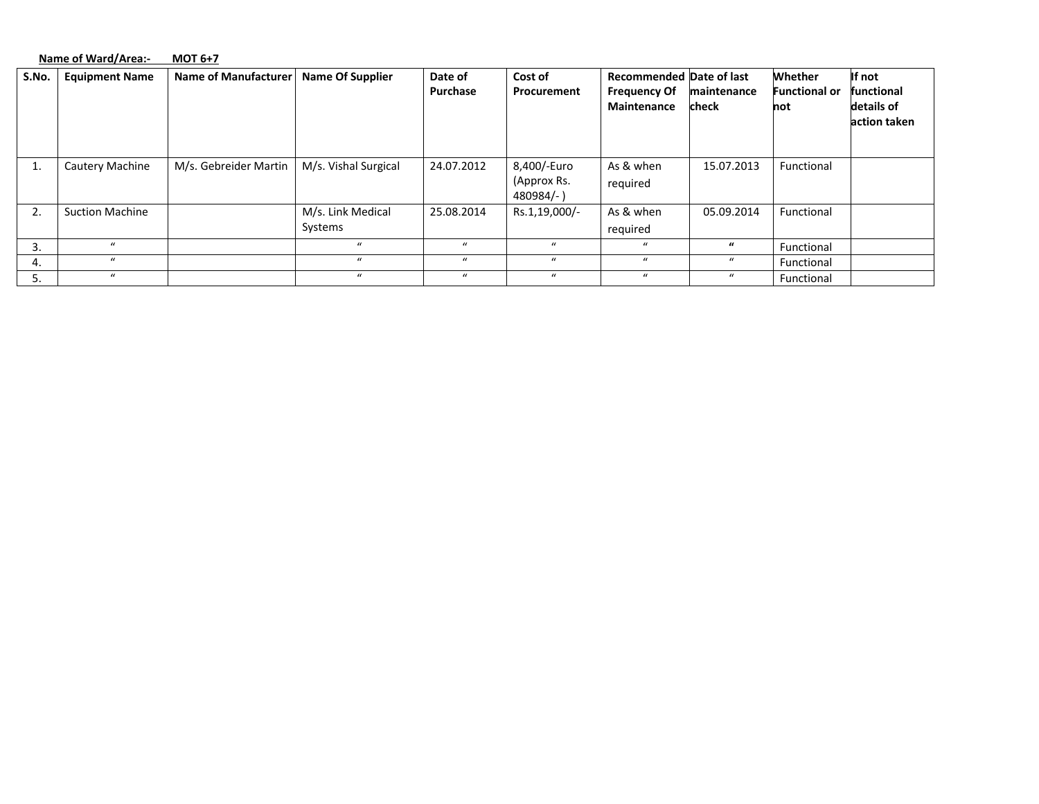|       | Name of Ward/Area:-    | $MOT 6+7$                   |                              |                     |                                         |                                                        |                  |                                 |                            |
|-------|------------------------|-----------------------------|------------------------------|---------------------|-----------------------------------------|--------------------------------------------------------|------------------|---------------------------------|----------------------------|
| S.No. | <b>Equipment Name</b>  | <b>Name of Manufacturer</b> | <b>Name Of Supplier</b>      | Date of<br>Purchase | Cost of<br>Procurement                  | <b>Recommended Date of last</b><br><b>Frequency Of</b> | maintenance      | Whether<br><b>Functional or</b> | If not<br>functional       |
|       |                        |                             |                              |                     |                                         | <b>Maintenance</b>                                     | check            | not                             | details of<br>action taken |
| 1.    | Cautery Machine        | M/s. Gebreider Martin       | M/s. Vishal Surgical         | 24.07.2012          | 8,400/-Euro<br>(Approx Rs.<br>480984/-) | As & when<br>required                                  | 15.07.2013       | Functional                      |                            |
| 2.    | <b>Suction Machine</b> |                             | M/s. Link Medical<br>Systems | 25.08.2014          | Rs.1,19,000/-                           | As & when<br>required                                  | 05.09.2014       | Functional                      |                            |
| 3.    | $\bf{u}$               |                             | $\mathbf{u}$                 | $\boldsymbol{u}$    | $\boldsymbol{u}$                        | $\boldsymbol{u}$                                       | $\boldsymbol{u}$ | Functional                      |                            |
| 4.    | $\bf{u}$               |                             | $\mathbf{u}$                 | $\mathbf{u}$        | $\mathbf{u}$                            | $\mathbf{u}$                                           | $\bf{u}$         | Functional                      |                            |
| 5.    | $\boldsymbol{u}$       |                             | $\boldsymbol{u}$             | $\boldsymbol{u}$    | $\boldsymbol{u}$                        | $\mathbf{u}$                                           | $\boldsymbol{u}$ | Functional                      |                            |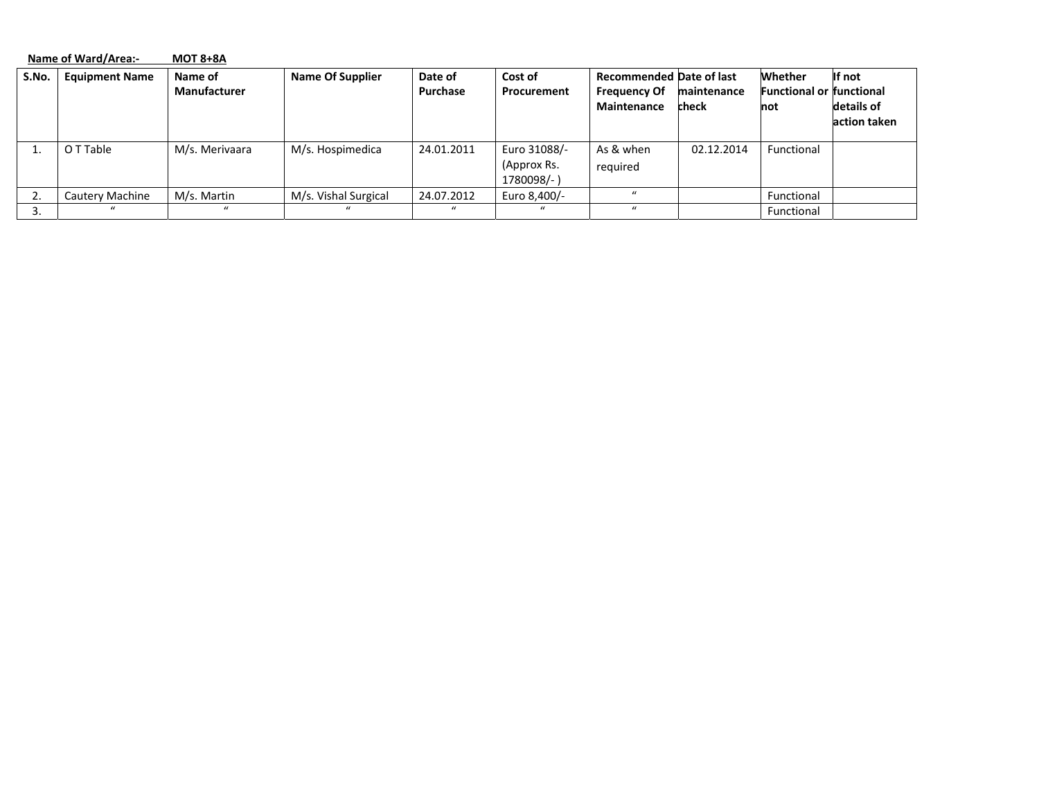|       | Name of Ward/Area:-   | <b>MOT 8+8A</b>                |                         |                     |                                           |                                                                              |                      |                                                          |                                      |
|-------|-----------------------|--------------------------------|-------------------------|---------------------|-------------------------------------------|------------------------------------------------------------------------------|----------------------|----------------------------------------------------------|--------------------------------------|
| S.No. | <b>Equipment Name</b> | Name of<br><b>Manufacturer</b> | <b>Name Of Supplier</b> | Date of<br>Purchase | Cost of<br>Procurement                    | <b>Recommended Date of last</b><br><b>Frequency Of</b><br><b>Maintenance</b> | maintenance<br>check | Whether<br><b>Functional or functional</b><br><b>not</b> | If not<br>details of<br>action taken |
|       | O T Table             | M/s. Merivaara                 | M/s. Hospimedica        | 24.01.2011          | Euro 31088/-<br>(Approx Rs.<br>1780098/-) | As & when<br>required                                                        | 02.12.2014           | Functional                                               |                                      |
|       | Cautery Machine       | M/s. Martin                    | M/s. Vishal Surgical    | 24.07.2012          | Euro 8,400/-                              | $\mathbf{u}$                                                                 |                      | Functional                                               |                                      |
| 3.    | $\prime$              | $\mathbf{u}$                   | $\prime\prime$          | $\prime$            | $\mathbf{u}$                              | $\mathbf{u}$                                                                 |                      | Functional                                               |                                      |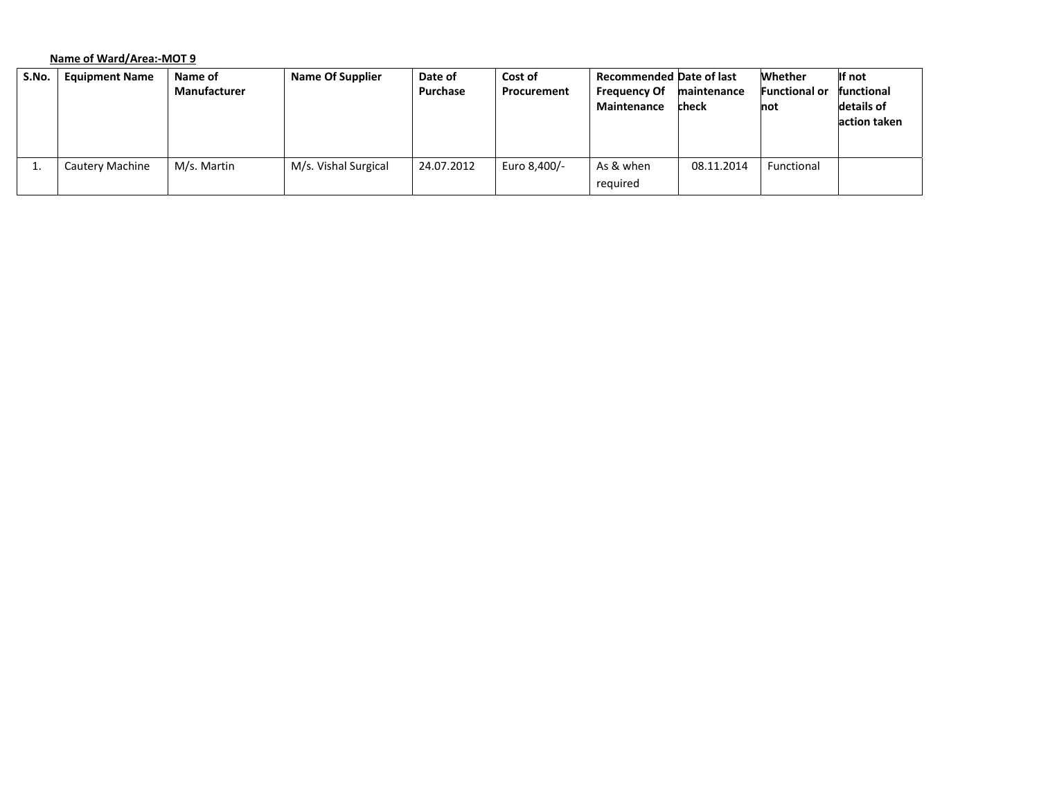# **Name of Ward/Area:‐MOT 9**

| S.No. | <b>Equipment Name</b> | Name of             | <b>Name Of Supplier</b> | Date of    | Cost of      | <b>Recommended Date of last</b> |             | <b>Whether</b>       | If not       |
|-------|-----------------------|---------------------|-------------------------|------------|--------------|---------------------------------|-------------|----------------------|--------------|
|       |                       | <b>Manufacturer</b> |                         | Purchase   | Procurement  | <b>Frequency Of</b>             | maintenance | <b>Functional or</b> | functional   |
|       |                       |                     |                         |            |              | Maintenance                     | check       | not                  | details of   |
|       |                       |                     |                         |            |              |                                 |             |                      | action taken |
|       |                       |                     |                         |            |              |                                 |             |                      |              |
|       |                       |                     |                         |            |              |                                 |             |                      |              |
| ⊥.    | Cautery Machine       | M/s. Martin         | M/s. Vishal Surgical    | 24.07.2012 | Euro 8.400/- | As & when                       | 08.11.2014  | Functional           |              |
|       |                       |                     |                         |            |              | required                        |             |                      |              |
|       |                       |                     |                         |            |              |                                 |             |                      |              |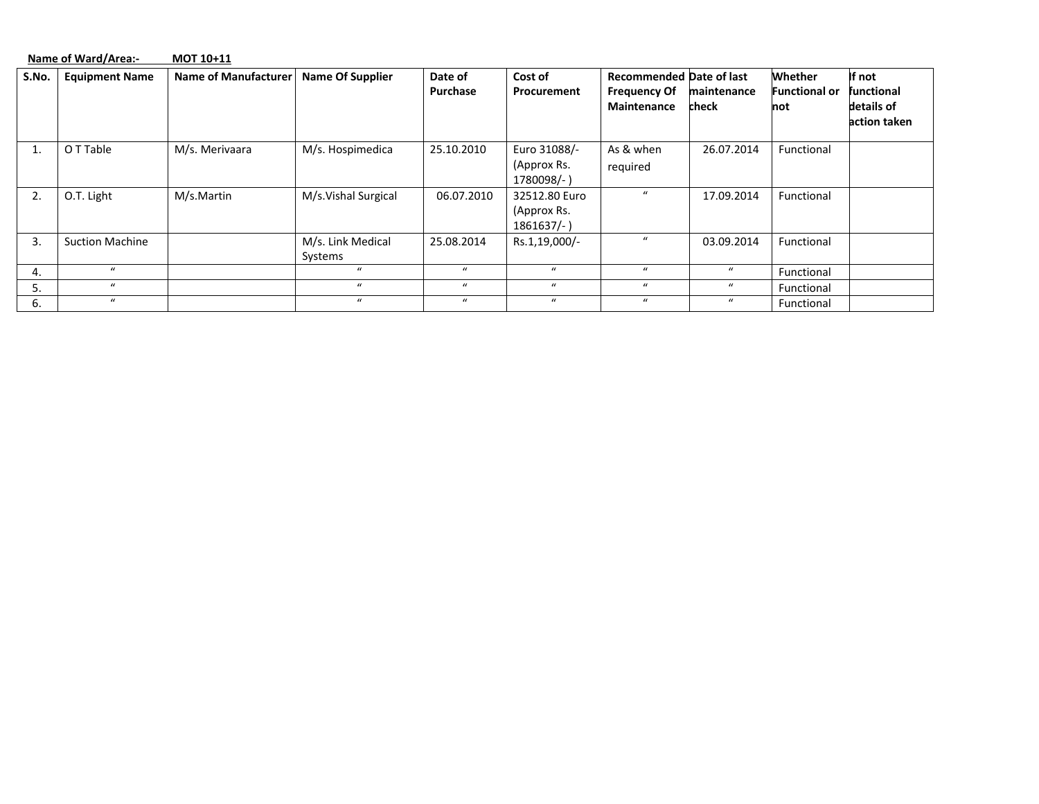|       | Name of Ward/Area:-<br>MOT 10+11 |                      |                              |                     |                                               |                                                                              |                      |                                        |                                                           |  |  |
|-------|----------------------------------|----------------------|------------------------------|---------------------|-----------------------------------------------|------------------------------------------------------------------------------|----------------------|----------------------------------------|-----------------------------------------------------------|--|--|
| S.No. | <b>Equipment Name</b>            | Name of Manufacturer | <b>Name Of Supplier</b>      | Date of<br>Purchase | Cost of<br>Procurement                        | <b>Recommended Date of last</b><br><b>Frequency Of</b><br><b>Maintenance</b> | maintenance<br>check | Whether<br><b>Functional or</b><br>not | If not<br><b>functional</b><br>details of<br>action taken |  |  |
|       | O T Table                        | M/s. Merivaara       | M/s. Hospimedica             | 25.10.2010          | Euro 31088/-<br>(Approx Rs.<br>1780098/-)     | As & when<br>required                                                        | 26.07.2014           | Functional                             |                                                           |  |  |
| 2.    | O.T. Light                       | M/s.Martin           | M/s.Vishal Surgical          | 06.07.2010          | 32512.80 Euro<br>(Approx Rs.<br>$1861637/-$ ) | $\mathbf{u}$                                                                 | 17.09.2014           | Functional                             |                                                           |  |  |
| 3.    | <b>Suction Machine</b>           |                      | M/s. Link Medical<br>Systems | 25.08.2014          | Rs.1,19,000/-                                 | $\mathbf{u}$                                                                 | 03.09.2014           | Functional                             |                                                           |  |  |
| 4.    | $\mathbf{u}$                     |                      | $\bf{u}$                     | $\mathbf{u}$        | $\mathbf{u}$                                  | $\mathbf{u}$                                                                 | $\boldsymbol{u}$     | Functional                             |                                                           |  |  |
| 5.    | $\bf{u}$                         |                      | $\bf{u}$                     | $\boldsymbol{u}$    | $\bf{u}$                                      | $\boldsymbol{u}$                                                             | $\bf{u}$             | Functional                             |                                                           |  |  |
| 6.    | $\bf{u}$                         |                      | $\bf{u}$                     | $\boldsymbol{u}$    | $\bf{u}$                                      | $\boldsymbol{u}$                                                             | $\boldsymbol{u}$     | Functional                             |                                                           |  |  |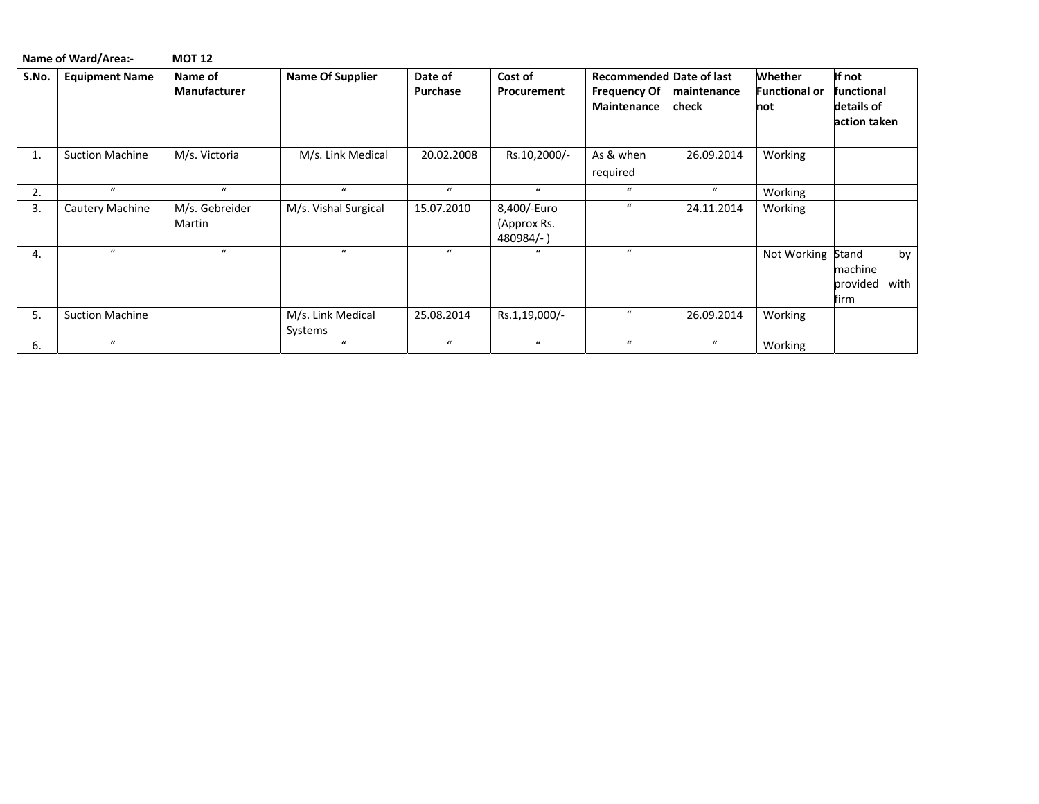|       | Name of Ward/Area:-    | <b>MOT 12</b>                  |                              |                     |                                        |                                                                       |                      |                                        |                                                    |
|-------|------------------------|--------------------------------|------------------------------|---------------------|----------------------------------------|-----------------------------------------------------------------------|----------------------|----------------------------------------|----------------------------------------------------|
| S.No. | <b>Equipment Name</b>  | Name of<br><b>Manufacturer</b> | <b>Name Of Supplier</b>      | Date of<br>Purchase | Cost of<br>Procurement                 | <b>Recommended Date of last</b><br><b>Frequency Of</b><br>Maintenance | maintenance<br>check | Whether<br><b>Functional or</b><br>not | If not<br>functional<br>details of<br>action taken |
| 1.    | <b>Suction Machine</b> | M/s. Victoria                  | M/s. Link Medical            | 20.02.2008          | Rs.10,2000/-                           | As & when<br>required                                                 | 26.09.2014           | Working                                |                                                    |
| 2.    | $\boldsymbol{u}$       | $\mathbf{u}$                   | $\boldsymbol{u}$             | $\bf{u}$            | $\bf{u}$                               | $\boldsymbol{u}$                                                      | $\boldsymbol{u}$     | Working                                |                                                    |
| 3.    | Cautery Machine        | M/s. Gebreider<br>Martin       | M/s. Vishal Surgical         | 15.07.2010          | 8,400/-Euro<br>(Approx Rs.<br>480984/- | $\mathbf{u}$                                                          | 24.11.2014           | Working                                |                                                    |
| 4.    | $\bf{u}$               | $\mathbf{u}$                   | $\bf{u}$                     | $\bf{u}$            | $\mathbf{u}$                           | $\mathbf{u}$                                                          |                      | Not Working Stand                      | by<br>machine<br>provided<br>with<br>firm          |
| 5.    | <b>Suction Machine</b> |                                | M/s. Link Medical<br>Systems | 25.08.2014          | Rs.1,19,000/-                          | $\bf{u}$                                                              | 26.09.2014           | Working                                |                                                    |
| 6.    | $\bf{u}$               |                                | $\boldsymbol{u}$             | $\bf{u}$            | $\mathbf{u}$                           | $\bf{u}$                                                              | $\boldsymbol{u}$     | Working                                |                                                    |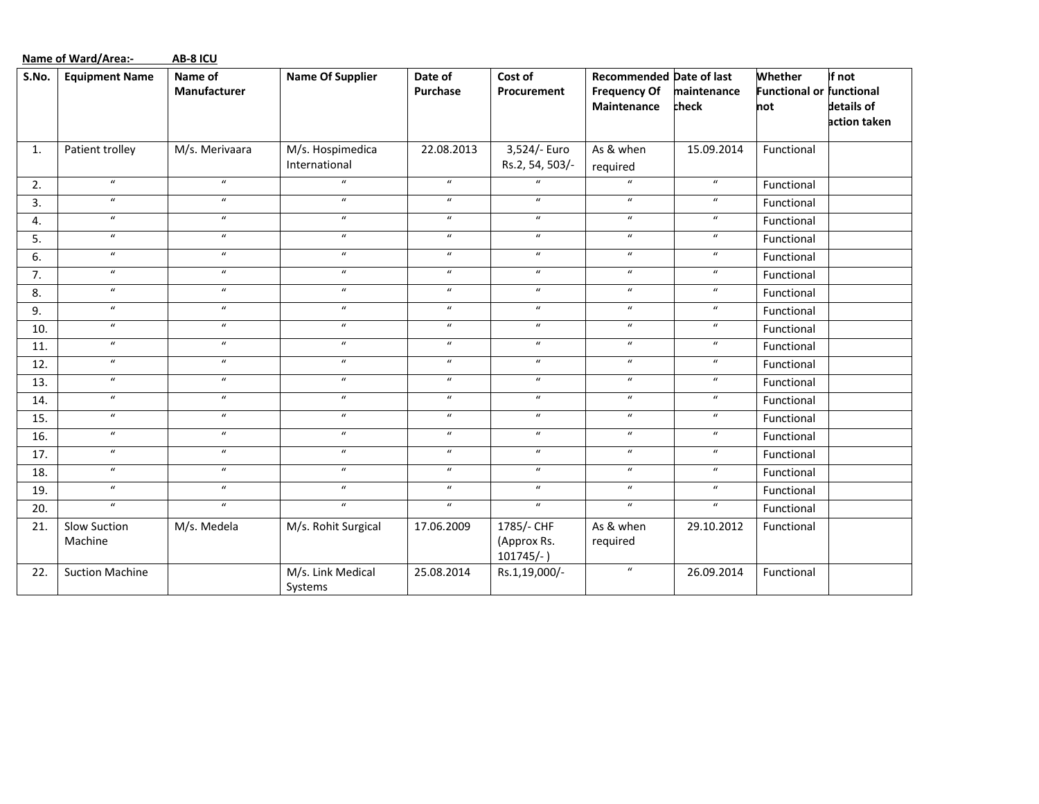|       | <b>Name of Ward/Area:-</b><br>AB-8 ICU |                            |                                   |                            |                                           |                                                                       |                      |                                                   |                                      |  |  |  |
|-------|----------------------------------------|----------------------------|-----------------------------------|----------------------------|-------------------------------------------|-----------------------------------------------------------------------|----------------------|---------------------------------------------------|--------------------------------------|--|--|--|
| S.No. | <b>Equipment Name</b>                  | Name of<br>Manufacturer    | <b>Name Of Supplier</b>           | Date of<br>Purchase        | Cost of<br>Procurement                    | <b>Recommended Date of last</b><br><b>Frequency Of</b><br>Maintenance | maintenance<br>check | Whether<br><b>Functional or functional</b><br>not | If not<br>details of<br>action taken |  |  |  |
| 1.    | Patient trolley                        | M/s. Merivaara             | M/s. Hospimedica<br>International | 22.08.2013                 | 3,524/- Euro<br>Rs.2, 54, 503/-           | As & when<br>required                                                 | 15.09.2014           | Functional                                        |                                      |  |  |  |
| 2.    | $\boldsymbol{u}$                       | $\boldsymbol{u}$           | $\boldsymbol{u}$                  | $\boldsymbol{u}$           | $\boldsymbol{u}$                          | $\boldsymbol{u}$                                                      | $\boldsymbol{u}$     | Functional                                        |                                      |  |  |  |
| 3.    | $\boldsymbol{\mathcal{U}}$             | $\boldsymbol{u}$           | $\boldsymbol{u}$                  | $\boldsymbol{\mathcal{U}}$ | $\boldsymbol{u}$                          | $\boldsymbol{u}$                                                      | $\boldsymbol{u}$     | Functional                                        |                                      |  |  |  |
| 4.    | $\boldsymbol{\mathcal{U}}$             | $\boldsymbol{\mathcal{U}}$ | $\boldsymbol{u}$                  | $\boldsymbol{\mathcal{U}}$ | $\boldsymbol{u}$                          | $\boldsymbol{u}$                                                      | $\boldsymbol{u}$     | Functional                                        |                                      |  |  |  |
| 5.    | $\boldsymbol{u}$                       | $\boldsymbol{u}$           | $\boldsymbol{u}$                  | $\boldsymbol{u}$           | $\boldsymbol{u}$                          | $\boldsymbol{u}$                                                      | $\boldsymbol{u}$     | Functional                                        |                                      |  |  |  |
| 6.    | $\boldsymbol{\mathcal{U}}$             | $\boldsymbol{u}$           | $\boldsymbol{\mathcal{U}}$        | $\boldsymbol{\mathcal{U}}$ | $\boldsymbol{u}$                          | $\boldsymbol{u}$                                                      | $\boldsymbol{u}$     | Functional                                        |                                      |  |  |  |
| 7.    | $\overline{u}$                         | $\overline{u}$             | $\overline{u}$                    | $\boldsymbol{\mathcal{U}}$ | $\overline{u}$                            | $\overline{u}$                                                        | $\boldsymbol{u}$     | Functional                                        |                                      |  |  |  |
| 8.    | $\boldsymbol{u}$                       | $\boldsymbol{u}$           | $\boldsymbol{u}$                  | $\boldsymbol{u}$           | $\boldsymbol{u}$                          | $\boldsymbol{u}$                                                      | $\boldsymbol{u}$     | Functional                                        |                                      |  |  |  |
| 9.    | $\overline{u}$                         | $\overline{u}$             | $\overline{u}$                    | $\overline{u}$             | $\overline{u}$                            | $\overline{u}$                                                        | $\boldsymbol{u}$     | Functional                                        |                                      |  |  |  |
| 10.   | $\overline{u}$                         | $\overline{u}$             | $\overline{u}$                    | $\overline{u}$             | $\overline{u}$                            | $\overline{u}$                                                        | $\boldsymbol{u}$     | Functional                                        |                                      |  |  |  |
| 11.   | $\boldsymbol{\mathcal{U}}$             | $\boldsymbol{u}$           | $\boldsymbol{u}$                  | $\boldsymbol{u}$           | $\boldsymbol{u}$                          | $\boldsymbol{u}$                                                      | $\boldsymbol{u}$     | Functional                                        |                                      |  |  |  |
| 12.   | $\boldsymbol{u}$                       | $\boldsymbol{u}$           | $\boldsymbol{u}$                  | $\boldsymbol{u}$           | $\boldsymbol{u}$                          | $\boldsymbol{u}$                                                      | $\boldsymbol{u}$     | Functional                                        |                                      |  |  |  |
| 13.   | $\boldsymbol{\mathcal{U}}$             | $\boldsymbol{\mathcal{U}}$ | $\boldsymbol{\mathcal{U}}$        | $\boldsymbol{\mathcal{U}}$ | $\boldsymbol{u}$                          | $\boldsymbol{u}$                                                      | $\boldsymbol{u}$     | Functional                                        |                                      |  |  |  |
| 14.   | $\boldsymbol{u}$                       | $\boldsymbol{u}$           | $\boldsymbol{u}$                  | $\boldsymbol{u}$           | $\boldsymbol{u}$                          | $\boldsymbol{u}$                                                      | $\boldsymbol{u}$     | Functional                                        |                                      |  |  |  |
| 15.   | $\overline{u}$                         | $\overline{u}$             | $\overline{u}$                    | $\boldsymbol{u}$           | $\boldsymbol{u}$                          | $\overline{u}$                                                        | $\boldsymbol{u}$     | Functional                                        |                                      |  |  |  |
| 16.   | $\boldsymbol{u}$                       | $\boldsymbol{u}$           | $\boldsymbol{u}$                  | $\boldsymbol{u}$           | $\boldsymbol{u}$                          | $\boldsymbol{u}$                                                      | $\boldsymbol{u}$     | Functional                                        |                                      |  |  |  |
| 17.   | $\boldsymbol{u}$                       | $\boldsymbol{u}$           | $\boldsymbol{u}$                  | $\boldsymbol{u}$           | $\boldsymbol{u}$                          | $\boldsymbol{u}$                                                      | $\boldsymbol{u}$     | Functional                                        |                                      |  |  |  |
| 18.   | $\boldsymbol{u}$                       | $\boldsymbol{u}$           | $\boldsymbol{u}$                  | $\boldsymbol{u}$           | $\mathbf{u}$                              | $\boldsymbol{u}$                                                      | $\boldsymbol{u}$     | Functional                                        |                                      |  |  |  |
| 19.   | $\overline{u}$                         | $\boldsymbol{u}$           | $\boldsymbol{u}$                  | $\boldsymbol{u}$           | $\boldsymbol{u}$                          | $\boldsymbol{u}$                                                      | $\boldsymbol{u}$     | Functional                                        |                                      |  |  |  |
| 20.   | $\boldsymbol{u}$                       | $\boldsymbol{u}$           | $\boldsymbol{u}$                  | $\boldsymbol{u}$           | $\boldsymbol{u}$                          | $\boldsymbol{u}$                                                      | $\boldsymbol{u}$     | Functional                                        |                                      |  |  |  |
| 21.   | Slow Suction<br>Machine                | M/s. Medela                | M/s. Rohit Surgical               | 17.06.2009                 | 1785/- CHF<br>(Approx Rs.<br>$101745/-$ ) | As & when<br>required                                                 | 29.10.2012           | Functional                                        |                                      |  |  |  |
| 22.   | <b>Suction Machine</b>                 |                            | M/s. Link Medical<br>Systems      | 25.08.2014                 | Rs.1,19,000/-                             | $\boldsymbol{\mathcal{U}}$                                            | 26.09.2014           | Functional                                        |                                      |  |  |  |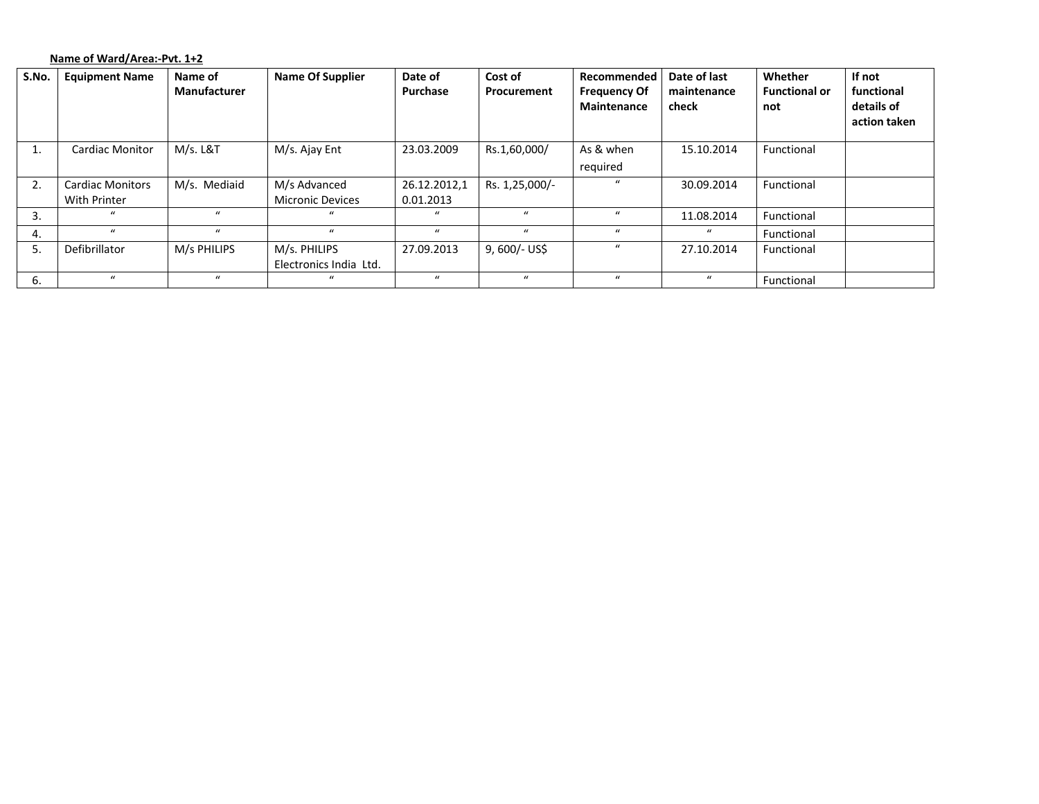## **Name of Ward/Area:‐Pvt. 1+2**

| S.No. | <b>Equipment Name</b>                   | Name of<br>Manufacturer | <b>Name Of Supplier</b>                 | Date of<br>Purchase       | Cost of<br>Procurement | Recommended<br><b>Frequency Of</b><br>Maintenance | Date of last<br>maintenance<br>check | Whether<br><b>Functional or</b><br>not | If not<br>functional<br>details of<br>action taken |
|-------|-----------------------------------------|-------------------------|-----------------------------------------|---------------------------|------------------------|---------------------------------------------------|--------------------------------------|----------------------------------------|----------------------------------------------------|
| ᅩ.    | <b>Cardiac Monitor</b>                  | M/s. L&T                | M/s. Ajay Ent                           | 23.03.2009                | Rs.1,60,000/           | As & when<br>required                             | 15.10.2014                           | Functional                             |                                                    |
| 2.    | <b>Cardiac Monitors</b><br>With Printer | M/s. Mediaid            | M/s Advanced<br><b>Micronic Devices</b> | 26.12.2012,1<br>0.01.2013 | Rs. 1,25,000/-         |                                                   | 30.09.2014                           | Functional                             |                                                    |
| 3.    | $\mathbf{u}$                            | $\bf{u}$                | $\mathbf{u}$                            | $\mathbf{u}$              | $\mathbf{u}$           | $\mathbf{u}$                                      | 11.08.2014                           | Functional                             |                                                    |
| 4.    | $\mathbf{u}$                            | $\bf{u}$                | $\mathbf{u}$                            | $\boldsymbol{u}$          | $\bf{u}$               | $\boldsymbol{u}$                                  | $\bf{u}$                             | Functional                             |                                                    |
| 5.    | Defibrillator                           | M/s PHILIPS             | M/s. PHILIPS<br>Electronics India Ltd.  | 27.09.2013                | 9, 600/- US\$          | $\mathbf{u}$                                      | 27.10.2014                           | Functional                             |                                                    |
| 6.    | $\mathbf{u}$                            | $\bf{u}$                |                                         | $\mathbf{u}$              | $\mathbf{u}$           | $\mathbf{u}$                                      | $\mathcal{U}$                        | Functional                             |                                                    |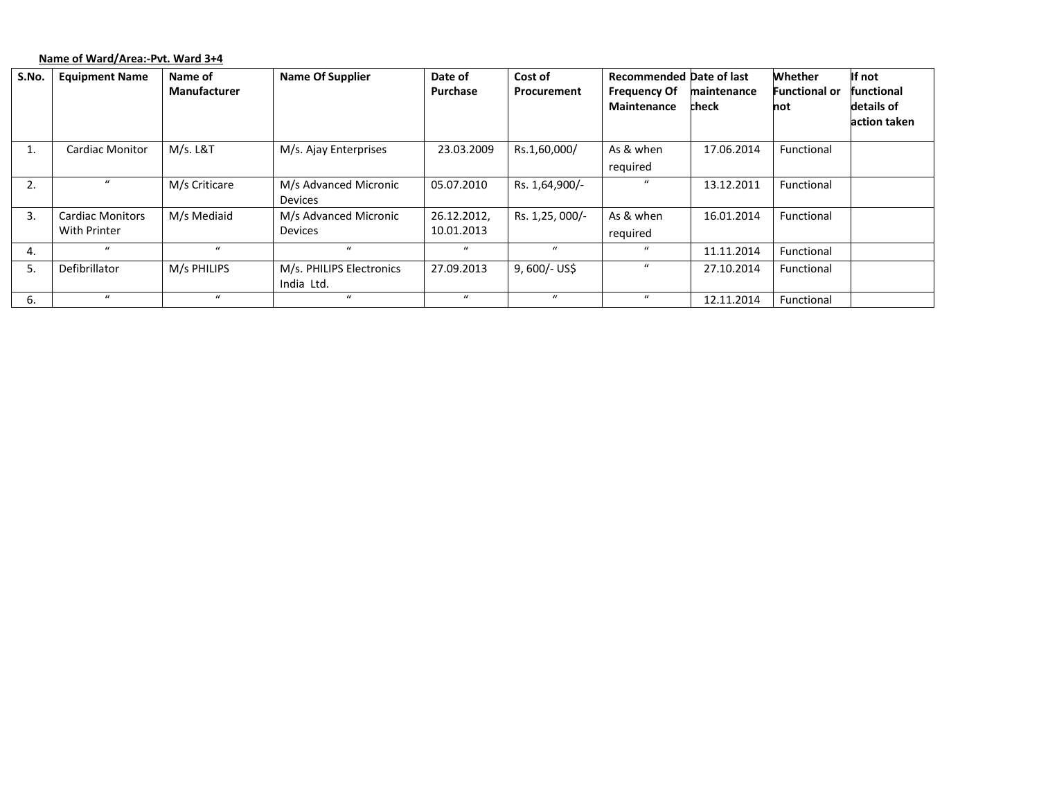# **Name of Ward/Area:‐Pvt. Ward 3+4**

| S.No. | <b>Equipment Name</b>   | Name of             | <b>Name Of Supplier</b>  | Date of          | Cost of          | <b>Recommended Date of last</b> |             | Whether              | If not       |
|-------|-------------------------|---------------------|--------------------------|------------------|------------------|---------------------------------|-------------|----------------------|--------------|
|       |                         | <b>Manufacturer</b> |                          | Purchase         | Procurement      | <b>Frequency Of</b>             | maintenance | <b>Functional or</b> | functional   |
|       |                         |                     |                          |                  |                  | Maintenance                     | check       | not                  | details of   |
|       |                         |                     |                          |                  |                  |                                 |             |                      | action taken |
|       |                         |                     |                          |                  |                  |                                 |             |                      |              |
| Τ.    | <b>Cardiac Monitor</b>  | M/s. L&T            | M/s. Ajay Enterprises    | 23.03.2009       | Rs.1,60,000/     | As & when                       | 17.06.2014  | Functional           |              |
|       |                         |                     |                          |                  |                  | required                        |             |                      |              |
| 2.    |                         | M/s Criticare       | M/s Advanced Micronic    | 05.07.2010       | Rs. 1,64,900/-   | $\bf{u}$                        | 13.12.2011  | Functional           |              |
|       |                         |                     | <b>Devices</b>           |                  |                  |                                 |             |                      |              |
| 3.    | <b>Cardiac Monitors</b> | M/s Mediaid         | M/s Advanced Micronic    | 26.12.2012,      | Rs. 1,25, 000/-  | As & when                       | 16.01.2014  | Functional           |              |
|       | With Printer            |                     | <b>Devices</b>           | 10.01.2013       |                  | required                        |             |                      |              |
| 4.    | $\bf{u}$                | $\mathbf{u}$        | $\bf{u}$                 | $\boldsymbol{u}$ | $\boldsymbol{u}$ | $\bf{u}$                        | 11.11.2014  | Functional           |              |
| 5.    | Defibrillator           | M/s PHILIPS         | M/s. PHILIPS Electronics | 27.09.2013       | $9,600/-$ US\$   | $\bf{u}$                        | 27.10.2014  | Functional           |              |
|       |                         |                     | India Ltd.               |                  |                  |                                 |             |                      |              |
| 6.    | $\mathbf{u}$            | $\mathbf{u}$        | $\mathbf{u}$             | $\mathbf{u}$     | $\mathbf{u}$     | $\mathbf{u}$                    | 12.11.2014  | Functional           |              |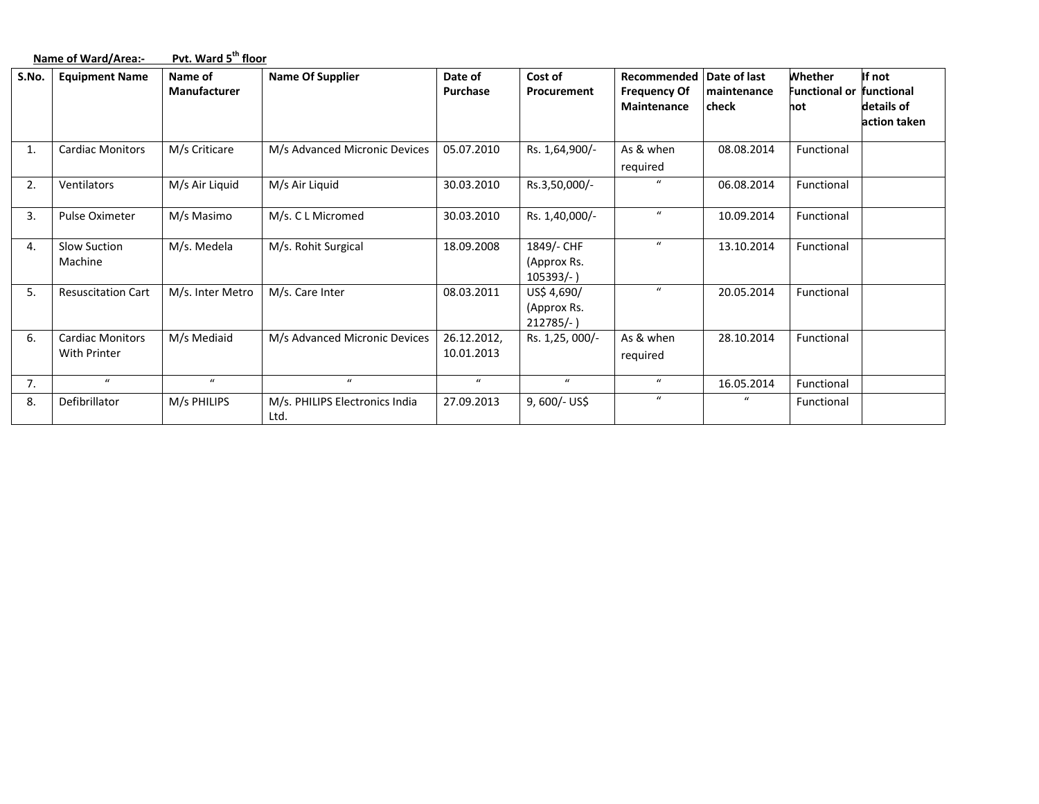|                  | Name of Ward/Area:-                     | Pvt. Ward 5 <sup>th</sup> floor |                                        |                           |                                          |                                                                       |                      |                                        |                                                    |  |  |
|------------------|-----------------------------------------|---------------------------------|----------------------------------------|---------------------------|------------------------------------------|-----------------------------------------------------------------------|----------------------|----------------------------------------|----------------------------------------------------|--|--|
| S.No.            | <b>Equipment Name</b>                   | Name of<br><b>Manufacturer</b>  | <b>Name Of Supplier</b>                | Date of<br>Purchase       | Cost of<br>Procurement                   | Recommended Date of last<br><b>Frequency Of</b><br><b>Maintenance</b> | maintenance<br>check | Whether<br><b>Functional or</b><br>not | If not<br>functional<br>details of<br>action taken |  |  |
| 1.               | <b>Cardiac Monitors</b>                 | M/s Criticare                   | M/s Advanced Micronic Devices          | 05.07.2010                | Rs. 1,64,900/-                           | As & when<br>required                                                 | 08.08.2014           | Functional                             |                                                    |  |  |
| 2.               | Ventilators                             | M/s Air Liquid                  | M/s Air Liquid                         | 30.03.2010                | Rs.3,50,000/-                            | $\mathbf{u}$                                                          | 06.08.2014           | Functional                             |                                                    |  |  |
| $\overline{3}$ . | Pulse Oximeter                          | M/s Masimo                      | M/s. C L Micromed                      | 30.03.2010                | Rs. 1,40,000/-                           | $\bf{u}$                                                              | 10.09.2014           | Functional                             |                                                    |  |  |
| 4.               | Slow Suction<br>Machine                 | M/s. Medela                     | M/s. Rohit Surgical                    | 18.09.2008                | 1849/- CHF<br>(Approx Rs.<br>$105393/-$  | $\bf{u}$                                                              | 13.10.2014           | Functional                             |                                                    |  |  |
| 5.               | <b>Resuscitation Cart</b>               | M/s. Inter Metro                | M/s. Care Inter                        | 08.03.2011                | US\$ 4,690/<br>(Approx Rs.<br>$212785/-$ | $\boldsymbol{u}$                                                      | 20.05.2014           | Functional                             |                                                    |  |  |
| 6.               | <b>Cardiac Monitors</b><br>With Printer | M/s Mediaid                     | M/s Advanced Micronic Devices          | 26.12.2012,<br>10.01.2013 | Rs. 1,25, 000/-                          | As & when<br>required                                                 | 28.10.2014           | Functional                             |                                                    |  |  |
| 7.               | $\boldsymbol{u}$                        | $\bf{u}$                        | $\mathbf{u}$                           | $\boldsymbol{u}$          | $\boldsymbol{u}$                         | $\boldsymbol{u}$                                                      | 16.05.2014           | Functional                             |                                                    |  |  |
| 8.               | Defibrillator                           | M/s PHILIPS                     | M/s. PHILIPS Electronics India<br>Ltd. | 27.09.2013                | $9,600/-$ US\$                           | $\boldsymbol{u}$                                                      | $\mathbf{u}$         | Functional                             |                                                    |  |  |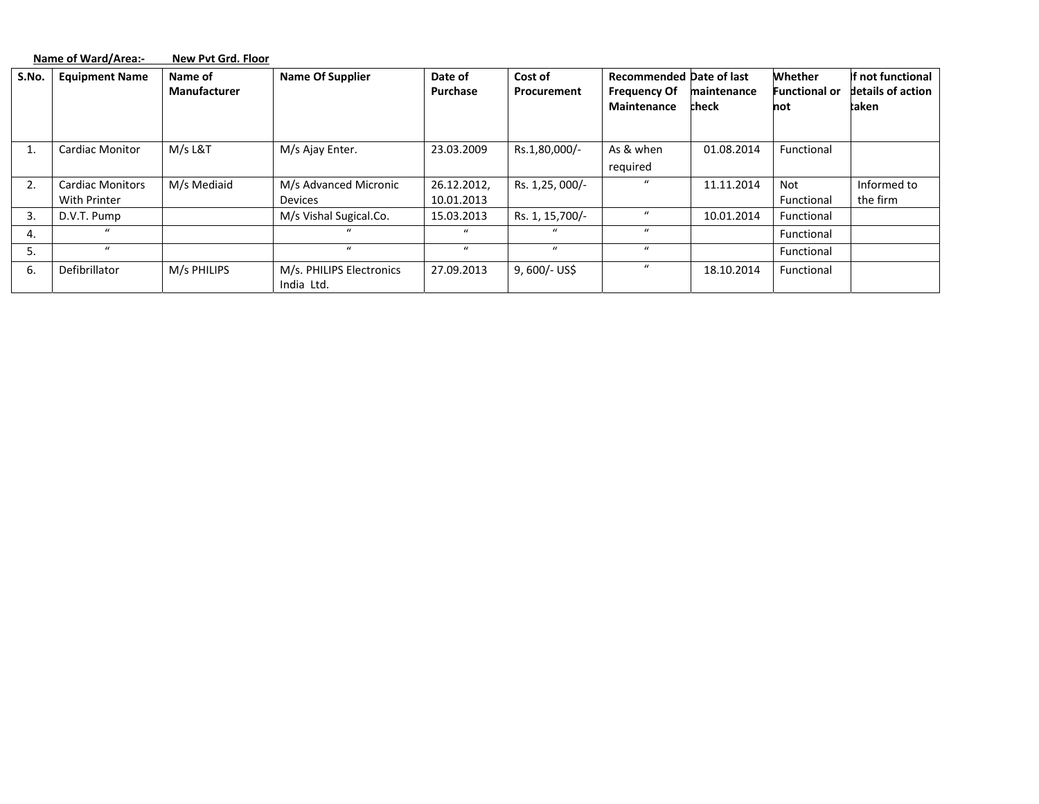|       | Name of Ward/Area:-                     | New Pvt Grd. Floor      |                                         |                           |                        |                                                                       |                      |                                 |                                                 |
|-------|-----------------------------------------|-------------------------|-----------------------------------------|---------------------------|------------------------|-----------------------------------------------------------------------|----------------------|---------------------------------|-------------------------------------------------|
| S.No. | <b>Equipment Name</b>                   | Name of<br>Manufacturer | <b>Name Of Supplier</b>                 | Date of<br>Purchase       | Cost of<br>Procurement | <b>Recommended Date of last</b><br><b>Frequency Of</b><br>Maintenance | maintenance<br>check | Whether<br>Functional or<br>not | If not functional<br>details of action<br>taken |
| π.    | <b>Cardiac Monitor</b>                  | M/s L&T                 | M/s Ajay Enter.                         | 23.03.2009                | Rs.1,80,000/-          | As & when<br>required                                                 | 01.08.2014           | Functional                      |                                                 |
| 2.    | <b>Cardiac Monitors</b><br>With Printer | M/s Mediaid             | M/s Advanced Micronic<br><b>Devices</b> | 26.12.2012,<br>10.01.2013 | Rs. 1,25, 000/-        | $\bf{u}$                                                              | 11.11.2014           | <b>Not</b><br>Functional        | Informed to<br>the firm                         |
| 3.    | D.V.T. Pump                             |                         | M/s Vishal Sugical.Co.                  | 15.03.2013                | Rs. 1, 15,700/-        | $\bf{u}$                                                              | 10.01.2014           | Functional                      |                                                 |
| 4.    | $\bf{u}$                                |                         | $\mathbf{u}$                            | $\mathbf{u}$              | $\mathbf{u}$           | $\boldsymbol{u}$                                                      |                      | Functional                      |                                                 |
| 5.    | $\mathbf{u}$                            |                         | $\mathbf{u}$                            | $\mathbf{u}$              | $\mathbf{u}$           | $\mathbf{u}$                                                          |                      | Functional                      |                                                 |
| 6.    | Defibrillator                           | M/s PHILIPS             | M/s. PHILIPS Electronics<br>India Ltd.  | 27.09.2013                | $9,600/-$ US\$         | $\bf{u}$                                                              | 18.10.2014           | Functional                      |                                                 |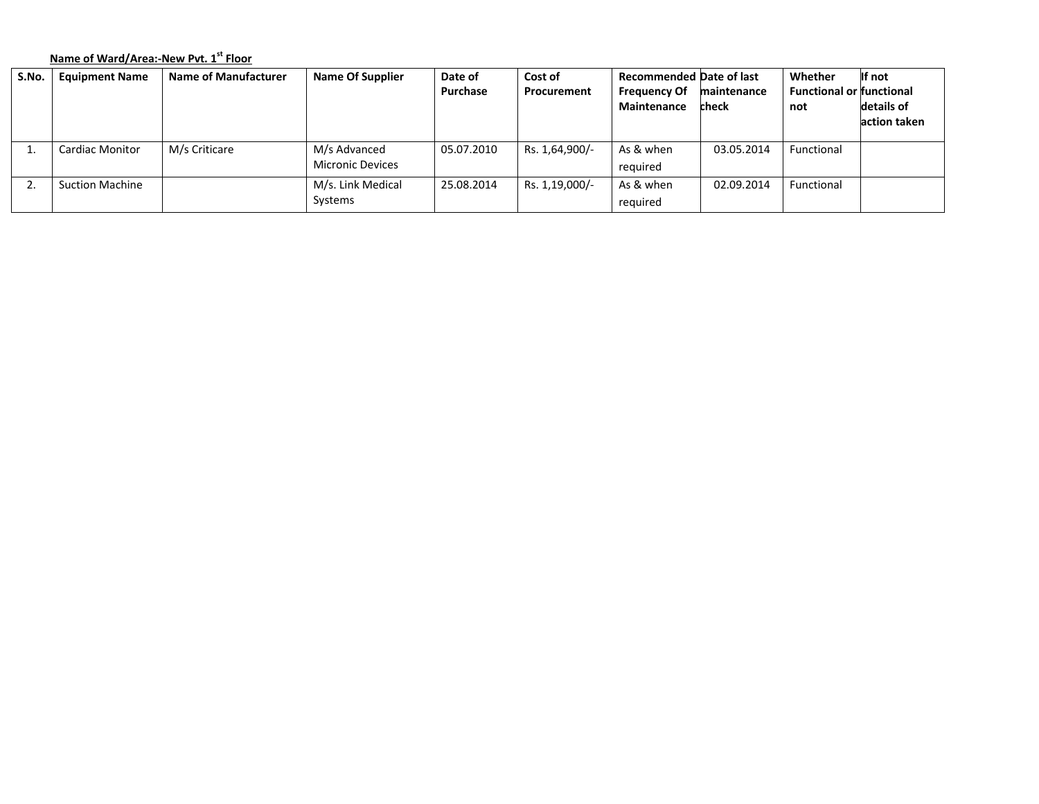# **Name of Ward/Area:‐New Pvt. <sup>1</sup>st Floor**

| S.No. | <b>Equipment Name</b>  | <b>Name of Manufacturer</b> | <b>Name Of Supplier</b> | Date of         | Cost of        | <b>Recommended Date of last</b> |             | Whether                         | If not       |
|-------|------------------------|-----------------------------|-------------------------|-----------------|----------------|---------------------------------|-------------|---------------------------------|--------------|
|       |                        |                             |                         | <b>Purchase</b> | Procurement    | <b>Frequency Of</b>             | maintenance | <b>Functional or functional</b> |              |
|       |                        |                             |                         |                 |                | Maintenance                     | check       | not                             | details of   |
|       |                        |                             |                         |                 |                |                                 |             |                                 | action taken |
|       |                        |                             |                         |                 |                |                                 |             |                                 |              |
|       | Cardiac Monitor        | M/s Criticare               | M/s Advanced            | 05.07.2010      | Rs. 1,64,900/- | As & when                       | 03.05.2014  | Functional                      |              |
|       |                        |                             | <b>Micronic Devices</b> |                 |                | required                        |             |                                 |              |
|       | <b>Suction Machine</b> |                             | M/s. Link Medical       | 25.08.2014      | Rs. 1,19,000/- | As & when                       | 02.09.2014  | Functional                      |              |
|       |                        |                             | Systems                 |                 |                | required                        |             |                                 |              |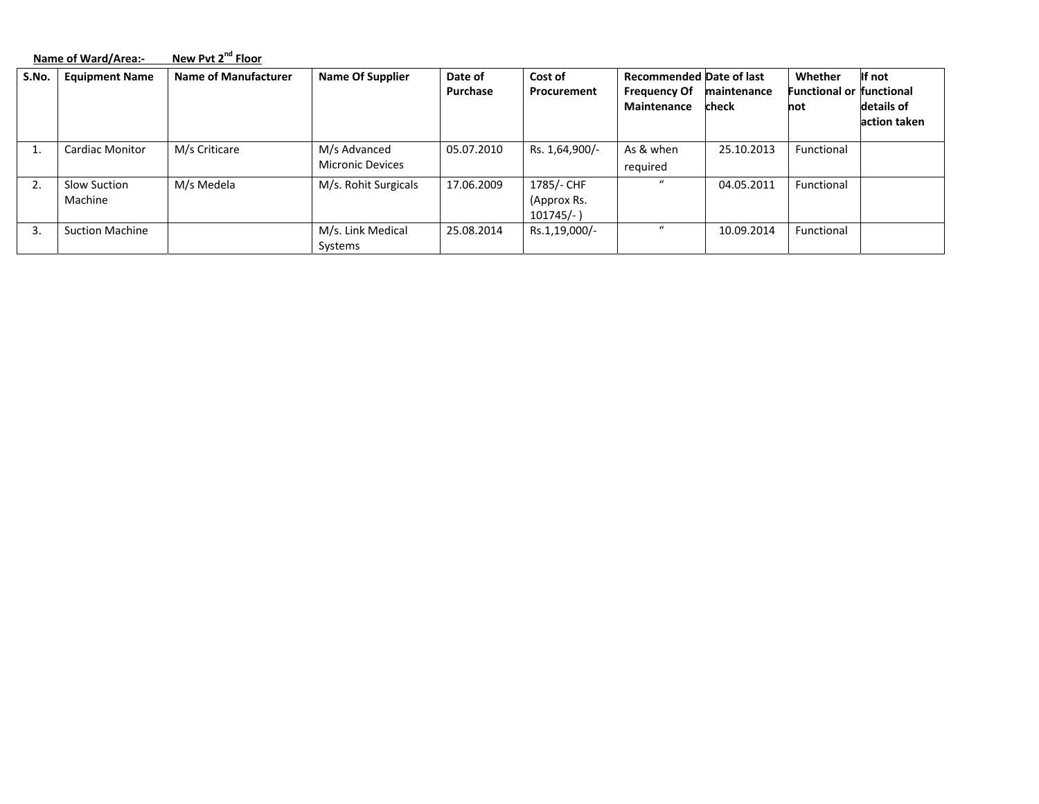|       | Name of Ward/Area:-            | New Pvt 2 <sup>nd</sup> Floor |                                         |                     |                                           |                                                                       |                      |                                                   |                                      |
|-------|--------------------------------|-------------------------------|-----------------------------------------|---------------------|-------------------------------------------|-----------------------------------------------------------------------|----------------------|---------------------------------------------------|--------------------------------------|
| S.No. | <b>Equipment Name</b>          | Name of Manufacturer          | <b>Name Of Supplier</b>                 | Date of<br>Purchase | Cost of<br>Procurement                    | <b>Recommended Date of last</b><br><b>Frequency Of</b><br>Maintenance | maintenance<br>check | Whether<br><b>Functional or functional</b><br>not | If not<br>details of<br>action taken |
|       | <b>Cardiac Monitor</b>         | M/s Criticare                 | M/s Advanced<br><b>Micronic Devices</b> | 05.07.2010          | Rs. 1,64,900/-                            | As & when<br>required                                                 | 25.10.2013           | Functional                                        |                                      |
| 2.    | <b>Slow Suction</b><br>Machine | M/s Medela                    | M/s. Rohit Surgicals                    | 17.06.2009          | 1785/- CHF<br>(Approx Rs.<br>$101745/-$ ) | $\mathbf{u}$                                                          | 04.05.2011           | Functional                                        |                                      |
| 3.    | <b>Suction Machine</b>         |                               | M/s. Link Medical<br>Systems            | 25.08.2014          | Rs.1,19,000/-                             | $\mathbf{u}$                                                          | 10.09.2014           | Functional                                        |                                      |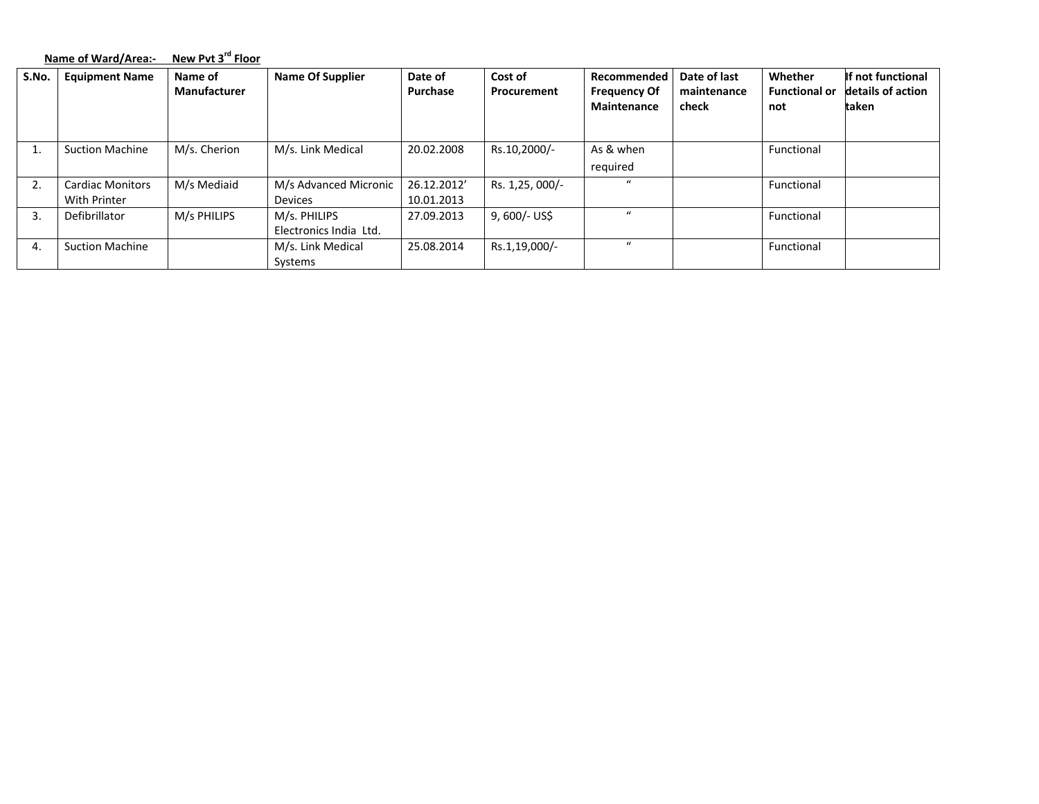|       | Name of Ward/Area:-                     | New Pvt 3 <sup>rd</sup> Floor  |                                         |                           |                        |                                                   |                                      |                                        |                                                 |
|-------|-----------------------------------------|--------------------------------|-----------------------------------------|---------------------------|------------------------|---------------------------------------------------|--------------------------------------|----------------------------------------|-------------------------------------------------|
| S.No. | <b>Equipment Name</b>                   | Name of<br><b>Manufacturer</b> | <b>Name Of Supplier</b>                 | Date of<br>Purchase       | Cost of<br>Procurement | Recommended<br><b>Frequency Of</b><br>Maintenance | Date of last<br>maintenance<br>check | Whether<br><b>Functional or</b><br>not | If not functional<br>details of action<br>taken |
| 1.    | <b>Suction Machine</b>                  | M/s. Cherion                   | M/s. Link Medical                       | 20.02.2008                | Rs.10,2000/-           | As & when<br>required                             |                                      | Functional                             |                                                 |
| 2.    | <b>Cardiac Monitors</b><br>With Printer | M/s Mediaid                    | M/s Advanced Micronic<br><b>Devices</b> | 26.12.2012'<br>10.01.2013 | Rs. 1,25, 000/-        | $\mathbf{u}$                                      |                                      | Functional                             |                                                 |
| 3.    | Defibrillator                           | M/s PHILIPS                    | M/s. PHILIPS<br>Electronics India Ltd.  | 27.09.2013                | 9, 600/- US\$          | $\mathbf{u}$                                      |                                      | Functional                             |                                                 |
| 4.    | <b>Suction Machine</b>                  |                                | M/s. Link Medical<br>Systems            | 25.08.2014                | Rs.1,19,000/-          | $\boldsymbol{u}$                                  |                                      | Functional                             |                                                 |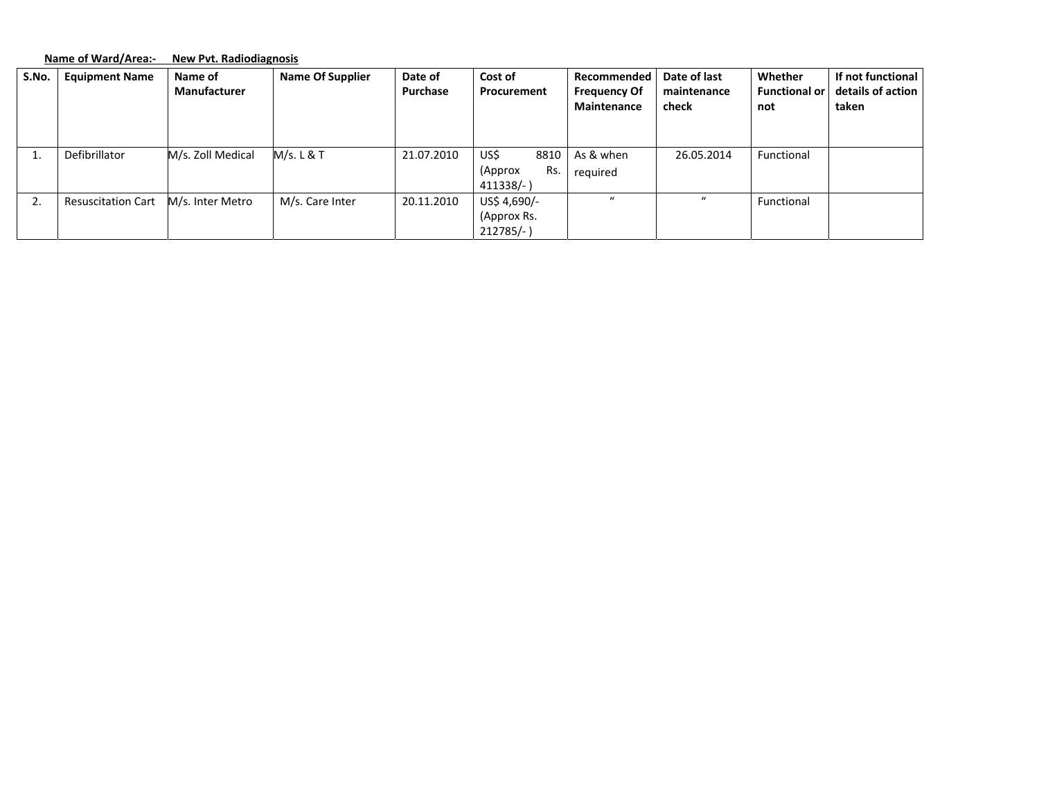|       | Name of Ward/Area:-       | <b>New Pyt. Radiodiagnosis</b> |                         |                            |                                              |                                                          |                                      |                                        |                                                 |
|-------|---------------------------|--------------------------------|-------------------------|----------------------------|----------------------------------------------|----------------------------------------------------------|--------------------------------------|----------------------------------------|-------------------------------------------------|
| S.No. | <b>Equipment Name</b>     | Name of<br><b>Manufacturer</b> | <b>Name Of Supplier</b> | Date of<br><b>Purchase</b> | Cost of<br>Procurement                       | Recommended<br><b>Frequency Of</b><br><b>Maintenance</b> | Date of last<br>maintenance<br>check | Whether<br><b>Functional or</b><br>not | If not functional<br>details of action<br>taken |
| T.    | Defibrillator             | M/s. Zoll Medical              | M/s. L & T              | 21.07.2010                 | US\$<br>8810<br>Rs.<br>(Approx<br>$411338/-$ | As & when<br>required                                    | 26.05.2014                           | Functional                             |                                                 |
| 2.    | <b>Resuscitation Cart</b> | M/s. Inter Metro               | M/s. Care Inter         | 20.11.2010                 | US\$ 4,690/-<br>(Approx Rs.<br>$212785/-$    | $\mathbf{u}$                                             | $\mathbf{u}$                         | Functional                             |                                                 |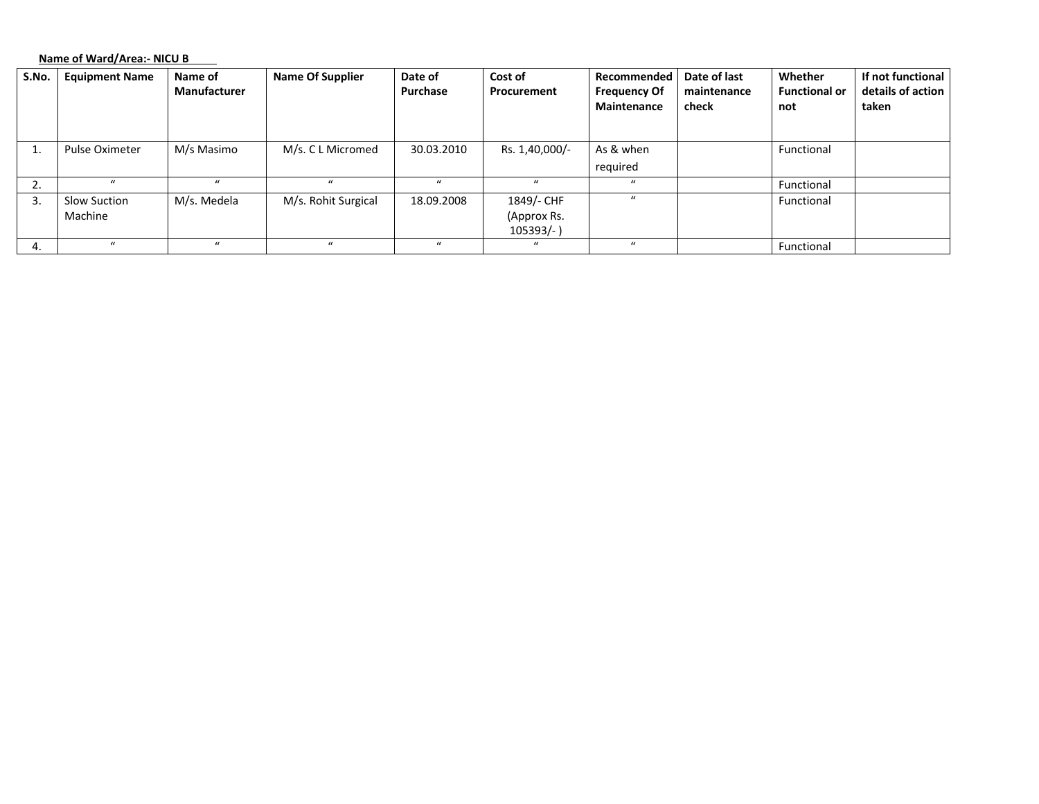**Name of Ward/Area:‐ NICU B**

| S.No. | <b>Equipment Name</b>          | Name of<br>Manufacturer | <b>Name Of Supplier</b> | Date of<br>Purchase | Cost of<br>Procurement                  | Recommended<br><b>Frequency Of</b><br>Maintenance | Date of last<br>maintenance<br>check | Whether<br><b>Functional or</b><br>not | If not functional<br>details of action<br>taken |
|-------|--------------------------------|-------------------------|-------------------------|---------------------|-----------------------------------------|---------------------------------------------------|--------------------------------------|----------------------------------------|-------------------------------------------------|
|       | Pulse Oximeter                 | M/s Masimo              | M/s. C L Micromed       | 30.03.2010          | Rs. 1,40,000/-                          | As & when<br>required                             |                                      | Functional                             |                                                 |
|       |                                | $\mathbf{u}$            | $\mathbf{u}$            | $\mathbf{u}$        | $\mathbf{u}$                            | $\mathbf{u}$                                      |                                      | Functional                             |                                                 |
| 3.    | <b>Slow Suction</b><br>Machine | M/s. Medela             | M/s. Rohit Surgical     | 18.09.2008          | 1849/- CHF<br>(Approx Rs.<br>$105393/-$ | $\mathbf{u}$                                      |                                      | Functional                             |                                                 |
|       |                                | $\bf{u}$                | $\bf{u}$                |                     | $\mathbf{u}$                            |                                                   |                                      | Functional                             |                                                 |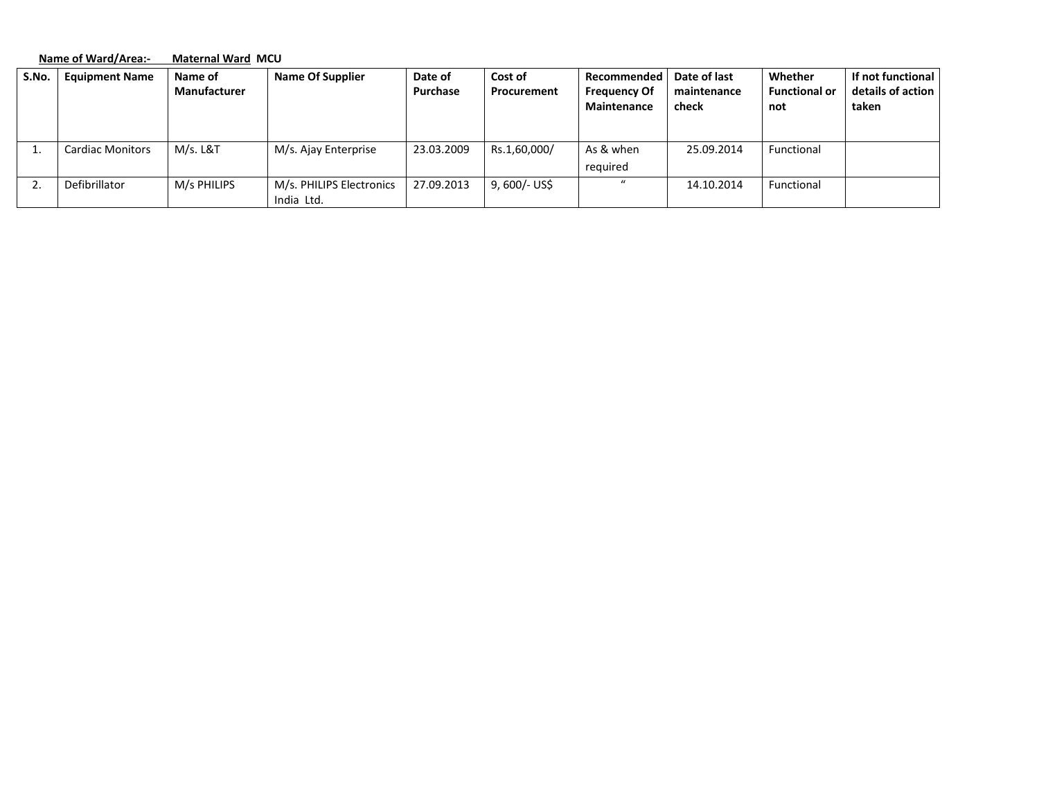|       | Name of Ward/Area:-     | <b>Maternal Ward MCU</b>       |                                        |                     |                        |                                                   |                                      |                                        |                                                 |  |
|-------|-------------------------|--------------------------------|----------------------------------------|---------------------|------------------------|---------------------------------------------------|--------------------------------------|----------------------------------------|-------------------------------------------------|--|
| S.No. | <b>Equipment Name</b>   | Name of<br><b>Manufacturer</b> | <b>Name Of Supplier</b>                | Date of<br>Purchase | Cost of<br>Procurement | Recommended<br><b>Frequency Of</b><br>Maintenance | Date of last<br>maintenance<br>check | Whether<br><b>Functional or</b><br>not | If not functional<br>details of action<br>taken |  |
| ⊥.    | <b>Cardiac Monitors</b> | M/s. L&T                       | M/s. Ajay Enterprise                   | 23.03.2009          | Rs.1,60,000/           | As & when<br>required                             | 25.09.2014                           | Functional                             |                                                 |  |
|       | Defibrillator           | M/s PHILIPS                    | M/s. PHILIPS Electronics<br>India Ltd. | 27.09.2013          | 9, 600/- US\$          | $\mathbf{u}$                                      | 14.10.2014                           | Functional                             |                                                 |  |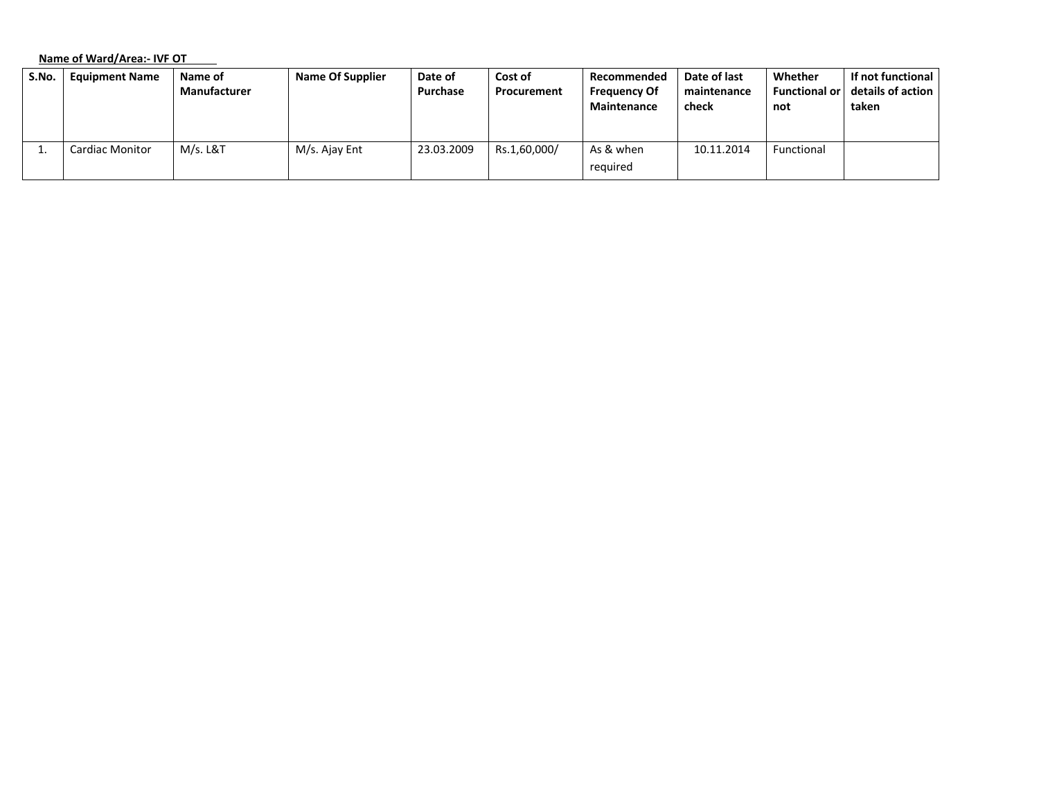**Name of Ward/Area:‐ IVF OT**

| S.No. | <b>Equipment Name</b>  | Name of             | <b>Name Of Supplier</b> | Date of    | Cost of      | Recommended         | Date of last | Whether              | If not functional |
|-------|------------------------|---------------------|-------------------------|------------|--------------|---------------------|--------------|----------------------|-------------------|
|       |                        | <b>Manufacturer</b> |                         | Purchase   | Procurement  | <b>Frequency Of</b> | maintenance  | <b>Functional or</b> | details of action |
|       |                        |                     |                         |            |              | Maintenance         | check        | not                  | taken             |
|       |                        |                     |                         |            |              |                     |              |                      |                   |
|       |                        |                     |                         |            |              |                     |              |                      |                   |
|       | <b>Cardiac Monitor</b> | M/s. L&T            | M/s. Ajay Ent           | 23.03.2009 | Rs.1,60,000/ | As & when           | 10.11.2014   | Functional           |                   |
|       |                        |                     |                         |            |              | required            |              |                      |                   |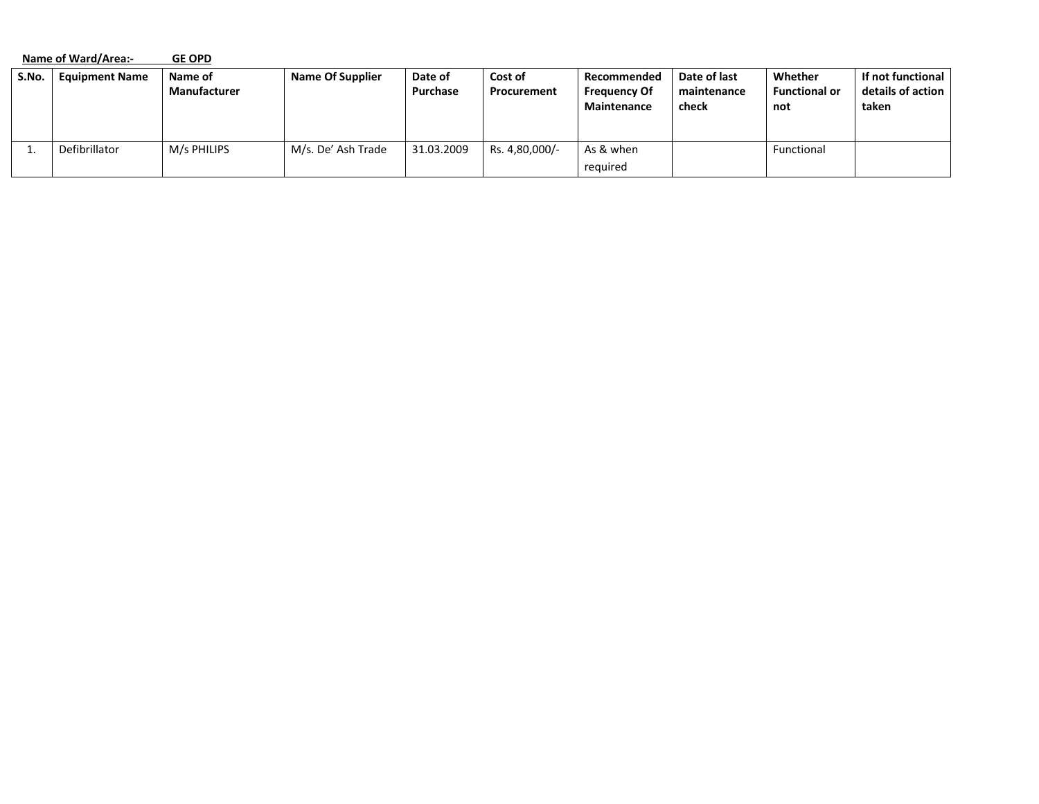|       | Name of Ward/Area:-   | <b>GE OPD</b>           |                         |                     |                        |                                                          |                                      |                                        |                                                 |
|-------|-----------------------|-------------------------|-------------------------|---------------------|------------------------|----------------------------------------------------------|--------------------------------------|----------------------------------------|-------------------------------------------------|
| S.No. | <b>Equipment Name</b> | Name of<br>Manufacturer | <b>Name Of Supplier</b> | Date of<br>Purchase | Cost of<br>Procurement | Recommended<br><b>Frequency Of</b><br><b>Maintenance</b> | Date of last<br>maintenance<br>check | Whether<br><b>Functional or</b><br>not | If not functional<br>details of action<br>taken |
|       | Defibrillator         | M/s PHILIPS             | M/s. De' Ash Trade      | 31.03.2009          | Rs. 4,80,000/-         | As & when<br>required                                    |                                      | Functional                             |                                                 |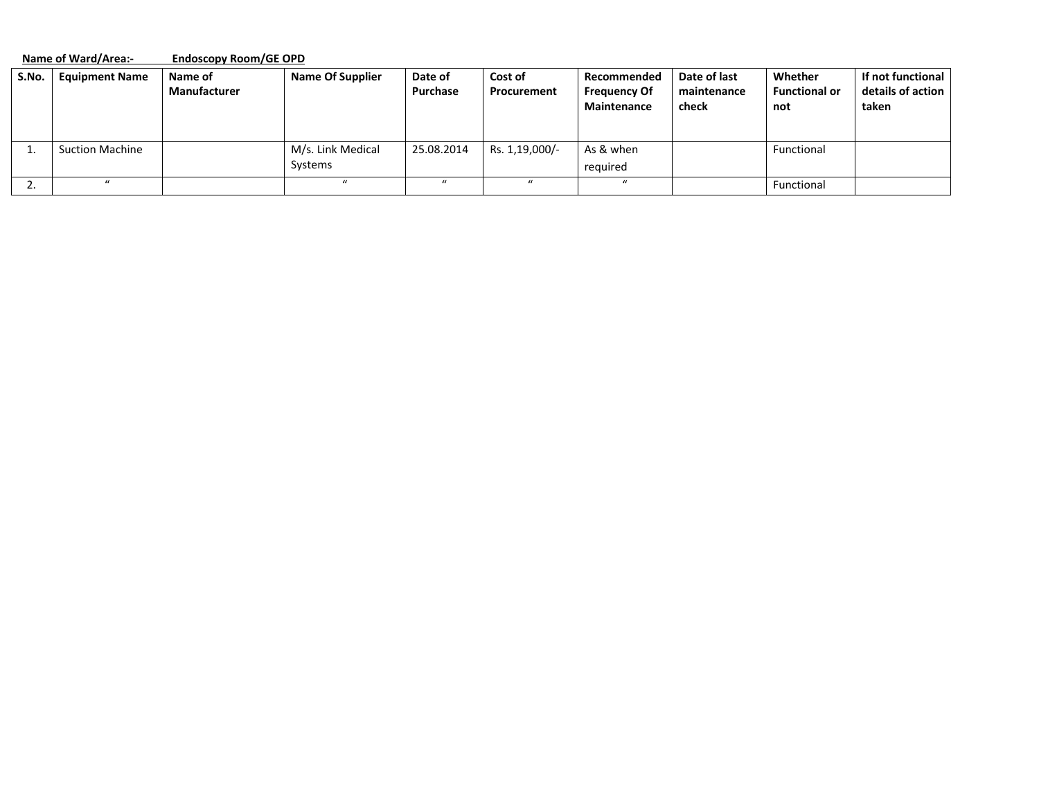|       | <b>Name of Ward/Area:-</b> |                                | <b>Endoscopy Room/GE OPD</b> |                     |                        |                                                   |                                      |                                        |                                                 |  |  |
|-------|----------------------------|--------------------------------|------------------------------|---------------------|------------------------|---------------------------------------------------|--------------------------------------|----------------------------------------|-------------------------------------------------|--|--|
| S.No. | <b>Equipment Name</b>      | Name of<br><b>Manufacturer</b> | <b>Name Of Supplier</b>      | Date of<br>Purchase | Cost of<br>Procurement | Recommended<br><b>Frequency Of</b><br>Maintenance | Date of last<br>maintenance<br>check | Whether<br><b>Functional or</b><br>not | If not functional<br>details of action<br>taken |  |  |
|       | <b>Suction Machine</b>     |                                | M/s. Link Medical<br>Systems | 25.08.2014          | Rs. 1,19,000/-         | As & when<br>required                             |                                      | Functional                             |                                                 |  |  |
|       | $\mu$                      |                                | $\mathbf{u}$                 | $\prime\prime$      | $\mathbf{u}$           | $\mathbf{u}$                                      |                                      | Functional                             |                                                 |  |  |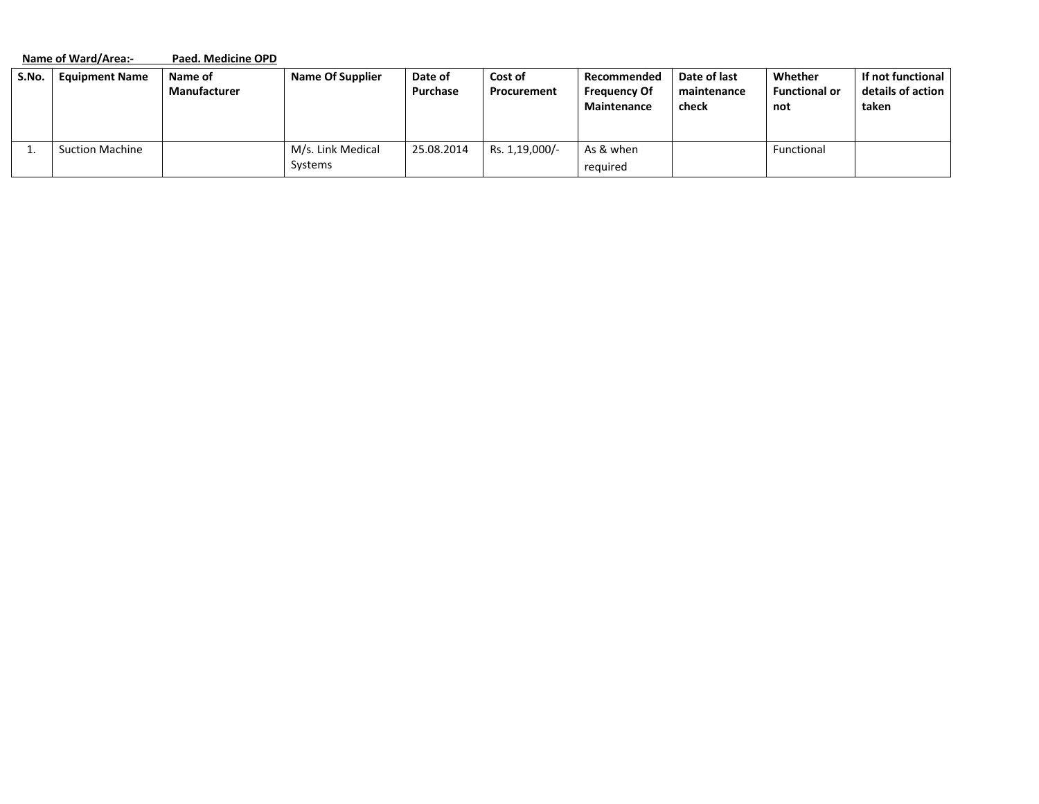|       | Name of Ward/Area:-    | Paed. Medicine OPD      |                              |                     |                        |                                                          |                                      |                                        |                                                 |
|-------|------------------------|-------------------------|------------------------------|---------------------|------------------------|----------------------------------------------------------|--------------------------------------|----------------------------------------|-------------------------------------------------|
| S.No. | <b>Equipment Name</b>  | Name of<br>Manufacturer | <b>Name Of Supplier</b>      | Date of<br>Purchase | Cost of<br>Procurement | Recommended<br><b>Frequency Of</b><br><b>Maintenance</b> | Date of last<br>maintenance<br>check | Whether<br><b>Functional or</b><br>not | If not functional<br>details of action<br>taken |
|       | <b>Suction Machine</b> |                         | M/s. Link Medical<br>Systems | 25.08.2014          | Rs. 1,19,000/-         | As & when<br>required                                    |                                      | Functional                             |                                                 |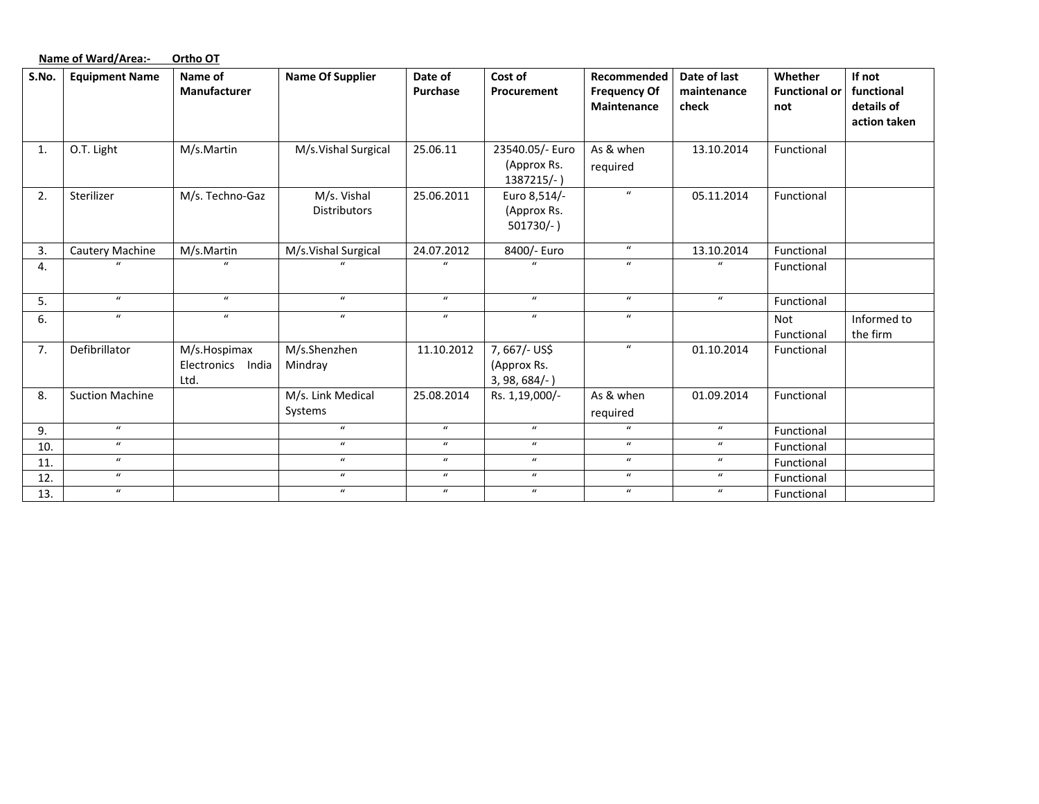|       | Name of Ward/Area:-    | Ortho OT                                     |                                    |                     |                                                 |                                                   |                                      |                                        |                                                    |
|-------|------------------------|----------------------------------------------|------------------------------------|---------------------|-------------------------------------------------|---------------------------------------------------|--------------------------------------|----------------------------------------|----------------------------------------------------|
| S.No. | <b>Equipment Name</b>  | Name of<br><b>Manufacturer</b>               | <b>Name Of Supplier</b>            | Date of<br>Purchase | Cost of<br>Procurement                          | Recommended<br><b>Frequency Of</b><br>Maintenance | Date of last<br>maintenance<br>check | Whether<br><b>Functional or</b><br>not | If not<br>functional<br>details of<br>action taken |
| 1.    | O.T. Light             | M/s.Martin                                   | M/s.Vishal Surgical                | 25.06.11            | 23540.05/- Euro                                 | As & when                                         | 13.10.2014                           | Functional                             |                                                    |
|       |                        |                                              |                                    |                     | (Approx Rs.<br>1387215/-)                       | required                                          |                                      |                                        |                                                    |
| 2.    | Sterilizer             | M/s. Techno-Gaz                              | M/s. Vishal<br><b>Distributors</b> | 25.06.2011          | Euro 8,514/-<br>(Approx Rs.<br>$501730/-$ )     | $\boldsymbol{u}$                                  | 05.11.2014                           | Functional                             |                                                    |
| 3.    | Cautery Machine        | M/s.Martin                                   | M/s.Vishal Surgical                | 24.07.2012          | 8400/- Euro                                     | $\boldsymbol{u}$                                  | 13.10.2014                           | Functional                             |                                                    |
| 4.    | $\prime$               | $\mathbf{u}$                                 | $\prime$                           | $\mathbf{u}$        | $\mathbf{u}$                                    | $\boldsymbol{u}$                                  | $\boldsymbol{u}$                     | Functional                             |                                                    |
| 5.    | $\boldsymbol{u}$       | $\boldsymbol{u}$                             | $\bf{u}$                           | $\boldsymbol{u}$    | $\bf{u}$                                        | $\boldsymbol{u}$                                  | $\boldsymbol{u}$                     | Functional                             |                                                    |
| 6.    | $\boldsymbol{u}$       | $\boldsymbol{u}$                             | $\boldsymbol{u}$                   | $\boldsymbol{u}$    | $\boldsymbol{u}$                                | $\boldsymbol{u}$                                  |                                      | <b>Not</b><br>Functional               | Informed to<br>the firm                            |
| 7.    | Defibrillator          | M/s.Hospimax<br>Electronics<br>India<br>Ltd. | M/s.Shenzhen<br>Mindray            | 11.10.2012          | 7,667/- US\$<br>(Approx Rs.<br>$3, 98, 684/-$ ) | $\boldsymbol{u}$                                  | 01.10.2014                           | Functional                             |                                                    |
| 8.    | <b>Suction Machine</b> |                                              | M/s. Link Medical<br>Systems       | 25.08.2014          | Rs. 1,19,000/-                                  | As & when<br>required                             | 01.09.2014                           | Functional                             |                                                    |
| 9.    | $\boldsymbol{u}$       |                                              | $\boldsymbol{u}$                   | $\boldsymbol{u}$    | $\boldsymbol{u}$                                | $\mathbf{u}$                                      | $\boldsymbol{u}$                     | Functional                             |                                                    |
| 10.   | $\boldsymbol{u}$       |                                              | $\boldsymbol{u}$                   | $\boldsymbol{u}$    | $\boldsymbol{u}$                                | $\boldsymbol{u}$                                  | $\boldsymbol{u}$                     | Functional                             |                                                    |
| 11.   | $\boldsymbol{u}$       |                                              | $\boldsymbol{u}$                   | $\boldsymbol{u}$    | $\boldsymbol{u}$                                | $\boldsymbol{u}$                                  | $\boldsymbol{u}$                     | Functional                             |                                                    |
| 12.   | $\boldsymbol{u}$       |                                              | $\boldsymbol{u}$                   | $\boldsymbol{u}$    | $\boldsymbol{u}$                                | $\boldsymbol{u}$                                  | $\boldsymbol{u}$                     | Functional                             |                                                    |
| 13.   | $\boldsymbol{u}$       |                                              | $\boldsymbol{u}$                   | $\boldsymbol{u}$    | $\boldsymbol{u}$                                | $\boldsymbol{u}$                                  | $\boldsymbol{u}$                     | Functional                             |                                                    |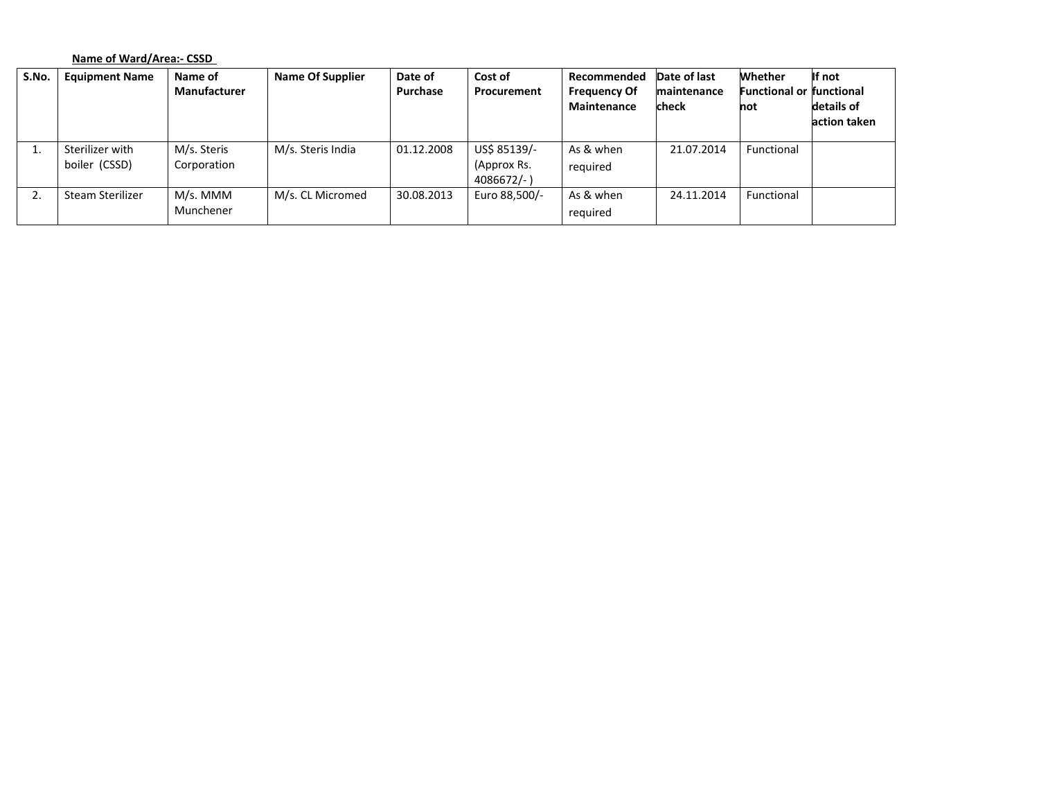# **Name of Ward/Area:‐ CSSD**

| S.No. | <b>Equipment Name</b>            | Name of<br><b>Manufacturer</b> | <b>Name Of Supplier</b> | Date of<br>Purchase | Cost of<br>Procurement                     | Recommended<br><b>Frequency Of</b><br>Maintenance | Date of last<br>maintenance<br>check | Whether<br><b>Functional or functional</b><br>not | If not<br>details of<br>action taken |
|-------|----------------------------------|--------------------------------|-------------------------|---------------------|--------------------------------------------|---------------------------------------------------|--------------------------------------|---------------------------------------------------|--------------------------------------|
| ı.    | Sterilizer with<br>boiler (CSSD) | M/s. Steris<br>Corporation     | M/s. Steris India       | 01.12.2008          | US\$ 85139/-<br>(Approx Rs.<br>$4086672/-$ | As & when<br>reguired                             | 21.07.2014                           | Functional                                        |                                      |
| ۷.    | Steam Sterilizer                 | M/s. MMM<br>Munchener          | M/s. CL Micromed        | 30.08.2013          | Euro 88,500/-                              | As & when<br>required                             | 24.11.2014                           | Functional                                        |                                      |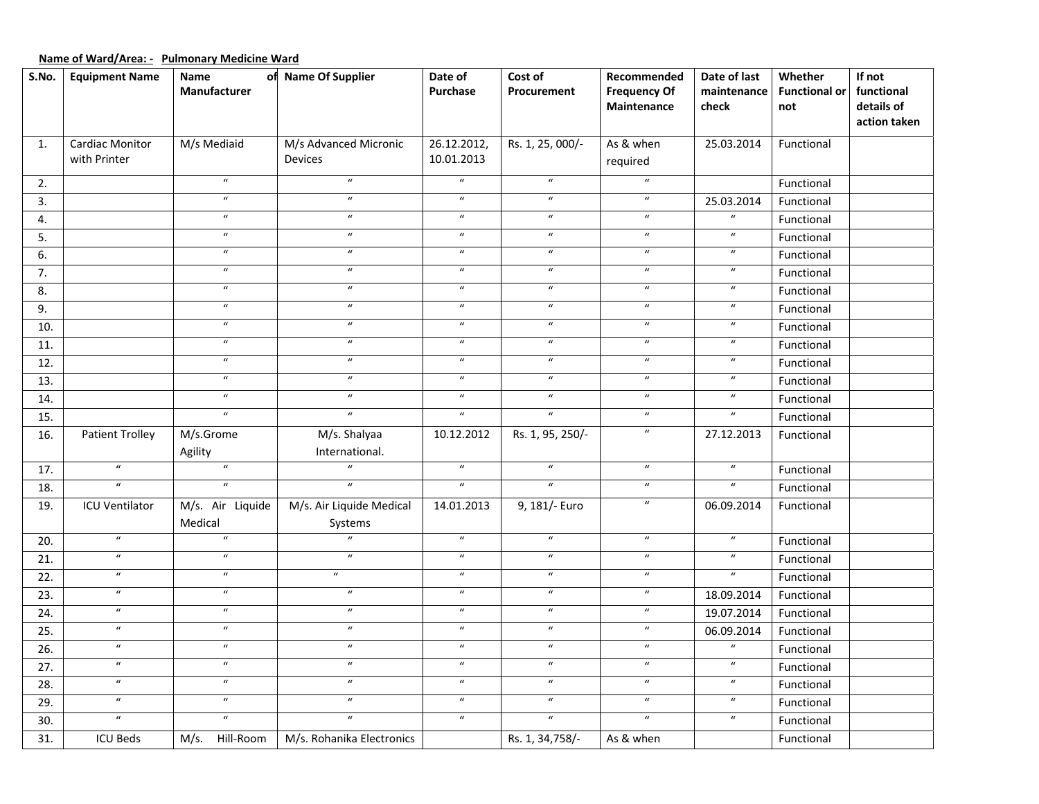# **Name of Ward/Area: ‐ Pulmonary Medicine Ward**

| S.No.             | <b>Equipment Name</b>  | Name                       | of Name Of Supplier        | Date of                    | Cost of          | Recommended                | Date of last               | Whether              | If not       |
|-------------------|------------------------|----------------------------|----------------------------|----------------------------|------------------|----------------------------|----------------------------|----------------------|--------------|
|                   |                        | Manufacturer               |                            | Purchase                   | Procurement      | <b>Frequency Of</b>        | maintenance                | <b>Functional or</b> | functional   |
|                   |                        |                            |                            |                            |                  | Maintenance                | check                      | not                  | details of   |
|                   |                        |                            |                            |                            |                  |                            |                            |                      | action taken |
| 1.                | Cardiac Monitor        | M/s Mediaid                | M/s Advanced Micronic      | 26.12.2012,                | Rs. 1, 25, 000/- | As & when                  | 25.03.2014                 | Functional           |              |
|                   | with Printer           |                            | <b>Devices</b>             | 10.01.2013                 |                  | required                   |                            |                      |              |
| 2.                |                        | $\overline{\mathbf{u}}$    | $\overline{u}$             | $\overline{u}$             | $\overline{u}$   | $\boldsymbol{\mathcal{U}}$ |                            | Functional           |              |
| 3.                |                        | $\overline{u}$             | $\overline{u}$             | $\boldsymbol{u}$           | $\overline{u}$   | $\overline{u}$             | 25.03.2014                 | Functional           |              |
| 4.                |                        | $\boldsymbol{u}$           | $\boldsymbol{u}$           | $\boldsymbol{u}$           | $\boldsymbol{u}$ | $\boldsymbol{u}$           | $\boldsymbol{u}$           | Functional           |              |
| 5.                |                        | $\boldsymbol{u}$           | $\boldsymbol{u}$           | $\boldsymbol{u}$           | $\boldsymbol{u}$ | $\boldsymbol{u}$           | $\boldsymbol{u}$           | Functional           |              |
| 6.                |                        | $\boldsymbol{u}$           | $\boldsymbol{\mathcal{U}}$ | $\boldsymbol{\mathcal{U}}$ | $\boldsymbol{u}$ | $\boldsymbol{u}$           | $\boldsymbol{u}$           | Functional           |              |
| 7.                |                        | $\boldsymbol{u}$           | $\boldsymbol{u}$           | $\boldsymbol{\mathcal{U}}$ | $\boldsymbol{u}$ | $\boldsymbol{u}$           | $\boldsymbol{\mathcal{U}}$ | Functional           |              |
| 8.                |                        | $\boldsymbol{u}$           | $\overline{u}$             | $\overline{u}$             | $\overline{u}$   | $\overline{u}$             | $\boldsymbol{u}$           | Functional           |              |
| 9.                |                        | $\boldsymbol{u}$           | $\overline{u}$             | $\overline{u}$             | $\overline{u}$   | $\boldsymbol{u}$           | $\boldsymbol{u}$           | Functional           |              |
| 10.               |                        | $\boldsymbol{u}$           | $\overline{u}$             | $\boldsymbol{u}$           | $\overline{u}$   | $\boldsymbol{u}$           | $\boldsymbol{\mathcal{U}}$ | Functional           |              |
| 11.               |                        | $\boldsymbol{u}$           | $\boldsymbol{u}$           | $\boldsymbol{u}$           | $\boldsymbol{u}$ | $\boldsymbol{u}$           | $\boldsymbol{u}$           | Functional           |              |
| 12.               |                        | $\boldsymbol{u}$           | $\boldsymbol{u}$           | $\boldsymbol{u}$           | $\overline{u}$   | $\boldsymbol{u}$           | $\boldsymbol{u}$           | Functional           |              |
| 13.               |                        | $\boldsymbol{u}$           | $\boldsymbol{u}$           | $\boldsymbol{u}$           | $\boldsymbol{u}$ | $\boldsymbol{u}$           | $\boldsymbol{u}$           | Functional           |              |
| 14.               |                        | $\overline{u}$             | $\overline{u}$             | $\overline{u}$             | $\overline{u}$   | $\overline{u}$             | $\boldsymbol{u}$           | Functional           |              |
| 15.               |                        | $\boldsymbol{u}$           | $\boldsymbol{u}$           | $\boldsymbol{\mathcal{U}}$ | $\boldsymbol{u}$ | $\boldsymbol{u}$           | $\boldsymbol{u}$           | Functional           |              |
| 16.               | <b>Patient Trolley</b> | M/s.Grome                  | M/s. Shalyaa               | 10.12.2012                 | Rs. 1, 95, 250/- | $\boldsymbol{u}$           | 27.12.2013                 | Functional           |              |
|                   |                        | Agility                    | International.             |                            |                  |                            |                            |                      |              |
| 17.               | $\overline{u}$         | $\overline{u}$             | $\mathbf{u}$               | $\boldsymbol{u}$           | $\overline{u}$   | $\boldsymbol{u}$           | $\boldsymbol{u}$           | Functional           |              |
| 18.               | $\overline{u}$         | $\overline{u}$             | $\overline{u}$             | $\overline{u}$             | $\overline{u}$   | $\overline{u}$             | $\overline{u}$             | Functional           |              |
| 19.               | <b>ICU Ventilator</b>  | M/s. Air Liquide           | M/s. Air Liquide Medical   | 14.01.2013                 | 9, 181/- Euro    | $\boldsymbol{u}$           | 06.09.2014                 | Functional           |              |
|                   |                        | Medical                    | Systems                    |                            |                  |                            |                            |                      |              |
| 20.               | $\boldsymbol{u}$       | $\boldsymbol{u}$           | $\overline{u}$             | $\boldsymbol{u}$           | $\boldsymbol{u}$ | $\boldsymbol{u}$           | $\boldsymbol{u}$           | Functional           |              |
| 21.               | $\overline{u}$         | $\mathbf{u}$               | $\overline{u}$             | $\overline{u}$             | $\overline{u}$   | $\boldsymbol{u}$           | $\boldsymbol{u}$           | Functional           |              |
| 22.               | $\overline{u}$         | $\overline{u}$             | $\overline{u}$             | $\overline{u}$             | $\overline{u}$   | $\overline{u}$             | $\overline{u}$             | Functional           |              |
| $\overline{23}$ . | $\overline{u}$         | $\boldsymbol{\mathcal{U}}$ | $\overline{u}$             | $\overline{u}$             | $\overline{u}$   | $\boldsymbol{u}$           | 18.09.2014                 | Functional           |              |
| 24.               | $\overline{u}$         | $\overline{u}$             | $\overline{u}$             | $\overline{u}$             | $\overline{u}$   | $\overline{u}$             | 19.07.2014                 | Functional           |              |
| 25.               | $\overline{u}$         | $\overline{u}$             | $\overline{u}$             | $\overline{u}$             | $\overline{u}$   | $\boldsymbol{u}$           | 06.09.2014                 | Functional           |              |
| 26.               | $\overline{u}$         | $\boldsymbol{\mathcal{U}}$ | $\overline{u}$             | $\overline{u}$             | $\overline{u}$   | $\boldsymbol{u}$           | $\overline{u}$             | Functional           |              |
| 27.               | $\boldsymbol{u}$       | $\boldsymbol{u}$           | $\overline{u}$             | $\overline{u}$             | $\overline{u}$   | $\boldsymbol{u}$           | $\boldsymbol{u}$           | Functional           |              |
| 28.               | $\overline{u}$         | $\overline{\mathbf{u}}$    | $\overline{u}$             | $\overline{u}$             | $\overline{u}$   | $\overline{u}$             | $\boldsymbol{u}$           | Functional           |              |
| 29.               | $\boldsymbol{u}$       | $\boldsymbol{\mathcal{U}}$ | $\boldsymbol{u}$           | $\boldsymbol{u}$           | $\boldsymbol{u}$ | $\boldsymbol{u}$           | $\boldsymbol{u}$           | Functional           |              |
| 30.               | $\boldsymbol{u}$       | $\boldsymbol{u}$           | $\boldsymbol{u}$           | $\boldsymbol{u}$           | $\boldsymbol{u}$ | $\boldsymbol{u}$           | $\boldsymbol{u}$           | Functional           |              |
| 31.               | <b>ICU Beds</b>        | M/s.<br>Hill-Room          | M/s. Rohanika Electronics  |                            | Rs. 1, 34,758/-  | As & when                  |                            | Functional           |              |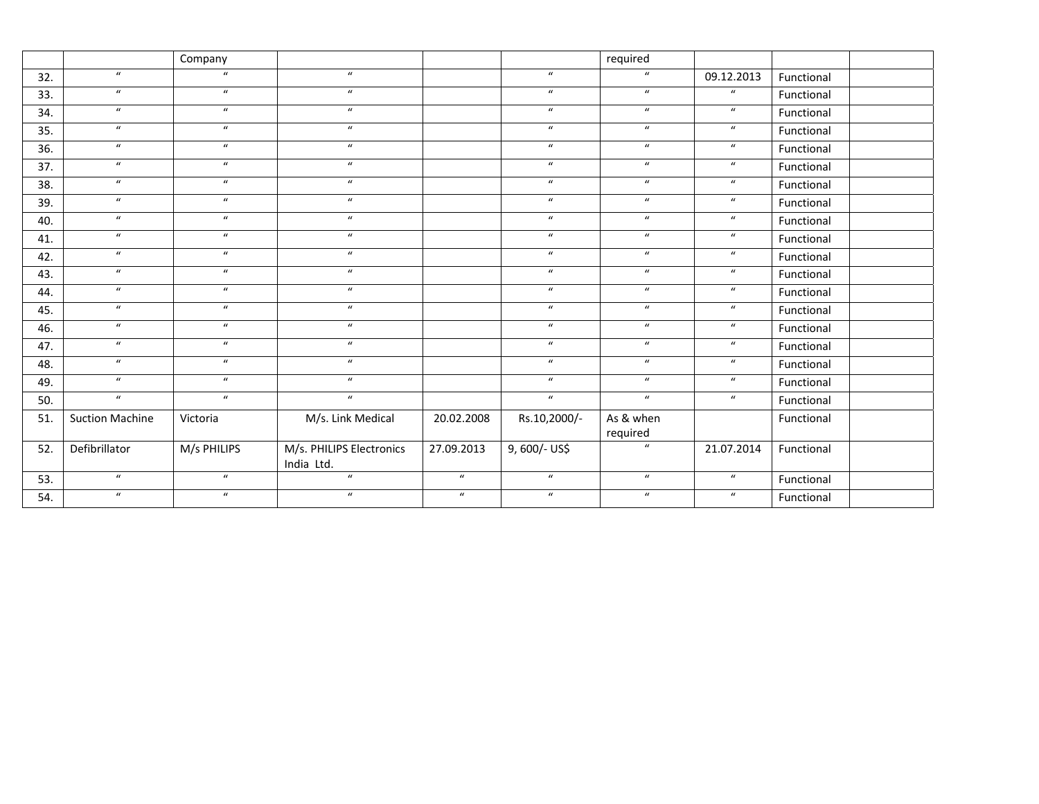|     |                        | Company          |                                |                  |                  | required         |                            |            |  |
|-----|------------------------|------------------|--------------------------------|------------------|------------------|------------------|----------------------------|------------|--|
| 32. | $\boldsymbol{u}$       | $\boldsymbol{u}$ | $\boldsymbol{u}$               |                  | $\boldsymbol{u}$ | $\boldsymbol{u}$ | 09.12.2013                 | Functional |  |
| 33. | $\overline{u}$         | $\overline{u}$   | $\overline{u}$                 |                  | $\overline{u}$   | $\overline{u}$   | $\boldsymbol{u}$           | Functional |  |
| 34. | $\mathbf{u}$           | $\boldsymbol{u}$ | $\boldsymbol{u}$               |                  | $\boldsymbol{u}$ | $\boldsymbol{u}$ | $\boldsymbol{u}$           | Functional |  |
| 35. | $\boldsymbol{u}$       | $\boldsymbol{u}$ | $\boldsymbol{u}$               |                  | $\boldsymbol{u}$ | $\boldsymbol{u}$ | $\boldsymbol{u}$           | Functional |  |
| 36. | $\overline{u}$         | $\boldsymbol{u}$ | $\overline{u}$                 |                  | $\overline{u}$   | $\overline{u}$   | $\boldsymbol{u}$           | Functional |  |
| 37. | $\overline{u}$         | $\overline{u}$   | $\overline{u}$                 |                  | $\overline{u}$   | $\overline{u}$   | $\boldsymbol{u}$           | Functional |  |
| 38. | $\boldsymbol{u}$       | $\boldsymbol{u}$ | $\boldsymbol{u}$               |                  | $\boldsymbol{u}$ | $\boldsymbol{u}$ | $\boldsymbol{u}$           | Functional |  |
| 39. | $\boldsymbol{u}$       | $\boldsymbol{u}$ | $\boldsymbol{u}$               |                  | $\boldsymbol{u}$ | $\boldsymbol{u}$ | $\boldsymbol{u}$           | Functional |  |
| 40. | $\boldsymbol{u}$       | $\boldsymbol{u}$ | $\boldsymbol{u}$               |                  | $\boldsymbol{u}$ | $\boldsymbol{u}$ | $\boldsymbol{u}$           | Functional |  |
| 41. | $\boldsymbol{u}$       | $\boldsymbol{u}$ | $\boldsymbol{u}$               |                  | $\boldsymbol{u}$ | $\boldsymbol{u}$ | $\boldsymbol{u}$           | Functional |  |
| 42. | $\boldsymbol{u}$       | $\boldsymbol{u}$ | $\boldsymbol{u}$               |                  | $\boldsymbol{u}$ | $\boldsymbol{u}$ | $\boldsymbol{u}$           | Functional |  |
| 43. | $\boldsymbol{u}$       | $\boldsymbol{u}$ | $\boldsymbol{u}$               |                  | $\boldsymbol{u}$ | $\boldsymbol{u}$ | $\boldsymbol{u}$           | Functional |  |
| 44. | $\boldsymbol{u}$       | $\boldsymbol{u}$ | $\boldsymbol{u}$               |                  | $\boldsymbol{u}$ | $\boldsymbol{u}$ | $\boldsymbol{\mathcal{U}}$ | Functional |  |
| 45. | $\boldsymbol{u}$       | $\boldsymbol{u}$ | $\boldsymbol{u}$               |                  | $\boldsymbol{u}$ | $\boldsymbol{u}$ | $\boldsymbol{u}$           | Functional |  |
| 46. | $\boldsymbol{u}$       | $\boldsymbol{u}$ | $\boldsymbol{u}$               |                  | $\boldsymbol{u}$ | $\boldsymbol{u}$ | $\boldsymbol{\mathcal{U}}$ | Functional |  |
| 47. | $\boldsymbol{u}$       | $\boldsymbol{u}$ | $\boldsymbol{u}$               |                  | $\boldsymbol{u}$ | $\boldsymbol{u}$ | $\boldsymbol{u}$           | Functional |  |
| 48. | $\boldsymbol{u}$       | $\boldsymbol{u}$ | $\boldsymbol{u}$               |                  | $\boldsymbol{u}$ | $\boldsymbol{u}$ | $\boldsymbol{u}$           | Functional |  |
| 49. | $\boldsymbol{u}$       | $\boldsymbol{u}$ | $\boldsymbol{u}$               |                  | $\boldsymbol{u}$ | $\boldsymbol{u}$ | $\boldsymbol{u}$           | Functional |  |
| 50. | $\overline{u}$         | $\boldsymbol{u}$ | $\overline{u}$                 |                  | $\boldsymbol{u}$ | $\boldsymbol{u}$ | $\boldsymbol{u}$           | Functional |  |
| 51. | <b>Suction Machine</b> | Victoria         | M/s. Link Medical              | 20.02.2008       | Rs.10,2000/-     | As & when        |                            | Functional |  |
|     |                        |                  |                                |                  |                  | required         |                            |            |  |
| 52. | Defibrillator          | M/s PHILIPS      | M/s. PHILIPS Electronics       | 27.09.2013       | 9,600/- US\$     | $\boldsymbol{u}$ | 21.07.2014                 | Functional |  |
|     | $\boldsymbol{u}$       | $\boldsymbol{u}$ | India Ltd.<br>$\boldsymbol{u}$ | $\boldsymbol{u}$ | $\boldsymbol{u}$ | $\boldsymbol{u}$ |                            |            |  |
| 53. |                        |                  |                                |                  |                  |                  | $\boldsymbol{\mathcal{U}}$ | Functional |  |
| 54. | $\overline{u}$         | $\boldsymbol{u}$ | $\overline{u}$                 | $\overline{u}$   | $\overline{u}$   | $\boldsymbol{u}$ | $\boldsymbol{u}$           | Functional |  |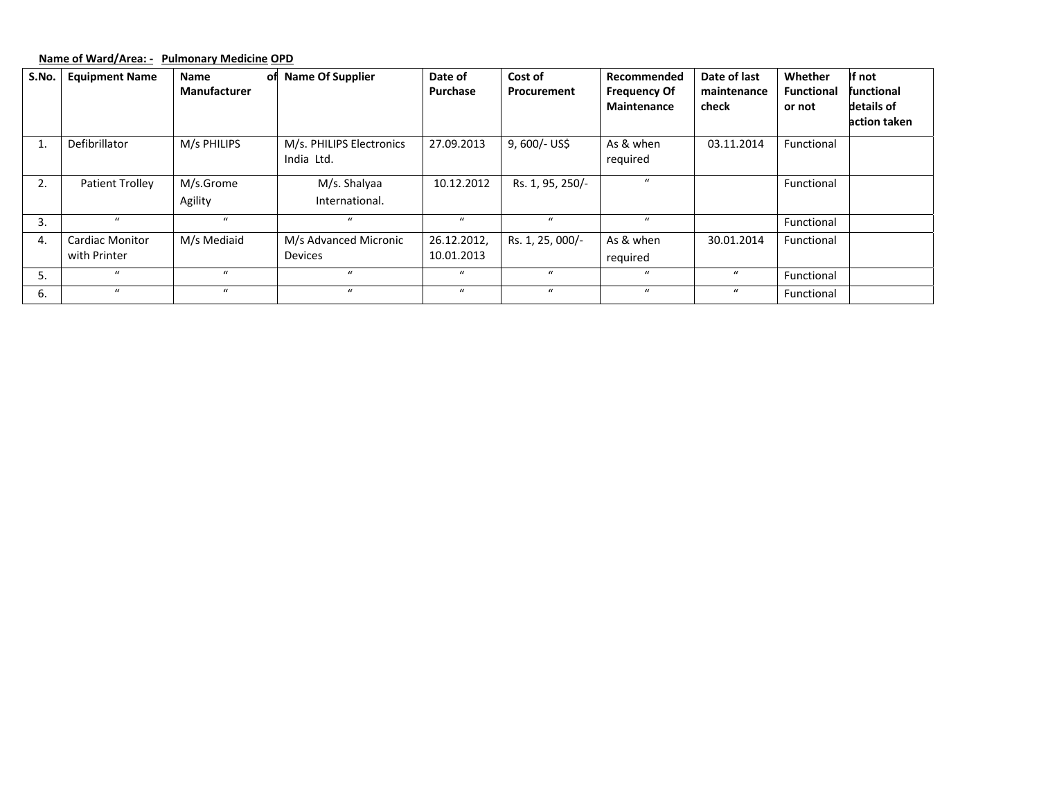# **Name of Ward/Area: ‐ Pulmonary Medicine OPD**

| S.No. | <b>Equipment Name</b>  | <b>Name</b><br>οf | <b>Name Of Supplier</b>  | Date of          | Cost of          | Recommended         | Date of last     | Whether           | If not            |
|-------|------------------------|-------------------|--------------------------|------------------|------------------|---------------------|------------------|-------------------|-------------------|
|       |                        | Manufacturer      |                          | Purchase         | Procurement      | <b>Frequency Of</b> | maintenance      | <b>Functional</b> | <b>functional</b> |
|       |                        |                   |                          |                  |                  | Maintenance         | check            | or not            | details of        |
|       |                        |                   |                          |                  |                  |                     |                  |                   | action taken      |
|       | Defibrillator          | M/s PHILIPS       | M/s. PHILIPS Electronics | 27.09.2013       | 9,600/- US\$     | As & when           | 03.11.2014       | Functional        |                   |
|       |                        |                   | India Ltd.               |                  |                  | required            |                  |                   |                   |
| 2.    | <b>Patient Trolley</b> | M/s.Grome         | M/s. Shalyaa             | 10.12.2012       | Rs. 1, 95, 250/- | $\mathbf{u}$        |                  | Functional        |                   |
|       |                        | Agility           | International.           |                  |                  |                     |                  |                   |                   |
| 3.    | $\mathbf{u}$           | $\mathbf{u}$      | $\mathbf{u}$             | $\boldsymbol{u}$ | $\mathbf{u}$     | $\bf{u}$            |                  | Functional        |                   |
| 4.    | <b>Cardiac Monitor</b> | M/s Mediaid       | M/s Advanced Micronic    | 26.12.2012,      | Rs. 1, 25, 000/- | As & when           | 30.01.2014       | Functional        |                   |
|       | with Printer           |                   | <b>Devices</b>           | 10.01.2013       |                  | required            |                  |                   |                   |
| 5.    | $\mathbf{u}$           | $\mathbf{u}$      | $\mathbf{u}$             | $\boldsymbol{u}$ | $\mathbf{u}$     | $\boldsymbol{u}$    | $\boldsymbol{u}$ | Functional        |                   |
| 6.    | $\bf{u}$               | $\boldsymbol{u}$  | $\bf{u}$                 | $\boldsymbol{u}$ | $\boldsymbol{u}$ | $\bf{u}$            | $\boldsymbol{u}$ | Functional        |                   |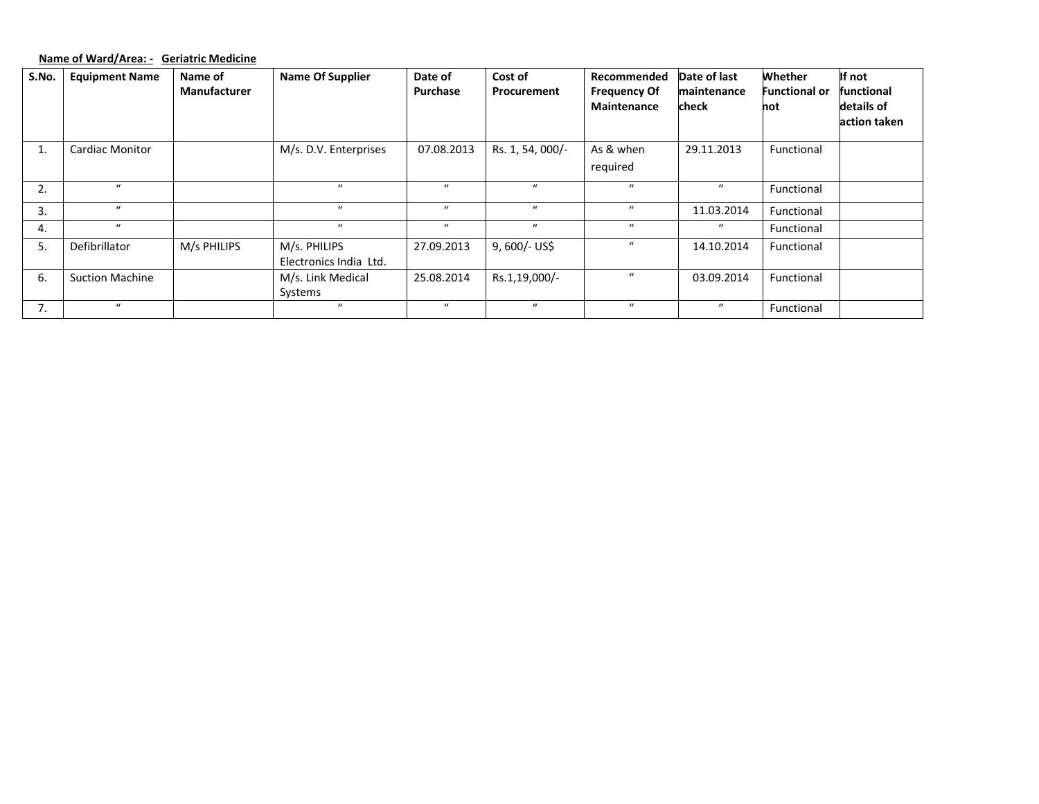# **Name of Ward/Area: ‐ Geriatric Medicine**

| S.No. | <b>Equipment Name</b>  | Name of             | <b>Name Of Supplier</b> | Date of    | Cost of          | Recommended         | Date of last | Whether              | If not       |
|-------|------------------------|---------------------|-------------------------|------------|------------------|---------------------|--------------|----------------------|--------------|
|       |                        | <b>Manufacturer</b> |                         | Purchase   | Procurement      | <b>Frequency Of</b> | maintenance  | <b>Functional or</b> | functional   |
|       |                        |                     |                         |            |                  | Maintenance         | check        | not                  | details of   |
|       |                        |                     |                         |            |                  |                     |              |                      | action taken |
|       |                        |                     |                         |            |                  |                     |              |                      |              |
| 1.    | <b>Cardiac Monitor</b> |                     | M/s. D.V. Enterprises   | 07.08.2013 | Rs. 1, 54, 000/- | As & when           | 29.11.2013   | Functional           |              |
|       |                        |                     |                         |            |                  | required            |              |                      |              |
|       |                        |                     |                         |            |                  |                     |              |                      |              |
| 2.    | $\boldsymbol{u}$       |                     | $\bf{u}$                | $\bf{u}$   | $\boldsymbol{u}$ | $\boldsymbol{u}$    | $\bf{u}$     | Functional           |              |
| 3.    | $\boldsymbol{u}$       |                     | $\bf{u}$                | $\bf{u}$   | $\boldsymbol{u}$ | $\boldsymbol{u}$    | 11.03.2014   | Functional           |              |
| 4.    | $\bf{u}$               |                     | $\bf{u}$                | $\bf{u}$   | $\bf{u}$         | $\boldsymbol{u}$    | $\bf{u}$     | Functional           |              |
| 5.    | Defibrillator          | M/s PHILIPS         | M/s. PHILIPS            | 27.09.2013 | 9, 600/- US\$    | $\boldsymbol{u}$    | 14.10.2014   | Functional           |              |
|       |                        |                     | Electronics India Ltd.  |            |                  |                     |              |                      |              |
| 6.    | <b>Suction Machine</b> |                     | M/s. Link Medical       | 25.08.2014 | Rs.1,19,000/-    | $\boldsymbol{u}$    | 03.09.2014   | Functional           |              |
|       |                        |                     | Systems                 |            |                  |                     |              |                      |              |
| 7.    | $\mathbf{u}$           |                     | $\bf{u}$                | $\bf{u}$   | $\boldsymbol{u}$ | $\boldsymbol{u}$    | $\bf{u}$     | Functional           |              |